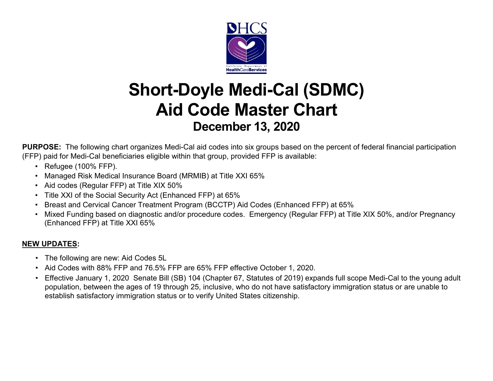

## **Short-Doyle Medi-Cal (SDMC) Aid Code Master Chart December 13, 2020**

**PURPOSE:** The following chart organizes Medi-Cal aid codes into six groups based on the percent of federal financial participation (FFP) paid for Medi-Cal beneficiaries eligible within that group, provided FFP is available:

- Refugee (100% FFP).
- Managed Risk Medical Insurance Board (MRMIB) at Title XXI 65%
- Aid codes (Regular FFP) at Title XIX 50%
- Title XXI of the Social Security Act (Enhanced FFP) at 65%
- Breast and Cervical Cancer Treatment Program (BCCTP) Aid Codes (Enhanced FFP) at 65%
- Mixed Funding based on diagnostic and/or procedure codes. Emergency (Regular FFP) at Title XIX 50%, and/or Pregnancy (Enhanced FFP) at Title XXI 65%

#### **NEW UPDATES:**

- The following are new: Aid Codes 5L
- Aid Codes with 88% FFP and 76.5% FFP are 65% FFP effective October 1, 2020.
- Effective January 1, 2020 Senate Bill (SB) 104 (Chapter 67, Statutes of 2019) expands full scope Medi-Cal to the young adult population, between the ages of 19 through 25, inclusive, who do not have satisfactory immigration status or are unable to establish satisfactory immigration status or to verify United States citizenship.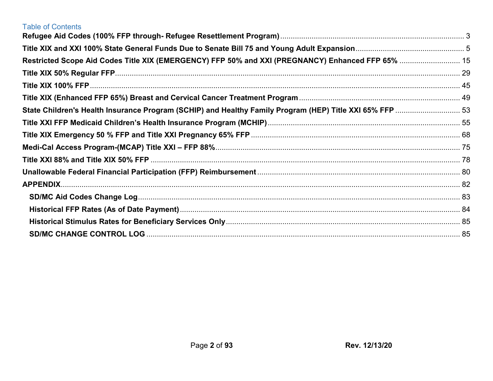| <b>Table of Contents</b>                                                                                 |  |
|----------------------------------------------------------------------------------------------------------|--|
|                                                                                                          |  |
|                                                                                                          |  |
| Restricted Scope Aid Codes Title XIX (EMERGENCY) FFP 50% and XXI (PREGNANCY) Enhanced FFP 65%  15        |  |
|                                                                                                          |  |
|                                                                                                          |  |
|                                                                                                          |  |
| State Children's Health Insurance Program (SCHIP) and Healthy Family Program (HEP) Title XXI 65% FFP  53 |  |
|                                                                                                          |  |
|                                                                                                          |  |
|                                                                                                          |  |
|                                                                                                          |  |
|                                                                                                          |  |
|                                                                                                          |  |
|                                                                                                          |  |
|                                                                                                          |  |
|                                                                                                          |  |
|                                                                                                          |  |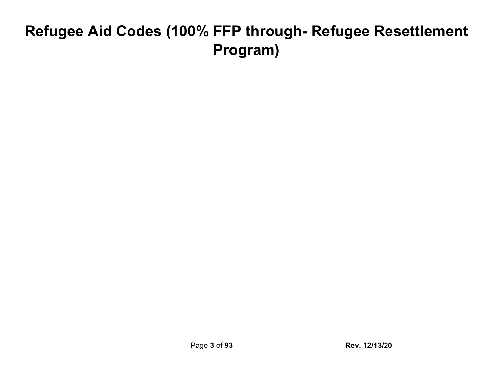# **Refugee Aid Codes (100% FFP through- Refugee Resettlement Program)**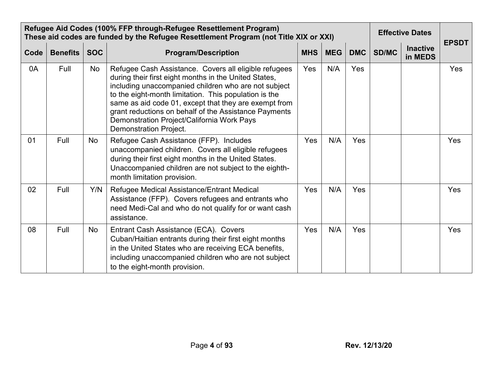|      | Refugee Aid Codes (100% FFP through-Refugee Resettlement Program)<br>These aid codes are funded by the Refugee Resettlement Program (not Title XIX or XXI) |            |                                                                                                                                                                                                                                                                                                                                                                                                                           | <b>Effective Dates</b> | <b>EPSDT</b> |            |       |                            |     |
|------|------------------------------------------------------------------------------------------------------------------------------------------------------------|------------|---------------------------------------------------------------------------------------------------------------------------------------------------------------------------------------------------------------------------------------------------------------------------------------------------------------------------------------------------------------------------------------------------------------------------|------------------------|--------------|------------|-------|----------------------------|-----|
| Code | <b>Benefits</b>                                                                                                                                            | <b>SOC</b> | <b>Program/Description</b>                                                                                                                                                                                                                                                                                                                                                                                                | <b>MHS</b>             | <b>MEG</b>   | <b>DMC</b> | SD/MC | <b>Inactive</b><br>in MEDS |     |
| 0A   | Full                                                                                                                                                       | No         | Refugee Cash Assistance. Covers all eligible refugees<br>during their first eight months in the United States,<br>including unaccompanied children who are not subject<br>to the eight-month limitation. This population is the<br>same as aid code 01, except that they are exempt from<br>grant reductions on behalf of the Assistance Payments<br>Demonstration Project/California Work Pays<br>Demonstration Project. | Yes                    | N/A          | Yes        |       |                            | Yes |
| 01   | Full                                                                                                                                                       | No         | Refugee Cash Assistance (FFP). Includes<br>unaccompanied children. Covers all eligible refugees<br>during their first eight months in the United States.<br>Unaccompanied children are not subject to the eighth-<br>month limitation provision.                                                                                                                                                                          | Yes                    | N/A          | Yes        |       |                            | Yes |
| 02   | Full                                                                                                                                                       | Y/N        | Refugee Medical Assistance/Entrant Medical<br>Assistance (FFP). Covers refugees and entrants who<br>need Medi-Cal and who do not qualify for or want cash<br>assistance.                                                                                                                                                                                                                                                  | Yes                    | N/A          | Yes        |       |                            | Yes |
| 08   | Full                                                                                                                                                       | <b>No</b>  | Entrant Cash Assistance (ECA). Covers<br>Cuban/Haitian entrants during their first eight months<br>in the United States who are receiving ECA benefits,<br>including unaccompanied children who are not subject<br>to the eight-month provision.                                                                                                                                                                          | Yes                    | N/A          | Yes        |       |                            | Yes |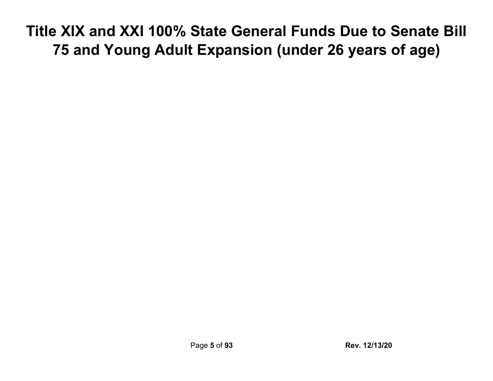# <span id="page-4-0"></span>**Title XIX and XXI 100% State General Funds Due to Senate Bill 75 and Young Adult Expansion (under 26 years of age)**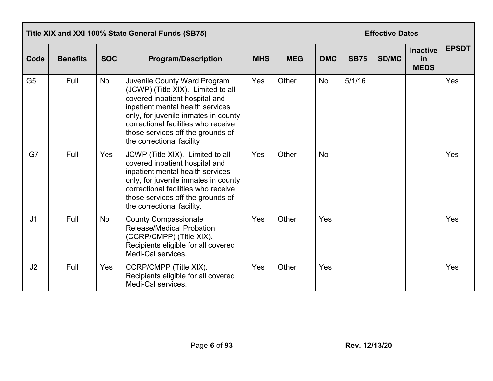|                | Title XIX and XXI 100% State General Funds (SB75) |            |                                                                                                                                                                                                                                                                                                  |            |            |            |             |              | <b>Effective Dates</b>               |              |
|----------------|---------------------------------------------------|------------|--------------------------------------------------------------------------------------------------------------------------------------------------------------------------------------------------------------------------------------------------------------------------------------------------|------------|------------|------------|-------------|--------------|--------------------------------------|--------------|
| Code           | <b>Benefits</b>                                   | <b>SOC</b> | <b>Program/Description</b>                                                                                                                                                                                                                                                                       | <b>MHS</b> | <b>MEG</b> | <b>DMC</b> | <b>SB75</b> | <b>SD/MC</b> | <b>Inactive</b><br>in<br><b>MEDS</b> | <b>EPSDT</b> |
| G <sub>5</sub> | Full                                              | <b>No</b>  | <b>Juvenile County Ward Program</b><br>(JCWP) (Title XIX). Limited to all<br>covered inpatient hospital and<br>inpatient mental health services<br>only, for juvenile inmates in county<br>correctional facilities who receive<br>those services off the grounds of<br>the correctional facility | Yes        | Other      | <b>No</b>  | 5/1/16      |              |                                      | Yes          |
| G7             | Full                                              | Yes        | JCWP (Title XIX). Limited to all<br>covered inpatient hospital and<br>inpatient mental health services<br>only, for juvenile inmates in county<br>correctional facilities who receive<br>those services off the grounds of<br>the correctional facility.                                         | Yes        | Other      | <b>No</b>  |             |              |                                      | Yes          |
| J <sub>1</sub> | Full                                              | <b>No</b>  | <b>County Compassionate</b><br><b>Release/Medical Probation</b><br>(CCRP/CMPP) (Title XIX).<br>Recipients eligible for all covered<br>Medi-Cal services.                                                                                                                                         | Yes        | Other      | Yes        |             |              |                                      | Yes          |
| J2             | Full                                              | Yes        | CCRP/CMPP (Title XIX).<br>Recipients eligible for all covered<br>Medi-Cal services.                                                                                                                                                                                                              | Yes        | Other      | Yes        |             |              |                                      | Yes          |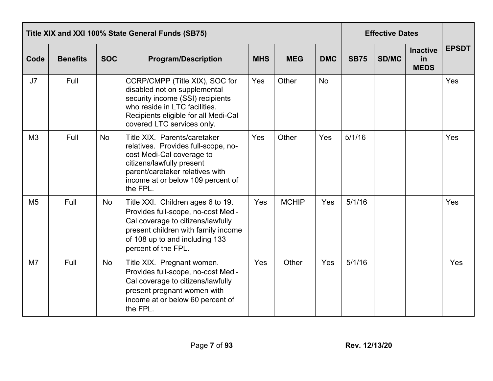|                | Title XIX and XXI 100% State General Funds (SB75) |            |                                                                                                                                                                                                                   |            |              |            |             |       | <b>Effective Dates</b>               |              |
|----------------|---------------------------------------------------|------------|-------------------------------------------------------------------------------------------------------------------------------------------------------------------------------------------------------------------|------------|--------------|------------|-------------|-------|--------------------------------------|--------------|
| Code           | <b>Benefits</b>                                   | <b>SOC</b> | <b>Program/Description</b>                                                                                                                                                                                        | <b>MHS</b> | <b>MEG</b>   | <b>DMC</b> | <b>SB75</b> | SD/MC | <b>Inactive</b><br>in<br><b>MEDS</b> | <b>EPSDT</b> |
| J7             | Full                                              |            | CCRP/CMPP (Title XIX), SOC for<br>disabled not on supplemental<br>security income (SSI) recipients<br>who reside in LTC facilities.<br>Recipients eligible for all Medi-Cal<br>covered LTC services only.         | Yes        | Other        | <b>No</b>  |             |       |                                      | Yes          |
| M <sub>3</sub> | Full                                              | <b>No</b>  | Title XIX. Parents/caretaker<br>relatives. Provides full-scope, no-<br>cost Medi-Cal coverage to<br>citizens/lawfully present<br>parent/caretaker relatives with<br>income at or below 109 percent of<br>the FPL. | Yes        | Other        | Yes        | 5/1/16      |       |                                      | Yes          |
| M <sub>5</sub> | Full                                              | <b>No</b>  | Title XXI. Children ages 6 to 19.<br>Provides full-scope, no-cost Medi-<br>Cal coverage to citizens/lawfully<br>present children with family income<br>of 108 up to and including 133<br>percent of the FPL.      | Yes        | <b>MCHIP</b> | Yes        | 5/1/16      |       |                                      | Yes          |
| M <sub>7</sub> | Full                                              | No         | Title XIX. Pregnant women.<br>Provides full-scope, no-cost Medi-<br>Cal coverage to citizens/lawfully<br>present pregnant women with<br>income at or below 60 percent of<br>the FPL.                              | Yes        | Other        | Yes        | 5/1/16      |       |                                      | Yes          |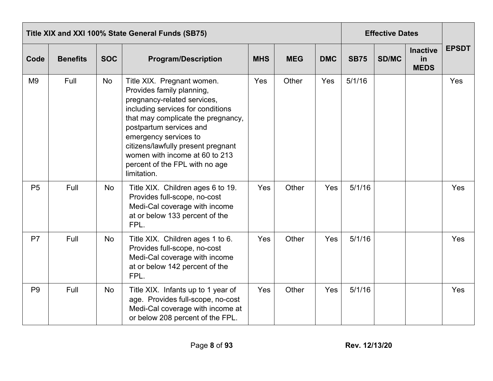|                | Title XIX and XXI 100% State General Funds (SB75) |            |                                                                                                                                                                                                                                                                                                                                                |            |            |            |             |              | <b>Effective Dates</b>               |              |  |
|----------------|---------------------------------------------------|------------|------------------------------------------------------------------------------------------------------------------------------------------------------------------------------------------------------------------------------------------------------------------------------------------------------------------------------------------------|------------|------------|------------|-------------|--------------|--------------------------------------|--------------|--|
| Code           | <b>Benefits</b>                                   | <b>SOC</b> | <b>Program/Description</b>                                                                                                                                                                                                                                                                                                                     | <b>MHS</b> | <b>MEG</b> | <b>DMC</b> | <b>SB75</b> | <b>SD/MC</b> | <b>Inactive</b><br>in<br><b>MEDS</b> | <b>EPSDT</b> |  |
| M <sub>9</sub> | Full                                              | No         | Title XIX. Pregnant women.<br>Provides family planning,<br>pregnancy-related services,<br>including services for conditions<br>that may complicate the pregnancy,<br>postpartum services and<br>emergency services to<br>citizens/lawfully present pregnant<br>women with income at 60 to 213<br>percent of the FPL with no age<br>limitation. | Yes        | Other      | Yes        | 5/1/16      |              |                                      | Yes          |  |
| P <sub>5</sub> | Full                                              | No         | Title XIX. Children ages 6 to 19.<br>Provides full-scope, no-cost<br>Medi-Cal coverage with income<br>at or below 133 percent of the<br>FPL.                                                                                                                                                                                                   | Yes        | Other      | Yes        | 5/1/16      |              |                                      | Yes          |  |
| P <sub>7</sub> | Full                                              | <b>No</b>  | Title XIX. Children ages 1 to 6.<br>Provides full-scope, no-cost<br>Medi-Cal coverage with income<br>at or below 142 percent of the<br>FPL.                                                                                                                                                                                                    | Yes        | Other      | Yes        | 5/1/16      |              |                                      | Yes          |  |
| P <sub>9</sub> | Full                                              | <b>No</b>  | Title XIX. Infants up to 1 year of<br>age. Provides full-scope, no-cost<br>Medi-Cal coverage with income at<br>or below 208 percent of the FPL.                                                                                                                                                                                                | Yes        | Other      | Yes        | 5/1/16      |              |                                      | Yes          |  |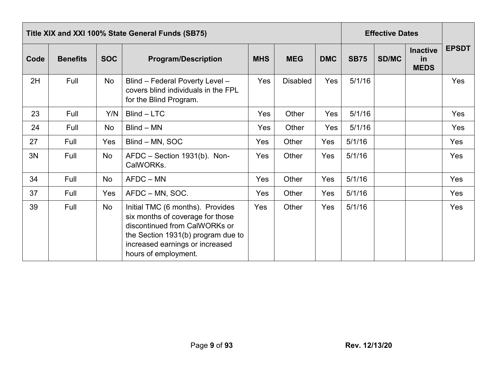|      | Title XIX and XXI 100% State General Funds (SB75) |            |                                                                                                                                                                                                        |            |                 |            |             | <b>Effective Dates</b> |                                      |              |
|------|---------------------------------------------------|------------|--------------------------------------------------------------------------------------------------------------------------------------------------------------------------------------------------------|------------|-----------------|------------|-------------|------------------------|--------------------------------------|--------------|
| Code | <b>Benefits</b>                                   | <b>SOC</b> | <b>Program/Description</b>                                                                                                                                                                             | <b>MHS</b> | <b>MEG</b>      | <b>DMC</b> | <b>SB75</b> | <b>SD/MC</b>           | <b>Inactive</b><br>in<br><b>MEDS</b> | <b>EPSDT</b> |
| 2H   | Full                                              | No         | Blind - Federal Poverty Level -<br>covers blind individuals in the FPL<br>for the Blind Program.                                                                                                       | Yes        | <b>Disabled</b> | Yes        | 5/1/16      |                        |                                      | Yes          |
| 23   | Full                                              | Y/N        | Blind - LTC                                                                                                                                                                                            | Yes        | Other           | Yes        | 5/1/16      |                        |                                      | Yes          |
| 24   | Full                                              | No         | $Blind - MN$                                                                                                                                                                                           | Yes        | Other           | Yes        | 5/1/16      |                        |                                      | Yes          |
| 27   | Full                                              | Yes        | Blind – MN, SOC                                                                                                                                                                                        | Yes        | Other           | Yes        | 5/1/16      |                        |                                      | Yes          |
| 3N   | Full                                              | No         | AFDC - Section 1931(b). Non-<br>CalWORKs.                                                                                                                                                              | Yes        | Other           | Yes        | 5/1/16      |                        |                                      | Yes          |
| 34   | Full                                              | No         | AFDC - MN                                                                                                                                                                                              | Yes        | Other           | Yes        | 5/1/16      |                        |                                      | Yes          |
| 37   | Full                                              | Yes        | AFDC – MN, SOC.                                                                                                                                                                                        | Yes        | Other           | Yes        | 5/1/16      |                        |                                      | Yes          |
| 39   | Full                                              | No         | Initial TMC (6 months). Provides<br>six months of coverage for those<br>discontinued from CalWORKs or<br>the Section 1931(b) program due to<br>increased earnings or increased<br>hours of employment. | Yes        | Other           | Yes        | 5/1/16      |                        |                                      | Yes          |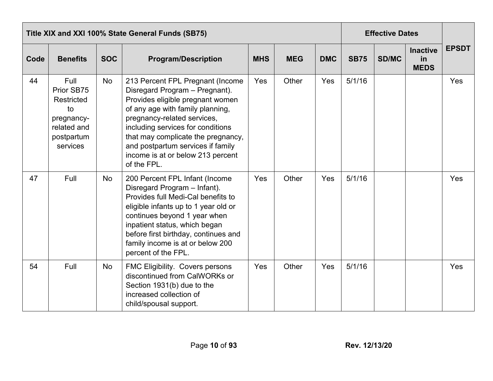|      | Title XIX and XXI 100% State General Funds (SB75)                                             |            |                                                                                                                                                                                                                                                                                                                                               |            |            |            |             |              | <b>Effective Dates</b>               |              |
|------|-----------------------------------------------------------------------------------------------|------------|-----------------------------------------------------------------------------------------------------------------------------------------------------------------------------------------------------------------------------------------------------------------------------------------------------------------------------------------------|------------|------------|------------|-------------|--------------|--------------------------------------|--------------|
| Code | <b>Benefits</b>                                                                               | <b>SOC</b> | <b>Program/Description</b>                                                                                                                                                                                                                                                                                                                    | <b>MHS</b> | <b>MEG</b> | <b>DMC</b> | <b>SB75</b> | <b>SD/MC</b> | <b>Inactive</b><br>in<br><b>MEDS</b> | <b>EPSDT</b> |
| 44   | Full<br>Prior SB75<br>Restricted<br>to<br>pregnancy-<br>related and<br>postpartum<br>services | No         | 213 Percent FPL Pregnant (Income<br>Disregard Program - Pregnant).<br>Provides eligible pregnant women<br>of any age with family planning,<br>pregnancy-related services,<br>including services for conditions<br>that may complicate the pregnancy,<br>and postpartum services if family<br>income is at or below 213 percent<br>of the FPL. | Yes        | Other      | Yes        | 5/1/16      |              |                                      | Yes          |
| 47   | Full                                                                                          | <b>No</b>  | 200 Percent FPL Infant (Income<br>Disregard Program - Infant).<br>Provides full Medi-Cal benefits to<br>eligible infants up to 1 year old or<br>continues beyond 1 year when<br>inpatient status, which began<br>before first birthday, continues and<br>family income is at or below 200<br>percent of the FPL.                              | Yes        | Other      | Yes        | 5/1/16      |              |                                      | Yes          |
| 54   | Full                                                                                          | <b>No</b>  | FMC Eligibility. Covers persons<br>discontinued from CalWORKs or<br>Section 1931(b) due to the<br>increased collection of<br>child/spousal support.                                                                                                                                                                                           | Yes        | Other      | Yes        | 5/1/16      |              |                                      | Yes          |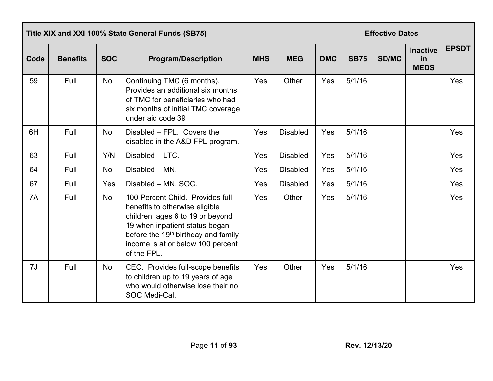<span id="page-10-0"></span>

|      | Title XIX and XXI 100% State General Funds (SB75) |            |                                                                                                                                                                                                                                                 |            |                 |            |             |              | <b>Effective Dates</b>               |              |  |  |
|------|---------------------------------------------------|------------|-------------------------------------------------------------------------------------------------------------------------------------------------------------------------------------------------------------------------------------------------|------------|-----------------|------------|-------------|--------------|--------------------------------------|--------------|--|--|
| Code | <b>Benefits</b>                                   | <b>SOC</b> | <b>Program/Description</b>                                                                                                                                                                                                                      | <b>MHS</b> | <b>MEG</b>      | <b>DMC</b> | <b>SB75</b> | <b>SD/MC</b> | <b>Inactive</b><br>in<br><b>MEDS</b> | <b>EPSDT</b> |  |  |
| 59   | Full                                              | No         | Continuing TMC (6 months).<br>Provides an additional six months<br>of TMC for beneficiaries who had<br>six months of initial TMC coverage<br>under aid code 39                                                                                  | Yes        | Other           | Yes        | 5/1/16      |              |                                      | Yes          |  |  |
| 6H   | Full                                              | No         | Disabled - FPL. Covers the<br>disabled in the A&D FPL program.                                                                                                                                                                                  | Yes        | <b>Disabled</b> | Yes        | 5/1/16      |              |                                      | Yes          |  |  |
| 63   | Full                                              | Y/N        | Disabled - LTC.                                                                                                                                                                                                                                 | Yes        | <b>Disabled</b> | Yes        | 5/1/16      |              |                                      | Yes          |  |  |
| 64   | Full                                              | No         | Disabled - MN.                                                                                                                                                                                                                                  | Yes        | <b>Disabled</b> | Yes        | 5/1/16      |              |                                      | Yes          |  |  |
| 67   | Full                                              | Yes        | Disabled - MN, SOC.                                                                                                                                                                                                                             | Yes        | <b>Disabled</b> | Yes        | 5/1/16      |              |                                      | Yes          |  |  |
| 7A   | Full                                              | <b>No</b>  | 100 Percent Child. Provides full<br>benefits to otherwise eligible<br>children, ages 6 to 19 or beyond<br>19 when inpatient status began<br>before the 19 <sup>th</sup> birthday and family<br>income is at or below 100 percent<br>of the FPL. | Yes        | Other           | Yes        | 5/1/16      |              |                                      | Yes          |  |  |
| 7J   | Full                                              | <b>No</b>  | CEC. Provides full-scope benefits<br>to children up to 19 years of age<br>who would otherwise lose their no<br>SOC Medi-Cal.                                                                                                                    | Yes        | Other           | Yes        | 5/1/16      |              |                                      | Yes          |  |  |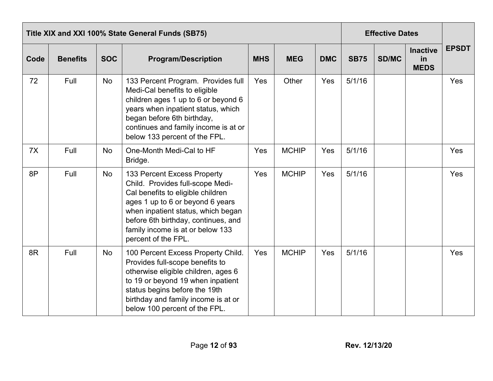|      | Title XIX and XXI 100% State General Funds (SB75) |            |                                                                                                                                                                                                                                                                                  |            |              |            |             |       | <b>Effective Dates</b>               |              |
|------|---------------------------------------------------|------------|----------------------------------------------------------------------------------------------------------------------------------------------------------------------------------------------------------------------------------------------------------------------------------|------------|--------------|------------|-------------|-------|--------------------------------------|--------------|
| Code | <b>Benefits</b>                                   | <b>SOC</b> | <b>Program/Description</b>                                                                                                                                                                                                                                                       | <b>MHS</b> | <b>MEG</b>   | <b>DMC</b> | <b>SB75</b> | SD/MC | <b>Inactive</b><br>in<br><b>MEDS</b> | <b>EPSDT</b> |
| 72   | Full                                              | <b>No</b>  | 133 Percent Program. Provides full<br>Medi-Cal benefits to eligible<br>children ages 1 up to 6 or beyond 6<br>years when inpatient status, which<br>began before 6th birthday,<br>continues and family income is at or<br>below 133 percent of the FPL.                          | Yes        | Other        | Yes        | 5/1/16      |       |                                      | Yes          |
| 7X   | Full                                              | No         | One-Month Medi-Cal to HF<br>Bridge.                                                                                                                                                                                                                                              | Yes        | <b>MCHIP</b> | Yes        | 5/1/16      |       |                                      | Yes          |
| 8P   | Full                                              | <b>No</b>  | 133 Percent Excess Property<br>Child. Provides full-scope Medi-<br>Cal benefits to eligible children<br>ages 1 up to 6 or beyond 6 years<br>when inpatient status, which began<br>before 6th birthday, continues, and<br>family income is at or below 133<br>percent of the FPL. | Yes        | <b>MCHIP</b> | Yes        | 5/1/16      |       |                                      | Yes          |
| 8R   | Full                                              | <b>No</b>  | 100 Percent Excess Property Child.<br>Provides full-scope benefits to<br>otherwise eligible children, ages 6<br>to 19 or beyond 19 when inpatient<br>status begins before the 19th<br>birthday and family income is at or<br>below 100 percent of the FPL.                       | Yes        | <b>MCHIP</b> | Yes        | 5/1/16      |       |                                      | Yes          |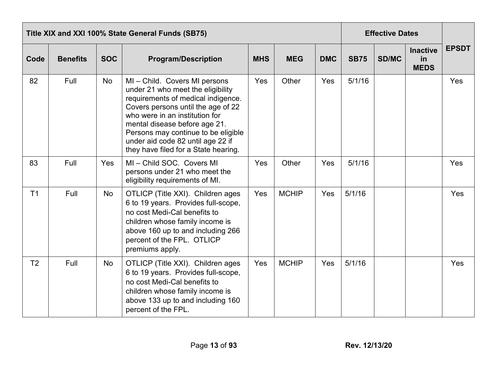|                | Title XIX and XXI 100% State General Funds (SB75) |            |                                                                                                                                                                                                                                                                                                                                     |            |              |            |             |              | <b>Effective Dates</b>               |              |  |  |
|----------------|---------------------------------------------------|------------|-------------------------------------------------------------------------------------------------------------------------------------------------------------------------------------------------------------------------------------------------------------------------------------------------------------------------------------|------------|--------------|------------|-------------|--------------|--------------------------------------|--------------|--|--|
| Code           | <b>Benefits</b>                                   | <b>SOC</b> | <b>Program/Description</b>                                                                                                                                                                                                                                                                                                          | <b>MHS</b> | <b>MEG</b>   | <b>DMC</b> | <b>SB75</b> | <b>SD/MC</b> | <b>Inactive</b><br>in<br><b>MEDS</b> | <b>EPSDT</b> |  |  |
| 82             | Full                                              | No         | MI-Child. Covers MI persons<br>under 21 who meet the eligibility<br>requirements of medical indigence.<br>Covers persons until the age of 22<br>who were in an institution for<br>mental disease before age 21.<br>Persons may continue to be eligible<br>under aid code 82 until age 22 if<br>they have filed for a State hearing. | Yes        | Other        | Yes        | 5/1/16      |              |                                      | Yes          |  |  |
| 83             | Full                                              | Yes        | MI-Child SOC. Covers MI<br>persons under 21 who meet the<br>eligibility requirements of MI.                                                                                                                                                                                                                                         | Yes        | Other        | Yes        | 5/1/16      |              |                                      | Yes          |  |  |
| T <sub>1</sub> | Full                                              | No         | OTLICP (Title XXI). Children ages<br>6 to 19 years. Provides full-scope,<br>no cost Medi-Cal benefits to<br>children whose family income is<br>above 160 up to and including 266<br>percent of the FPL. OTLICP<br>premiums apply.                                                                                                   | Yes        | <b>MCHIP</b> | Yes        | 5/1/16      |              |                                      | Yes          |  |  |
| T <sub>2</sub> | Full                                              | <b>No</b>  | OTLICP (Title XXI). Children ages<br>6 to 19 years. Provides full-scope,<br>no cost Medi-Cal benefits to<br>children whose family income is<br>above 133 up to and including 160<br>percent of the FPL.                                                                                                                             | Yes        | <b>MCHIP</b> | Yes        | 5/1/16      |              |                                      | Yes          |  |  |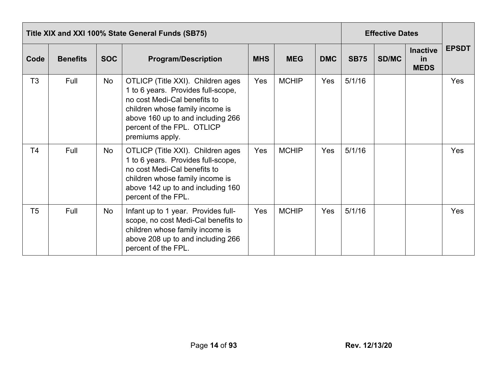|                | Title XIX and XXI 100% State General Funds (SB75) |            |                                                                                                                                                                                                                                  |            |              |            |             |              | <b>Effective Dates</b>               |              |
|----------------|---------------------------------------------------|------------|----------------------------------------------------------------------------------------------------------------------------------------------------------------------------------------------------------------------------------|------------|--------------|------------|-------------|--------------|--------------------------------------|--------------|
| Code           | <b>Benefits</b>                                   | <b>SOC</b> | <b>Program/Description</b>                                                                                                                                                                                                       | <b>MHS</b> | <b>MEG</b>   | <b>DMC</b> | <b>SB75</b> | <b>SD/MC</b> | <b>Inactive</b><br>in<br><b>MEDS</b> | <b>EPSDT</b> |
| T <sub>3</sub> | Full                                              | No         | OTLICP (Title XXI). Children ages<br>1 to 6 years. Provides full-scope,<br>no cost Medi-Cal benefits to<br>children whose family income is<br>above 160 up to and including 266<br>percent of the FPL. OTLICP<br>premiums apply. | Yes        | <b>MCHIP</b> | Yes        | 5/1/16      |              |                                      | Yes          |
| T4             | Full                                              | No         | OTLICP (Title XXI). Children ages<br>1 to 6 years. Provides full-scope,<br>no cost Medi-Cal benefits to<br>children whose family income is<br>above 142 up to and including 160<br>percent of the FPL.                           | Yes        | <b>MCHIP</b> | Yes        | 5/1/16      |              |                                      | Yes          |
| T <sub>5</sub> | Full                                              | No         | Infant up to 1 year. Provides full-<br>scope, no cost Medi-Cal benefits to<br>children whose family income is<br>above 208 up to and including 266<br>percent of the FPL.                                                        | Yes        | <b>MCHIP</b> | Yes        | 5/1/16      |              |                                      | Yes          |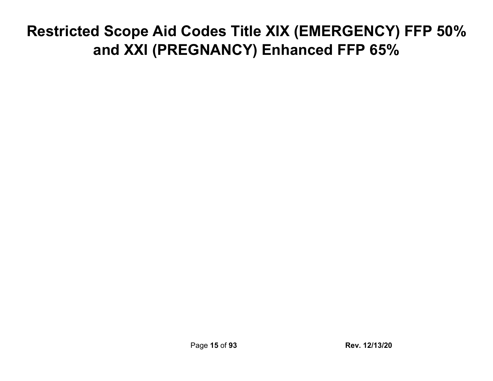## <span id="page-14-0"></span>**Restricted Scope Aid Codes Title XIX (EMERGENCY) FFP 50% and XXI (PREGNANCY) Enhanced FFP 65%**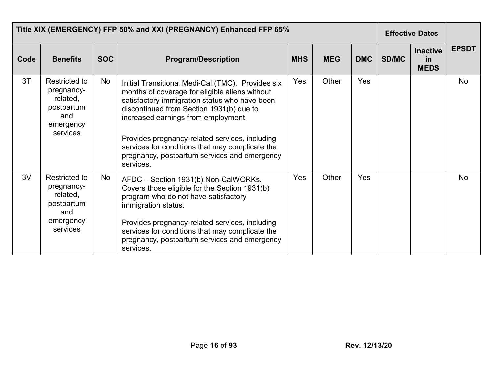|      | Title XIX (EMERGENCY) FFP 50% and XXI (PREGNANCY) Enhanced FFP 65%                    |            |                                                                                                                                                                                                                                                                                                                                                                                                           |            |            |            |       | <b>Effective Dates</b>               |              |
|------|---------------------------------------------------------------------------------------|------------|-----------------------------------------------------------------------------------------------------------------------------------------------------------------------------------------------------------------------------------------------------------------------------------------------------------------------------------------------------------------------------------------------------------|------------|------------|------------|-------|--------------------------------------|--------------|
| Code | <b>Benefits</b>                                                                       | <b>SOC</b> | <b>Program/Description</b>                                                                                                                                                                                                                                                                                                                                                                                | <b>MHS</b> | <b>MEG</b> | <b>DMC</b> | SD/MC | <b>Inactive</b><br>in<br><b>MEDS</b> | <b>EPSDT</b> |
| 3T   | Restricted to<br>pregnancy-<br>related,<br>postpartum<br>and<br>emergency<br>services | No         | Initial Transitional Medi-Cal (TMC). Provides six<br>months of coverage for eligible aliens without<br>satisfactory immigration status who have been<br>discontinued from Section 1931(b) due to<br>increased earnings from employment.<br>Provides pregnancy-related services, including<br>services for conditions that may complicate the<br>pregnancy, postpartum services and emergency<br>services. | <b>Yes</b> | Other      | <b>Yes</b> |       |                                      | No           |
| 3V   | Restricted to<br>pregnancy-<br>related,<br>postpartum<br>and<br>emergency<br>services | No         | AFDC - Section 1931(b) Non-CalWORKs.<br>Covers those eligible for the Section 1931(b)<br>program who do not have satisfactory<br>immigration status.<br>Provides pregnancy-related services, including<br>services for conditions that may complicate the<br>pregnancy, postpartum services and emergency<br>services.                                                                                    | Yes        | Other      | Yes        |       |                                      | No           |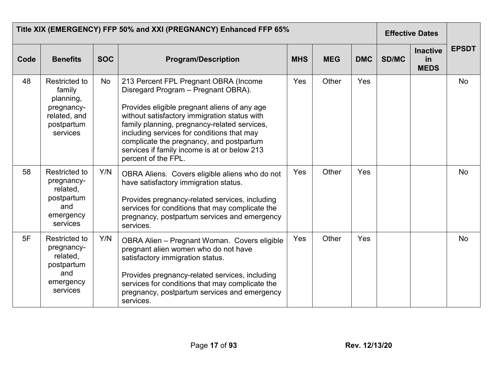|      |                                                                                                     | Title XIX (EMERGENCY) FFP 50% and XXI (PREGNANCY) Enhanced FFP 65%<br><b>Effective Dates</b> |                                                                                                                                                                                                                                                                                                                                                                                               |            |            |            |              |                                      |              |
|------|-----------------------------------------------------------------------------------------------------|----------------------------------------------------------------------------------------------|-----------------------------------------------------------------------------------------------------------------------------------------------------------------------------------------------------------------------------------------------------------------------------------------------------------------------------------------------------------------------------------------------|------------|------------|------------|--------------|--------------------------------------|--------------|
| Code | <b>Benefits</b>                                                                                     | <b>SOC</b>                                                                                   | <b>Program/Description</b>                                                                                                                                                                                                                                                                                                                                                                    | <b>MHS</b> | <b>MEG</b> | <b>DMC</b> | <b>SD/MC</b> | <b>Inactive</b><br>in<br><b>MEDS</b> | <b>EPSDT</b> |
| 48   | <b>Restricted to</b><br>family<br>planning,<br>pregnancy-<br>related, and<br>postpartum<br>services | <b>No</b>                                                                                    | 213 Percent FPL Pregnant OBRA (Income<br>Disregard Program - Pregnant OBRA).<br>Provides eligible pregnant aliens of any age<br>without satisfactory immigration status with<br>family planning, pregnancy-related services,<br>including services for conditions that may<br>complicate the pregnancy, and postpartum<br>services if family income is at or below 213<br>percent of the FPL. | Yes        | Other      | Yes        |              |                                      | <b>No</b>    |
| 58   | <b>Restricted to</b><br>pregnancy-<br>related,<br>postpartum<br>and<br>emergency<br>services        | Y/N                                                                                          | OBRA Aliens. Covers eligible aliens who do not<br>have satisfactory immigration status.<br>Provides pregnancy-related services, including<br>services for conditions that may complicate the<br>pregnancy, postpartum services and emergency<br>services.                                                                                                                                     | Yes        | Other      | Yes        |              |                                      | <b>No</b>    |
| 5F   | Restricted to<br>pregnancy-<br>related,<br>postpartum<br>and<br>emergency<br>services               | Y/N                                                                                          | OBRA Alien - Pregnant Woman. Covers eligible<br>pregnant alien women who do not have<br>satisfactory immigration status.<br>Provides pregnancy-related services, including<br>services for conditions that may complicate the<br>pregnancy, postpartum services and emergency<br>services.                                                                                                    | Yes        | Other      | Yes        |              |                                      | <b>No</b>    |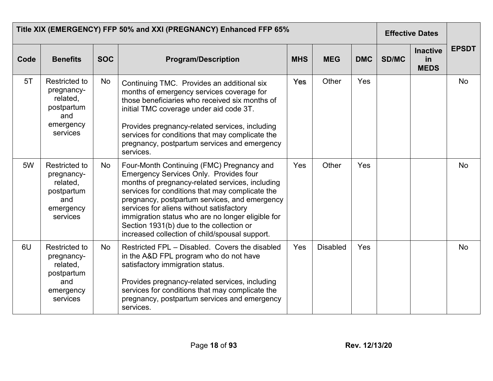|      | Title XIX (EMERGENCY) FFP 50% and XXI (PREGNANCY) Enhanced FFP 65%                           |            |                                                                                                                                                                                                                                                                                                                                                                                                                                                  |            |                 |            |              | <b>Effective Dates</b>               |              |
|------|----------------------------------------------------------------------------------------------|------------|--------------------------------------------------------------------------------------------------------------------------------------------------------------------------------------------------------------------------------------------------------------------------------------------------------------------------------------------------------------------------------------------------------------------------------------------------|------------|-----------------|------------|--------------|--------------------------------------|--------------|
| Code | <b>Benefits</b>                                                                              | <b>SOC</b> | <b>Program/Description</b>                                                                                                                                                                                                                                                                                                                                                                                                                       | <b>MHS</b> | <b>MEG</b>      | <b>DMC</b> | <b>SD/MC</b> | <b>Inactive</b><br>in<br><b>MEDS</b> | <b>EPSDT</b> |
| 5T   | Restricted to<br>pregnancy-<br>related.<br>postpartum<br>and<br>emergency<br>services        | No         | Continuing TMC. Provides an additional six<br>months of emergency services coverage for<br>those beneficiaries who received six months of<br>initial TMC coverage under aid code 3T.<br>Provides pregnancy-related services, including<br>services for conditions that may complicate the<br>pregnancy, postpartum services and emergency<br>services.                                                                                           | Yes        | Other           | Yes        |              |                                      | <b>No</b>    |
| 5W   | <b>Restricted to</b><br>pregnancy-<br>related.<br>postpartum<br>and<br>emergency<br>services | No         | Four-Month Continuing (FMC) Pregnancy and<br><b>Emergency Services Only. Provides four</b><br>months of pregnancy-related services, including<br>services for conditions that may complicate the<br>pregnancy, postpartum services, and emergency<br>services for aliens without satisfactory<br>immigration status who are no longer eligible for<br>Section 1931(b) due to the collection or<br>increased collection of child/spousal support. | Yes        | Other           | Yes        |              |                                      | No           |
| 6U   | <b>Restricted to</b><br>pregnancy-<br>related,<br>postpartum<br>and<br>emergency<br>services | <b>No</b>  | Restricted FPL - Disabled. Covers the disabled<br>in the A&D FPL program who do not have<br>satisfactory immigration status.<br>Provides pregnancy-related services, including<br>services for conditions that may complicate the<br>pregnancy, postpartum services and emergency<br>services.                                                                                                                                                   | Yes        | <b>Disabled</b> | Yes        |              |                                      | <b>No</b>    |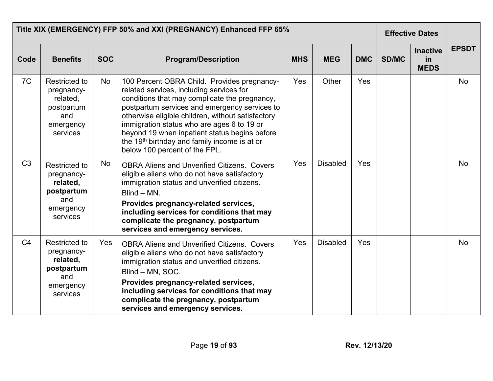|                | Title XIX (EMERGENCY) FFP 50% and XXI (PREGNANCY) Enhanced FFP 65%                           |            |                                                                                                                                                                                                                                                                                                                                                                                                                                            | <b>Effective Dates</b> |                 |            |       |                                      |              |
|----------------|----------------------------------------------------------------------------------------------|------------|--------------------------------------------------------------------------------------------------------------------------------------------------------------------------------------------------------------------------------------------------------------------------------------------------------------------------------------------------------------------------------------------------------------------------------------------|------------------------|-----------------|------------|-------|--------------------------------------|--------------|
| Code           | <b>Benefits</b>                                                                              | <b>SOC</b> | <b>Program/Description</b>                                                                                                                                                                                                                                                                                                                                                                                                                 | <b>MHS</b>             | <b>MEG</b>      | <b>DMC</b> | SD/MC | <b>Inactive</b><br>in<br><b>MEDS</b> | <b>EPSDT</b> |
| 7C             | <b>Restricted to</b><br>pregnancy-<br>related,<br>postpartum<br>and<br>emergency<br>services | No         | 100 Percent OBRA Child. Provides pregnancy-<br>related services, including services for<br>conditions that may complicate the pregnancy,<br>postpartum services and emergency services to<br>otherwise eligible children, without satisfactory<br>immigration status who are ages 6 to 19 or<br>beyond 19 when inpatient status begins before<br>the 19 <sup>th</sup> birthday and family income is at or<br>below 100 percent of the FPL. | Yes                    | Other           | Yes        |       |                                      | <b>No</b>    |
| C <sub>3</sub> | <b>Restricted to</b><br>pregnancy-<br>related,<br>postpartum<br>and<br>emergency<br>services | No         | <b>OBRA Aliens and Unverified Citizens. Covers</b><br>eligible aliens who do not have satisfactory<br>immigration status and unverified citizens.<br>Blind - MN.<br>Provides pregnancy-related services,<br>including services for conditions that may<br>complicate the pregnancy, postpartum<br>services and emergency services.                                                                                                         | Yes                    | <b>Disabled</b> | Yes        |       |                                      | <b>No</b>    |
| C <sub>4</sub> | <b>Restricted to</b><br>pregnancy-<br>related,<br>postpartum<br>and<br>emergency<br>services | Yes        | <b>OBRA Aliens and Unverified Citizens. Covers</b><br>eligible aliens who do not have satisfactory<br>immigration status and unverified citizens.<br>Blind - MN, SOC.<br>Provides pregnancy-related services,<br>including services for conditions that may<br>complicate the pregnancy, postpartum<br>services and emergency services.                                                                                                    | Yes                    | <b>Disabled</b> | Yes        |       |                                      | <b>No</b>    |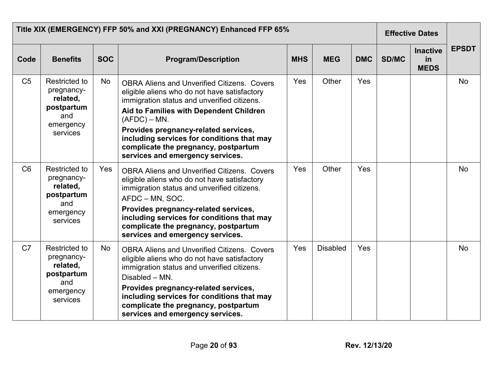| Title XIX (EMERGENCY) FFP 50% and XXI (PREGNANCY) Enhanced FFP 65% |                                                                                              |            |                                                                                                                                                                                                                                                                                                                                                                                   |            |                 |            |              | <b>Effective Dates</b>                      |              |
|--------------------------------------------------------------------|----------------------------------------------------------------------------------------------|------------|-----------------------------------------------------------------------------------------------------------------------------------------------------------------------------------------------------------------------------------------------------------------------------------------------------------------------------------------------------------------------------------|------------|-----------------|------------|--------------|---------------------------------------------|--------------|
| Code                                                               | <b>Benefits</b>                                                                              | <b>SOC</b> | <b>Program/Description</b>                                                                                                                                                                                                                                                                                                                                                        | <b>MHS</b> | <b>MEG</b>      | <b>DMC</b> | <b>SD/MC</b> | <b>Inactive</b><br><b>in</b><br><b>MEDS</b> | <b>EPSDT</b> |
| C <sub>5</sub>                                                     | <b>Restricted to</b><br>pregnancy-<br>related,<br>postpartum<br>and<br>emergency<br>services | <b>No</b>  | <b>OBRA Aliens and Unverified Citizens. Covers</b><br>eligible aliens who do not have satisfactory<br>immigration status and unverified citizens.<br>Aid to Families with Dependent Children<br>$(AFDC) - MN$ .<br>Provides pregnancy-related services,<br>including services for conditions that may<br>complicate the pregnancy, postpartum<br>services and emergency services. | Yes        | Other           | Yes        |              |                                             | No           |
| C <sub>6</sub>                                                     | <b>Restricted to</b><br>pregnancy-<br>related,<br>postpartum<br>and<br>emergency<br>services | Yes        | <b>OBRA Aliens and Unverified Citizens. Covers</b><br>eligible aliens who do not have satisfactory<br>immigration status and unverified citizens.<br>AFDC - MN, SOC.<br>Provides pregnancy-related services,<br>including services for conditions that may<br>complicate the pregnancy, postpartum<br>services and emergency services.                                            | Yes        | Other           | Yes        |              |                                             | <b>No</b>    |
| C <sub>7</sub>                                                     | Restricted to<br>pregnancy-<br>related,<br>postpartum<br>and<br>emergency<br>services        | <b>No</b>  | <b>OBRA Aliens and Unverified Citizens. Covers</b><br>eligible aliens who do not have satisfactory<br>immigration status and unverified citizens.<br>Disabled - MN.<br>Provides pregnancy-related services,<br>including services for conditions that may<br>complicate the pregnancy, postpartum<br>services and emergency services.                                             | Yes        | <b>Disabled</b> | Yes        |              |                                             | <b>No</b>    |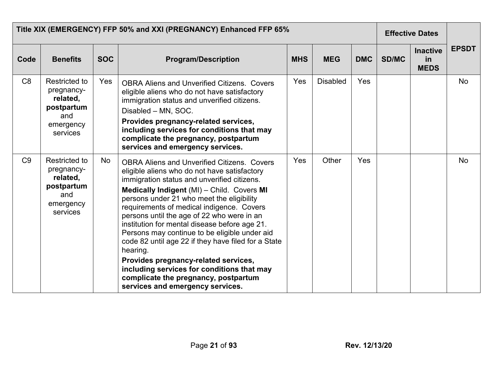|                | Title XIX (EMERGENCY) FFP 50% and XXI (PREGNANCY) Enhanced FFP 65%                           |            |                                                                                                                                                                                                                                                                                                                                                                                                                                                                                                                                                                                                                                                                                |            |                 |            | <b>Effective Dates</b> |                                      |              |
|----------------|----------------------------------------------------------------------------------------------|------------|--------------------------------------------------------------------------------------------------------------------------------------------------------------------------------------------------------------------------------------------------------------------------------------------------------------------------------------------------------------------------------------------------------------------------------------------------------------------------------------------------------------------------------------------------------------------------------------------------------------------------------------------------------------------------------|------------|-----------------|------------|------------------------|--------------------------------------|--------------|
| Code           | <b>Benefits</b>                                                                              | <b>SOC</b> | <b>Program/Description</b>                                                                                                                                                                                                                                                                                                                                                                                                                                                                                                                                                                                                                                                     | <b>MHS</b> | <b>MEG</b>      | <b>DMC</b> | <b>SD/MC</b>           | <b>Inactive</b><br>in<br><b>MEDS</b> | <b>EPSDT</b> |
| C <sub>8</sub> | Restricted to<br>pregnancy-<br>related,<br>postpartum<br>and<br>emergency<br>services        | <b>Yes</b> | <b>OBRA Aliens and Unverified Citizens. Covers</b><br>eligible aliens who do not have satisfactory<br>immigration status and unverified citizens.<br>Disabled - MN, SOC.<br>Provides pregnancy-related services,<br>including services for conditions that may<br>complicate the pregnancy, postpartum<br>services and emergency services.                                                                                                                                                                                                                                                                                                                                     | Yes        | <b>Disabled</b> | <b>Yes</b> |                        |                                      | <b>No</b>    |
| C <sub>9</sub> | <b>Restricted to</b><br>pregnancy-<br>related,<br>postpartum<br>and<br>emergency<br>services | No         | <b>OBRA Aliens and Unverified Citizens. Covers</b><br>eligible aliens who do not have satisfactory<br>immigration status and unverified citizens.<br>Medically Indigent (MI) - Child. Covers MI<br>persons under 21 who meet the eligibility<br>requirements of medical indigence. Covers<br>persons until the age of 22 who were in an<br>institution for mental disease before age 21.<br>Persons may continue to be eligible under aid<br>code 82 until age 22 if they have filed for a State<br>hearing.<br>Provides pregnancy-related services,<br>including services for conditions that may<br>complicate the pregnancy, postpartum<br>services and emergency services. | Yes        | Other           | Yes        |                        |                                      | <b>No</b>    |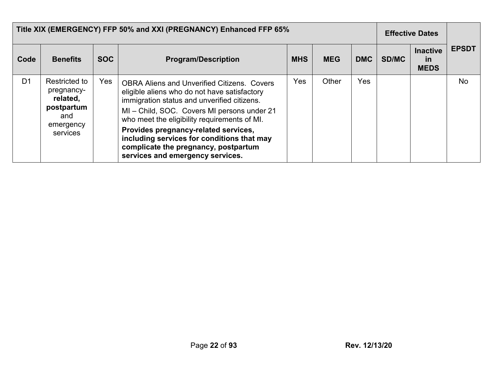|                | Title XIX (EMERGENCY) FFP 50% and XXI (PREGNANCY) Enhanced FFP 65% |            | <b>Effective Dates</b>                                                                                                                                                                                         |            |            |            |              |                                             |              |
|----------------|--------------------------------------------------------------------|------------|----------------------------------------------------------------------------------------------------------------------------------------------------------------------------------------------------------------|------------|------------|------------|--------------|---------------------------------------------|--------------|
| Code           | <b>Benefits</b>                                                    | <b>SOC</b> | <b>Program/Description</b>                                                                                                                                                                                     | <b>MHS</b> | <b>MEG</b> | <b>DMC</b> | <b>SD/MC</b> | <b>Inactive</b><br><u>in</u><br><b>MEDS</b> | <b>EPSDT</b> |
| D <sub>1</sub> | Restricted to<br>pregnancy-<br>related,<br>postpartum<br>and       | Yes        | <b>OBRA Aliens and Unverified Citizens. Covers</b><br>eligible aliens who do not have satisfactory<br>immigration status and unverified citizens.<br>MI - Child, SOC. Covers MI persons under 21               | Yes        | Other      | <b>Yes</b> |              |                                             | No           |
|                | emergency<br>services                                              |            | who meet the eligibility requirements of MI.<br>Provides pregnancy-related services,<br>including services for conditions that may<br>complicate the pregnancy, postpartum<br>services and emergency services. |            |            |            |              |                                             |              |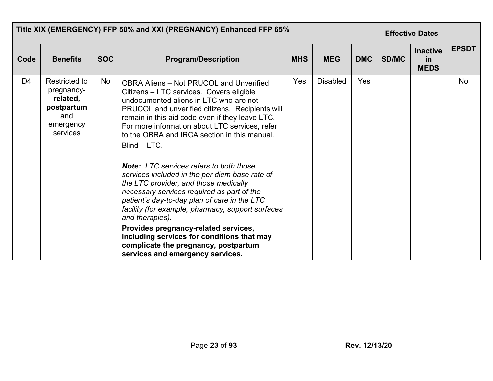|      | Title XIX (EMERGENCY) FFP 50% and XXI (PREGNANCY) Enhanced FFP 65%                    |            |                                                                                                                                                                                                                                                                                                                                                                                                                                                                                                                                                                                                                                                                                                                                                                                                                                                   |            |                 |            | <b>Effective Dates</b> |                                      |              |
|------|---------------------------------------------------------------------------------------|------------|---------------------------------------------------------------------------------------------------------------------------------------------------------------------------------------------------------------------------------------------------------------------------------------------------------------------------------------------------------------------------------------------------------------------------------------------------------------------------------------------------------------------------------------------------------------------------------------------------------------------------------------------------------------------------------------------------------------------------------------------------------------------------------------------------------------------------------------------------|------------|-----------------|------------|------------------------|--------------------------------------|--------------|
| Code | <b>Benefits</b>                                                                       | <b>SOC</b> | <b>Program/Description</b>                                                                                                                                                                                                                                                                                                                                                                                                                                                                                                                                                                                                                                                                                                                                                                                                                        | <b>MHS</b> | <b>MEG</b>      | <b>DMC</b> | <b>SD/MC</b>           | <b>Inactive</b><br>in<br><b>MEDS</b> | <b>EPSDT</b> |
| D4   | Restricted to<br>pregnancy-<br>related,<br>postpartum<br>and<br>emergency<br>services | No         | <b>OBRA Aliens - Not PRUCOL and Unverified</b><br>Citizens - LTC services. Covers eligible<br>undocumented aliens in LTC who are not<br>PRUCOL and unverified citizens. Recipients will<br>remain in this aid code even if they leave LTC.<br>For more information about LTC services, refer<br>to the OBRA and IRCA section in this manual.<br>Blind - LTC.<br><b>Note:</b> LTC services refers to both those<br>services included in the per diem base rate of<br>the LTC provider, and those medically<br>necessary services required as part of the<br>patient's day-to-day plan of care in the LTC<br>facility (for example, pharmacy, support surfaces<br>and therapies).<br>Provides pregnancy-related services,<br>including services for conditions that may<br>complicate the pregnancy, postpartum<br>services and emergency services. | Yes        | <b>Disabled</b> | <b>Yes</b> |                        |                                      | <b>No</b>    |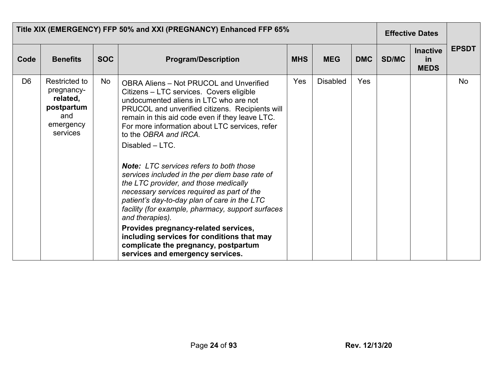|                | Title XIX (EMERGENCY) FFP 50% and XXI (PREGNANCY) Enhanced FFP 65%                    |            |                                                                                                                                                                                                                                                                                                                                                                                                                                                                                                                                                                                                                                                                                                                                                                                                                               |            |                 |            | <b>Effective Dates</b> |                                      |              |
|----------------|---------------------------------------------------------------------------------------|------------|-------------------------------------------------------------------------------------------------------------------------------------------------------------------------------------------------------------------------------------------------------------------------------------------------------------------------------------------------------------------------------------------------------------------------------------------------------------------------------------------------------------------------------------------------------------------------------------------------------------------------------------------------------------------------------------------------------------------------------------------------------------------------------------------------------------------------------|------------|-----------------|------------|------------------------|--------------------------------------|--------------|
| Code           | <b>Benefits</b>                                                                       | <b>SOC</b> | <b>Program/Description</b>                                                                                                                                                                                                                                                                                                                                                                                                                                                                                                                                                                                                                                                                                                                                                                                                    | <b>MHS</b> | <b>MEG</b>      | <b>DMC</b> | <b>SD/MC</b>           | <b>Inactive</b><br>in<br><b>MEDS</b> | <b>EPSDT</b> |
| D <sub>6</sub> | Restricted to<br>pregnancy-<br>related,<br>postpartum<br>and<br>emergency<br>services | No         | <b>OBRA Aliens - Not PRUCOL and Unverified</b><br>Citizens - LTC services. Covers eligible<br>undocumented aliens in LTC who are not<br>PRUCOL and unverified citizens. Recipients will<br>remain in this aid code even if they leave LTC.<br>For more information about LTC services, refer<br>to the OBRA and IRCA.<br>Disabled - LTC.<br><b>Note:</b> LTC services refers to both those<br>services included in the per diem base rate of<br>the LTC provider, and those medically<br>necessary services required as part of the<br>patient's day-to-day plan of care in the LTC<br>facility (for example, pharmacy, support surfaces<br>and therapies).<br>Provides pregnancy-related services,<br>including services for conditions that may<br>complicate the pregnancy, postpartum<br>services and emergency services. | Yes        | <b>Disabled</b> | Yes        |                        |                                      | <b>No</b>    |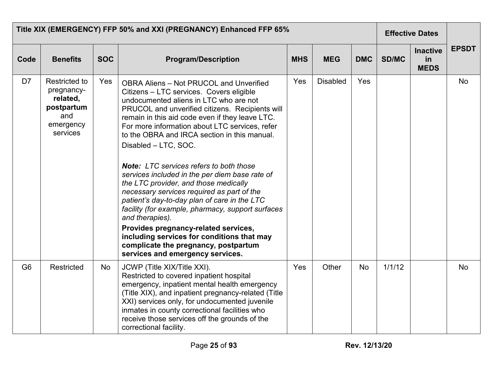|                | Title XIX (EMERGENCY) FFP 50% and XXI (PREGNANCY) Enhanced FFP 65%                           |            |                                                                                                                                                                                                                                                                                                                                                                                                                                                                                                                                                                                                                                                                                                                                                                                                                                                           |            |                 |            |              | <b>Effective Dates</b>               |              |
|----------------|----------------------------------------------------------------------------------------------|------------|-----------------------------------------------------------------------------------------------------------------------------------------------------------------------------------------------------------------------------------------------------------------------------------------------------------------------------------------------------------------------------------------------------------------------------------------------------------------------------------------------------------------------------------------------------------------------------------------------------------------------------------------------------------------------------------------------------------------------------------------------------------------------------------------------------------------------------------------------------------|------------|-----------------|------------|--------------|--------------------------------------|--------------|
| Code           | <b>Benefits</b>                                                                              | <b>SOC</b> | <b>Program/Description</b>                                                                                                                                                                                                                                                                                                                                                                                                                                                                                                                                                                                                                                                                                                                                                                                                                                | <b>MHS</b> | <b>MEG</b>      | <b>DMC</b> | <b>SD/MC</b> | <b>Inactive</b><br>in<br><b>MEDS</b> | <b>EPSDT</b> |
| D7             | <b>Restricted to</b><br>pregnancy-<br>related,<br>postpartum<br>and<br>emergency<br>services | Yes        | <b>OBRA Aliens - Not PRUCOL and Unverified</b><br>Citizens - LTC services. Covers eligible<br>undocumented aliens in LTC who are not<br>PRUCOL and unverified citizens. Recipients will<br>remain in this aid code even if they leave LTC.<br>For more information about LTC services, refer<br>to the OBRA and IRCA section in this manual.<br>Disabled - LTC, SOC.<br><b>Note:</b> LTC services refers to both those<br>services included in the per diem base rate of<br>the LTC provider, and those medically<br>necessary services required as part of the<br>patient's day-to-day plan of care in the LTC<br>facility (for example, pharmacy, support surfaces<br>and therapies).<br>Provides pregnancy-related services,<br>including services for conditions that may<br>complicate the pregnancy, postpartum<br>services and emergency services. | Yes        | <b>Disabled</b> | Yes        |              |                                      | No           |
| G <sub>6</sub> | Restricted                                                                                   | No         | JCWP (Title XIX/Title XXI).<br>Restricted to covered inpatient hospital<br>emergency, inpatient mental health emergency<br>(Title XIX), and inpatient pregnancy-related (Title<br>XXI) services only, for undocumented juvenile<br>inmates in county correctional facilities who<br>receive those services off the grounds of the<br>correctional facility.                                                                                                                                                                                                                                                                                                                                                                                                                                                                                               | Yes        | Other           | <b>No</b>  | 1/1/12       |                                      | <b>No</b>    |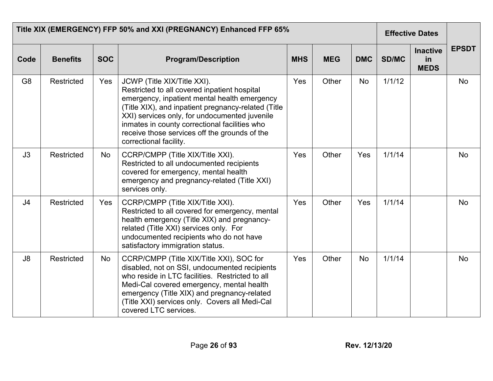|                | Title XIX (EMERGENCY) FFP 50% and XXI (PREGNANCY) Enhanced FFP 65% |            |                                                                                                                                                                                                                                                                                                                                                                 |            |            |            |        | <b>Effective Dates</b>               |              |
|----------------|--------------------------------------------------------------------|------------|-----------------------------------------------------------------------------------------------------------------------------------------------------------------------------------------------------------------------------------------------------------------------------------------------------------------------------------------------------------------|------------|------------|------------|--------|--------------------------------------|--------------|
| Code           | <b>Benefits</b>                                                    | <b>SOC</b> | <b>Program/Description</b>                                                                                                                                                                                                                                                                                                                                      | <b>MHS</b> | <b>MEG</b> | <b>DMC</b> | SD/MC  | <b>Inactive</b><br>in<br><b>MEDS</b> | <b>EPSDT</b> |
| G <sub>8</sub> | Restricted                                                         | Yes        | JCWP (Title XIX/Title XXI).<br>Restricted to all covered inpatient hospital<br>emergency, inpatient mental health emergency<br>(Title XIX), and inpatient pregnancy-related (Title<br>XXI) services only, for undocumented juvenile<br>inmates in county correctional facilities who<br>receive those services off the grounds of the<br>correctional facility. | Yes        | Other      | No         | 1/1/12 |                                      | <b>No</b>    |
| J3             | Restricted                                                         | No         | CCRP/CMPP (Title XIX/Title XXI).<br>Restricted to all undocumented recipients<br>covered for emergency, mental health<br>emergency and pregnancy-related (Title XXI)<br>services only.                                                                                                                                                                          | Yes        | Other      | Yes        | 1/1/14 |                                      | No           |
| J <sub>4</sub> | <b>Restricted</b>                                                  | Yes        | CCRP/CMPP (Title XIX/Title XXI).<br>Restricted to all covered for emergency, mental<br>health emergency (Title XIX) and pregnancy-<br>related (Title XXI) services only. For<br>undocumented recipients who do not have<br>satisfactory immigration status.                                                                                                     | Yes        | Other      | Yes        | 1/1/14 |                                      | <b>No</b>    |
| J8             | Restricted                                                         | No         | CCRP/CMPP (Title XIX/Title XXI), SOC for<br>disabled, not on SSI, undocumented recipients<br>who reside in LTC facilities. Restricted to all<br>Medi-Cal covered emergency, mental health<br>emergency (Title XIX) and pregnancy-related<br>(Title XXI) services only. Covers all Medi-Cal<br>covered LTC services.                                             | Yes        | Other      | <b>No</b>  | 1/1/14 |                                      | <b>No</b>    |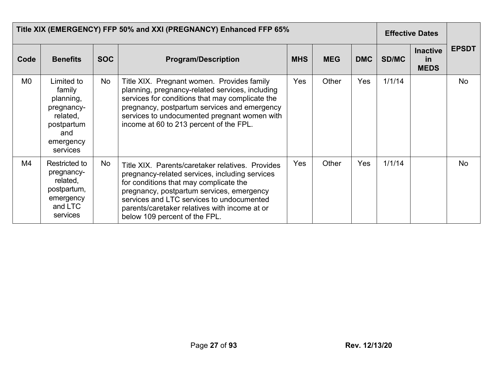|                | Title XIX (EMERGENCY) FFP 50% and XXI (PREGNANCY) Enhanced FFP 65%                                        |            |                                                                                                                                                                                                                                                                                                                          |            |            |            |              | <b>Effective Dates</b>               |              |
|----------------|-----------------------------------------------------------------------------------------------------------|------------|--------------------------------------------------------------------------------------------------------------------------------------------------------------------------------------------------------------------------------------------------------------------------------------------------------------------------|------------|------------|------------|--------------|--------------------------------------|--------------|
| Code           | <b>Benefits</b>                                                                                           | <b>SOC</b> | <b>Program/Description</b>                                                                                                                                                                                                                                                                                               | <b>MHS</b> | <b>MEG</b> | <b>DMC</b> | <b>SD/MC</b> | <b>Inactive</b><br>in<br><b>MEDS</b> | <b>EPSDT</b> |
| M <sub>0</sub> | Limited to<br>family<br>planning,<br>pregnancy-<br>related,<br>postpartum<br>and<br>emergency<br>services | No         | Title XIX. Pregnant women. Provides family<br>planning, pregnancy-related services, including<br>services for conditions that may complicate the<br>pregnancy, postpartum services and emergency<br>services to undocumented pregnant women with<br>income at 60 to 213 percent of the FPL.                              | Yes        | Other      | Yes        | 1/1/14       |                                      | <b>No</b>    |
| M4             | Restricted to<br>pregnancy-<br>related,<br>postpartum,<br>emergency<br>and LTC<br>services                | No         | Title XIX. Parents/caretaker relatives. Provides<br>pregnancy-related services, including services<br>for conditions that may complicate the<br>pregnancy, postpartum services, emergency<br>services and LTC services to undocumented<br>parents/caretaker relatives with income at or<br>below 109 percent of the FPL. | Yes        | Other      | Yes        | 1/1/14       |                                      | <b>No</b>    |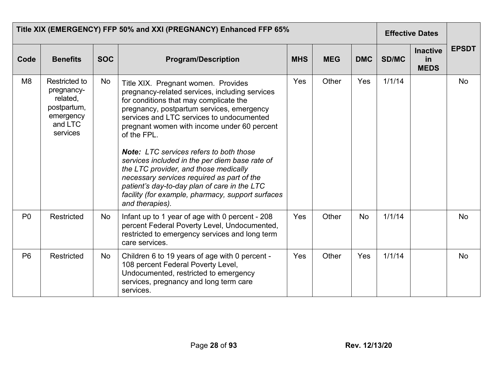|                | Title XIX (EMERGENCY) FFP 50% and XXI (PREGNANCY) Enhanced FFP 65%                         |            |                                                                                                                                                                                                                                                                                                                                                                                                                                                                                                                                                                                                            |            |            |            |              |                                      |              |
|----------------|--------------------------------------------------------------------------------------------|------------|------------------------------------------------------------------------------------------------------------------------------------------------------------------------------------------------------------------------------------------------------------------------------------------------------------------------------------------------------------------------------------------------------------------------------------------------------------------------------------------------------------------------------------------------------------------------------------------------------------|------------|------------|------------|--------------|--------------------------------------|--------------|
| Code           | <b>Benefits</b>                                                                            | <b>SOC</b> | <b>Program/Description</b>                                                                                                                                                                                                                                                                                                                                                                                                                                                                                                                                                                                 | <b>MHS</b> | <b>MEG</b> | <b>DMC</b> | <b>SD/MC</b> | <b>Inactive</b><br>in<br><b>MEDS</b> | <b>EPSDT</b> |
| M <sub>8</sub> | Restricted to<br>pregnancy-<br>related,<br>postpartum,<br>emergency<br>and LTC<br>services | No         | Title XIX. Pregnant women. Provides<br>pregnancy-related services, including services<br>for conditions that may complicate the<br>pregnancy, postpartum services, emergency<br>services and LTC services to undocumented<br>pregnant women with income under 60 percent<br>of the FPL.<br><b>Note:</b> LTC services refers to both those<br>services included in the per diem base rate of<br>the LTC provider, and those medically<br>necessary services required as part of the<br>patient's day-to-day plan of care in the LTC<br>facility (for example, pharmacy, support surfaces<br>and therapies). | Yes        | Other      | Yes        | 1/1/14       |                                      | <b>No</b>    |
| P <sub>0</sub> | <b>Restricted</b>                                                                          | No         | Infant up to 1 year of age with 0 percent - 208<br>percent Federal Poverty Level, Undocumented,<br>restricted to emergency services and long term<br>care services.                                                                                                                                                                                                                                                                                                                                                                                                                                        | Yes        | Other      | No         | 1/1/14       |                                      | No           |
| P <sub>6</sub> | Restricted                                                                                 | No         | Children 6 to 19 years of age with 0 percent -<br>108 percent Federal Poverty Level,<br>Undocumented, restricted to emergency<br>services, pregnancy and long term care<br>services.                                                                                                                                                                                                                                                                                                                                                                                                                       | Yes        | Other      | Yes        | 1/1/14       |                                      | <b>No</b>    |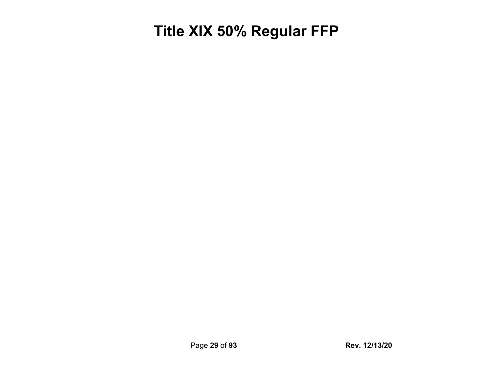#### <span id="page-28-0"></span>**Title XIX 50% Regular FFP**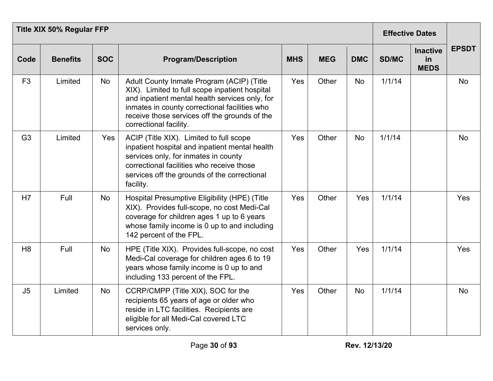|                | <b>Title XIX 50% Regular FFP</b> | <b>Effective Dates</b> |                                                                                                                                                                                                                                                                           |            |            |            |        |                                      |              |
|----------------|----------------------------------|------------------------|---------------------------------------------------------------------------------------------------------------------------------------------------------------------------------------------------------------------------------------------------------------------------|------------|------------|------------|--------|--------------------------------------|--------------|
| Code           | <b>Benefits</b>                  | <b>SOC</b>             | <b>Program/Description</b>                                                                                                                                                                                                                                                | <b>MHS</b> | <b>MEG</b> | <b>DMC</b> | SD/MC  | <b>Inactive</b><br>in<br><b>MEDS</b> | <b>EPSDT</b> |
| F <sub>3</sub> | Limited                          | No                     | Adult County Inmate Program (ACIP) (Title<br>XIX). Limited to full scope inpatient hospital<br>and inpatient mental health services only, for<br>inmates in county correctional facilities who<br>receive those services off the grounds of the<br>correctional facility. | Yes        | Other      | No         | 1/1/14 |                                      | <b>No</b>    |
| G <sub>3</sub> | Limited                          | Yes                    | ACIP (Title XIX). Limited to full scope<br>inpatient hospital and inpatient mental health<br>services only, for inmates in county<br>correctional facilities who receive those<br>services off the grounds of the correctional<br>facility.                               | Yes        | Other      | <b>No</b>  | 1/1/14 |                                      | No           |
| H7             | Full                             | <b>No</b>              | Hospital Presumptive Eligibility (HPE) (Title<br>XIX). Provides full-scope, no cost Medi-Cal<br>coverage for children ages 1 up to 6 years<br>whose family income is 0 up to and including<br>142 percent of the FPL.                                                     | Yes        | Other      | Yes        | 1/1/14 |                                      | Yes          |
| H <sub>8</sub> | Full                             | No                     | HPE (Title XIX). Provides full-scope, no cost<br>Medi-Cal coverage for children ages 6 to 19<br>years whose family income is 0 up to and<br>including 133 percent of the FPL.                                                                                             | Yes        | Other      | Yes        | 1/1/14 |                                      | <b>Yes</b>   |
| J <sub>5</sub> | Limited                          | No                     | CCRP/CMPP (Title XIX), SOC for the<br>recipients 65 years of age or older who<br>reside in LTC facilities. Recipients are<br>eligible for all Medi-Cal covered LTC<br>services only.                                                                                      | Yes        | Other      | <b>No</b>  | 1/1/14 |                                      | <b>No</b>    |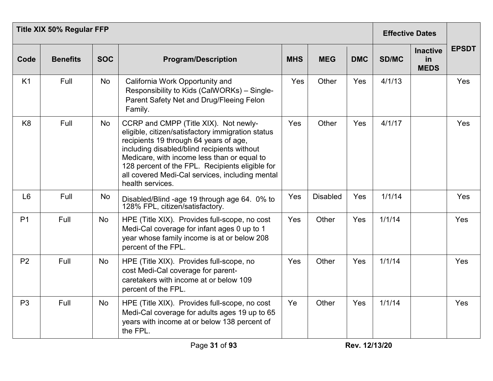|                | <b>Title XIX 50% Regular FFP</b> | <b>Effective Dates</b> |                                                                                                                                                                                                                                                                                                                                                              |            |                 |            |        |                                      |              |
|----------------|----------------------------------|------------------------|--------------------------------------------------------------------------------------------------------------------------------------------------------------------------------------------------------------------------------------------------------------------------------------------------------------------------------------------------------------|------------|-----------------|------------|--------|--------------------------------------|--------------|
| Code           | <b>Benefits</b>                  | <b>SOC</b>             | <b>Program/Description</b>                                                                                                                                                                                                                                                                                                                                   | <b>MHS</b> | <b>MEG</b>      | <b>DMC</b> | SD/MC  | <b>Inactive</b><br>in<br><b>MEDS</b> | <b>EPSDT</b> |
| K <sub>1</sub> | Full                             | No                     | California Work Opportunity and<br>Responsibility to Kids (CalWORKs) - Single-<br>Parent Safety Net and Drug/Fleeing Felon<br>Family.                                                                                                                                                                                                                        | Yes        | Other           | Yes        | 4/1/13 |                                      | Yes          |
| K <sub>8</sub> | Full                             | <b>No</b>              | CCRP and CMPP (Title XIX). Not newly-<br>eligible, citizen/satisfactory immigration status<br>recipients 19 through 64 years of age,<br>including disabled/blind recipients without<br>Medicare, with income less than or equal to<br>128 percent of the FPL. Recipients eligible for<br>all covered Medi-Cal services, including mental<br>health services. | Yes        | Other           | Yes        | 4/1/17 |                                      | Yes          |
| L <sub>6</sub> | Full                             | No                     | Disabled/Blind -age 19 through age 64. 0% to<br>128% FPL, citizen/satisfactory.                                                                                                                                                                                                                                                                              | Yes        | <b>Disabled</b> | Yes        | 1/1/14 |                                      | Yes          |
| P <sub>1</sub> | Full                             | <b>No</b>              | HPE (Title XIX). Provides full-scope, no cost<br>Medi-Cal coverage for infant ages 0 up to 1<br>year whose family income is at or below 208<br>percent of the FPL.                                                                                                                                                                                           | Yes        | Other           | Yes        | 1/1/14 |                                      | Yes          |
| P <sub>2</sub> | Full                             | <b>No</b>              | HPE (Title XIX). Provides full-scope, no<br>cost Medi-Cal coverage for parent-<br>caretakers with income at or below 109<br>percent of the FPL.                                                                                                                                                                                                              | Yes        | Other           | Yes        | 1/1/14 |                                      | Yes          |
| P <sub>3</sub> | Full                             | No                     | HPE (Title XIX). Provides full-scope, no cost<br>Medi-Cal coverage for adults ages 19 up to 65<br>years with income at or below 138 percent of<br>the FPL.                                                                                                                                                                                                   | Ye         | Other           | Yes        | 1/1/14 |                                      | Yes          |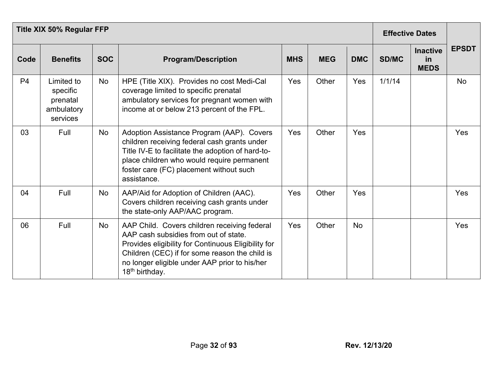| <b>Title XIX 50% Regular FFP</b> |                                                              |            |                                                                                                                                                                                                                                                                               |            |            |            |              | <b>Effective Dates</b>               |              |  |
|----------------------------------|--------------------------------------------------------------|------------|-------------------------------------------------------------------------------------------------------------------------------------------------------------------------------------------------------------------------------------------------------------------------------|------------|------------|------------|--------------|--------------------------------------|--------------|--|
| Code                             | <b>Benefits</b>                                              | <b>SOC</b> | <b>Program/Description</b>                                                                                                                                                                                                                                                    | <b>MHS</b> | <b>MEG</b> | <b>DMC</b> | <b>SD/MC</b> | <b>Inactive</b><br>in<br><b>MEDS</b> | <b>EPSDT</b> |  |
| P <sub>4</sub>                   | Limited to<br>specific<br>prenatal<br>ambulatory<br>services | No         | HPE (Title XIX). Provides no cost Medi-Cal<br>coverage limited to specific prenatal<br>ambulatory services for pregnant women with<br>income at or below 213 percent of the FPL.                                                                                              | Yes        | Other      | Yes        | 1/1/14       |                                      | <b>No</b>    |  |
| 03                               | Full                                                         | No         | Adoption Assistance Program (AAP). Covers<br>children receiving federal cash grants under<br>Title IV-E to facilitate the adoption of hard-to-<br>place children who would require permanent<br>foster care (FC) placement without such<br>assistance.                        | Yes        | Other      | Yes        |              |                                      | Yes          |  |
| 04                               | Full                                                         | No         | AAP/Aid for Adoption of Children (AAC).<br>Covers children receiving cash grants under<br>the state-only AAP/AAC program.                                                                                                                                                     | Yes        | Other      | Yes        |              |                                      | Yes          |  |
| 06                               | Full                                                         | No         | AAP Child. Covers children receiving federal<br>AAP cash subsidies from out of state.<br>Provides eligibility for Continuous Eligibility for<br>Children (CEC) if for some reason the child is<br>no longer eligible under AAP prior to his/her<br>18 <sup>th</sup> birthday. | Yes        | Other      | <b>No</b>  |              |                                      | Yes          |  |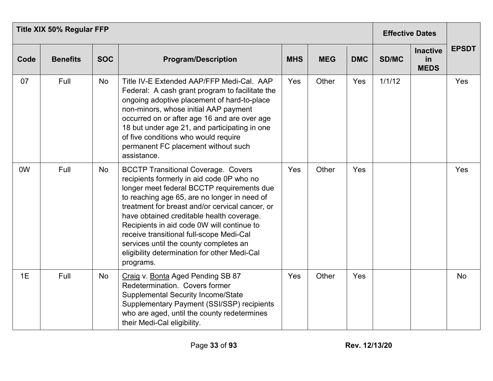|      | <b>Title XIX 50% Regular FFP</b> | <b>Effective Dates</b> |                                                                                                                                                                                                                                                                                                                                                                                                                                                                                        |            |            |            |        |                                      |              |
|------|----------------------------------|------------------------|----------------------------------------------------------------------------------------------------------------------------------------------------------------------------------------------------------------------------------------------------------------------------------------------------------------------------------------------------------------------------------------------------------------------------------------------------------------------------------------|------------|------------|------------|--------|--------------------------------------|--------------|
| Code | <b>Benefits</b>                  | <b>SOC</b>             | <b>Program/Description</b>                                                                                                                                                                                                                                                                                                                                                                                                                                                             | <b>MHS</b> | <b>MEG</b> | <b>DMC</b> | SD/MC  | <b>Inactive</b><br>in<br><b>MEDS</b> | <b>EPSDT</b> |
| 07   | Full                             | No                     | Title IV-E Extended AAP/FFP Medi-Cal. AAP<br>Federal: A cash grant program to facilitate the<br>ongoing adoptive placement of hard-to-place<br>non-minors, whose initial AAP payment<br>occurred on or after age 16 and are over age<br>18 but under age 21, and participating in one<br>of five conditions who would require<br>permanent FC placement without such<br>assistance.                                                                                                    | Yes        | Other      | Yes        | 1/1/12 |                                      | Yes          |
| 0W   | Full                             | No                     | <b>BCCTP Transitional Coverage. Covers</b><br>recipients formerly in aid code 0P who no<br>longer meet federal BCCTP requirements due<br>to reaching age 65, are no longer in need of<br>treatment for breast and/or cervical cancer, or<br>have obtained creditable health coverage.<br>Recipients in aid code 0W will continue to<br>receive transitional full-scope Medi-Cal<br>services until the county completes an<br>eligibility determination for other Medi-Cal<br>programs. | Yes        | Other      | Yes        |        |                                      | Yes          |
| 1E   | Full                             | No                     | Craig v. Bonta Aged Pending SB 87<br>Redetermination. Covers former<br><b>Supplemental Security Income/State</b><br>Supplementary Payment (SSI/SSP) recipients<br>who are aged, until the county redetermines<br>their Medi-Cal eligibility.                                                                                                                                                                                                                                           | Yes        | Other      | Yes        |        |                                      | <b>No</b>    |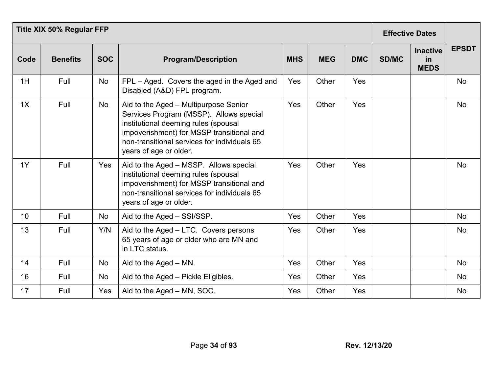|      | <b>Title XIX 50% Regular FFP</b> | <b>Effective Dates</b> |                                                                                                                                                                                                                                                 |            |            |            |              |                                      |              |
|------|----------------------------------|------------------------|-------------------------------------------------------------------------------------------------------------------------------------------------------------------------------------------------------------------------------------------------|------------|------------|------------|--------------|--------------------------------------|--------------|
| Code | <b>Benefits</b>                  | <b>SOC</b>             | <b>Program/Description</b>                                                                                                                                                                                                                      | <b>MHS</b> | <b>MEG</b> | <b>DMC</b> | <b>SD/MC</b> | <b>Inactive</b><br>in<br><b>MEDS</b> | <b>EPSDT</b> |
| 1H   | Full                             | No                     | FPL – Aged. Covers the aged in the Aged and<br>Disabled (A&D) FPL program.                                                                                                                                                                      | Yes        | Other      | Yes        |              |                                      | <b>No</b>    |
| 1X   | Full                             | <b>No</b>              | Aid to the Aged - Multipurpose Senior<br>Services Program (MSSP). Allows special<br>institutional deeming rules (spousal<br>impoverishment) for MSSP transitional and<br>non-transitional services for individuals 65<br>years of age or older. | Yes        | Other      | Yes        |              |                                      | <b>No</b>    |
| 1Y   | Full                             | Yes                    | Aid to the Aged - MSSP. Allows special<br>institutional deeming rules (spousal<br>impoverishment) for MSSP transitional and<br>non-transitional services for individuals 65<br>years of age or older.                                           | Yes        | Other      | Yes        |              |                                      | No           |
| 10   | Full                             | No                     | Aid to the Aged - SSI/SSP.                                                                                                                                                                                                                      | Yes        | Other      | Yes        |              |                                      | No           |
| 13   | Full                             | Y/N                    | Aid to the Aged - LTC. Covers persons<br>65 years of age or older who are MN and<br>in LTC status.                                                                                                                                              | Yes        | Other      | Yes        |              |                                      | No           |
| 14   | Full                             | <b>No</b>              | Aid to the Aged $-$ MN.                                                                                                                                                                                                                         | Yes        | Other      | Yes        |              |                                      | <b>No</b>    |
| 16   | Full                             | No                     | Aid to the Aged - Pickle Eligibles.                                                                                                                                                                                                             | Yes        | Other      | Yes        |              |                                      | No           |
| 17   | Full                             | Yes                    | Aid to the Aged – MN, SOC.                                                                                                                                                                                                                      | Yes        | Other      | Yes        |              |                                      | No           |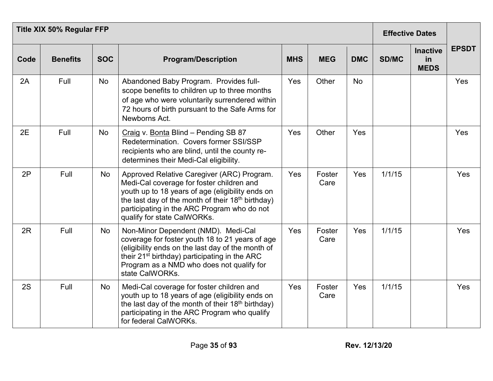|      | <b>Title XIX 50% Regular FFP</b> | <b>Effective Dates</b> |                                                                                                                                                                                                                                                                                            |            |                |            |        |                                      |              |
|------|----------------------------------|------------------------|--------------------------------------------------------------------------------------------------------------------------------------------------------------------------------------------------------------------------------------------------------------------------------------------|------------|----------------|------------|--------|--------------------------------------|--------------|
| Code | <b>Benefits</b>                  | <b>SOC</b>             | <b>Program/Description</b>                                                                                                                                                                                                                                                                 | <b>MHS</b> | <b>MEG</b>     | <b>DMC</b> | SD/MC  | <b>Inactive</b><br>in<br><b>MEDS</b> | <b>EPSDT</b> |
| 2A   | Full                             | No                     | Abandoned Baby Program. Provides full-<br>scope benefits to children up to three months<br>of age who were voluntarily surrendered within<br>72 hours of birth pursuant to the Safe Arms for<br>Newborns Act.                                                                              | Yes        | Other          | <b>No</b>  |        |                                      | Yes          |
| 2E   | Full                             | <b>No</b>              | Craig v. Bonta Blind - Pending SB 87<br>Redetermination. Covers former SSI/SSP<br>recipients who are blind, until the county re-<br>determines their Medi-Cal eligibility.                                                                                                                 | Yes        | Other          | Yes        |        |                                      | Yes          |
| 2P   | Full                             | <b>No</b>              | Approved Relative Caregiver (ARC) Program.<br>Medi-Cal coverage for foster children and<br>youth up to 18 years of age (eligibility ends on<br>the last day of the month of their 18 <sup>th</sup> birthday)<br>participating in the ARC Program who do not<br>qualify for state CalWORKs. | Yes        | Foster<br>Care | Yes        | 1/1/15 |                                      | Yes          |
| 2R   | Full                             | <b>No</b>              | Non-Minor Dependent (NMD). Medi-Cal<br>coverage for foster youth 18 to 21 years of age<br>(eligibility ends on the last day of the month of<br>their 21 <sup>st</sup> birthday) participating in the ARC<br>Program as a NMD who does not qualify for<br>state CalWORKs.                   | Yes        | Foster<br>Care | Yes        | 1/1/15 |                                      | Yes          |
| 2S   | Full                             | No                     | Medi-Cal coverage for foster children and<br>youth up to 18 years of age (eligibility ends on<br>the last day of the month of their 18 <sup>th</sup> birthday)<br>participating in the ARC Program who qualify<br>for federal CalWORKs.                                                    | Yes        | Foster<br>Care | Yes        | 1/1/15 |                                      | Yes          |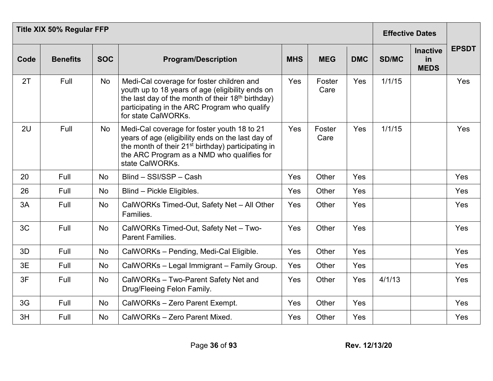|      | <b>Title XIX 50% Regular FFP</b> | <b>Effective Dates</b> |                                                                                                                                                                                                                                       |            |                |            |        |                                             |              |
|------|----------------------------------|------------------------|---------------------------------------------------------------------------------------------------------------------------------------------------------------------------------------------------------------------------------------|------------|----------------|------------|--------|---------------------------------------------|--------------|
| Code | <b>Benefits</b>                  | <b>SOC</b>             | <b>Program/Description</b>                                                                                                                                                                                                            | <b>MHS</b> | <b>MEG</b>     | <b>DMC</b> | SD/MC  | <b>Inactive</b><br><b>in</b><br><b>MEDS</b> | <b>EPSDT</b> |
| 2T   | Full                             | <b>No</b>              | Medi-Cal coverage for foster children and<br>youth up to 18 years of age (eligibility ends on<br>the last day of the month of their 18 <sup>th</sup> birthday)<br>participating in the ARC Program who qualify<br>for state CalWORKs. | Yes        | Foster<br>Care | Yes        | 1/1/15 |                                             | Yes          |
| 2U   | Full                             | <b>No</b>              | Medi-Cal coverage for foster youth 18 to 21<br>years of age (eligibility ends on the last day of<br>the month of their 21 <sup>st</sup> birthday) participating in<br>the ARC Program as a NMD who qualifies for<br>state CalWORKs.   | Yes        | Foster<br>Care | Yes        | 1/1/15 |                                             | <b>Yes</b>   |
| 20   | Full                             | No                     | Blind - SSI/SSP - Cash                                                                                                                                                                                                                | Yes        | Other          | Yes        |        |                                             | Yes          |
| 26   | Full                             | No                     | Blind - Pickle Eligibles.                                                                                                                                                                                                             | Yes        | Other          | Yes        |        |                                             | Yes          |
| 3A   | Full                             | No                     | CalWORKs Timed-Out, Safety Net - All Other<br>Families.                                                                                                                                                                               | Yes        | Other          | Yes        |        |                                             | Yes          |
| 3C   | Full                             | No                     | CalWORKs Timed-Out, Safety Net - Two-<br><b>Parent Families.</b>                                                                                                                                                                      | Yes        | Other          | Yes        |        |                                             | Yes          |
| 3D   | Full                             | No                     | CalWORKs - Pending, Medi-Cal Eligible.                                                                                                                                                                                                | Yes        | Other          | <b>Yes</b> |        |                                             | Yes          |
| 3E   | Full                             | <b>No</b>              | CalWORKs - Legal Immigrant - Family Group.                                                                                                                                                                                            | Yes        | Other          | Yes        |        |                                             | Yes          |
| 3F   | Full                             | No                     | CalWORKs - Two-Parent Safety Net and<br>Drug/Fleeing Felon Family.                                                                                                                                                                    | Yes        | Other          | Yes        | 4/1/13 |                                             | Yes          |
| 3G   | Full                             | No                     | CalWORKs - Zero Parent Exempt.                                                                                                                                                                                                        | Yes        | Other          | Yes        |        |                                             | Yes          |
| 3H   | Full                             | <b>No</b>              | CalWORKs - Zero Parent Mixed.                                                                                                                                                                                                         | Yes        | Other          | Yes        |        |                                             | Yes          |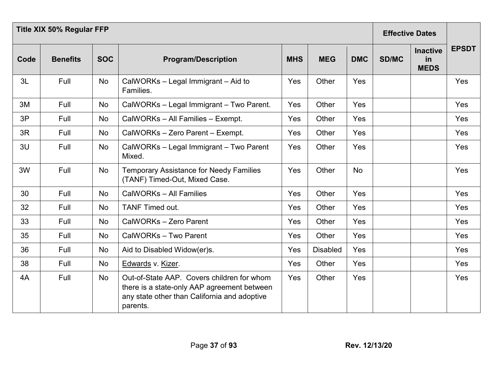|      | <b>Title XIX 50% Regular FFP</b> |            |                                                                                                                                                       |            |                 |            |              | <b>Effective Dates</b>               |              |
|------|----------------------------------|------------|-------------------------------------------------------------------------------------------------------------------------------------------------------|------------|-----------------|------------|--------------|--------------------------------------|--------------|
| Code | <b>Benefits</b>                  | <b>SOC</b> | <b>Program/Description</b>                                                                                                                            | <b>MHS</b> | <b>MEG</b>      | <b>DMC</b> | <b>SD/MC</b> | <b>Inactive</b><br>in<br><b>MEDS</b> | <b>EPSDT</b> |
| 3L   | Full                             | No         | CalWORKs - Legal Immigrant - Aid to<br>Families.                                                                                                      | Yes        | Other           | Yes        |              |                                      | Yes          |
| 3M   | Full                             | <b>No</b>  | CalWORKs - Legal Immigrant - Two Parent.                                                                                                              | Yes        | Other           | Yes        |              |                                      | Yes          |
| 3P   | Full                             | No         | CalWORKs - All Families - Exempt.                                                                                                                     | Yes        | Other           | Yes        |              |                                      | Yes          |
| 3R   | Full                             | No         | CalWORKs - Zero Parent - Exempt.                                                                                                                      | Yes        | Other           | Yes        |              |                                      | Yes          |
| 3U   | Full                             | No         | CalWORKs - Legal Immigrant - Two Parent<br>Mixed.                                                                                                     | Yes        | Other           | Yes        |              |                                      | Yes          |
| 3W   | Full                             | No         | <b>Temporary Assistance for Needy Families</b><br>(TANF) Timed-Out, Mixed Case.                                                                       | Yes        | Other           | <b>No</b>  |              |                                      | Yes          |
| 30   | Full                             | No         | CalWORKs - All Families                                                                                                                               | Yes        | Other           | Yes        |              |                                      | Yes          |
| 32   | Full                             | No         | <b>TANF Timed out.</b>                                                                                                                                | Yes        | Other           | Yes        |              |                                      | Yes          |
| 33   | Full                             | No         | CalWORKs - Zero Parent                                                                                                                                | Yes        | Other           | Yes        |              |                                      | Yes          |
| 35   | Full                             | No         | CalWORKs - Two Parent                                                                                                                                 | Yes        | Other           | Yes        |              |                                      | Yes          |
| 36   | Full                             | <b>No</b>  | Aid to Disabled Widow(er)s.                                                                                                                           | Yes        | <b>Disabled</b> | Yes        |              |                                      | Yes          |
| 38   | Full                             | No         | Edwards v. Kizer.                                                                                                                                     | Yes        | Other           | Yes        |              |                                      | Yes          |
| 4A   | Full                             | No         | Out-of-State AAP. Covers children for whom<br>there is a state-only AAP agreement between<br>any state other than California and adoptive<br>parents. | Yes        | Other           | Yes        |              |                                      | Yes          |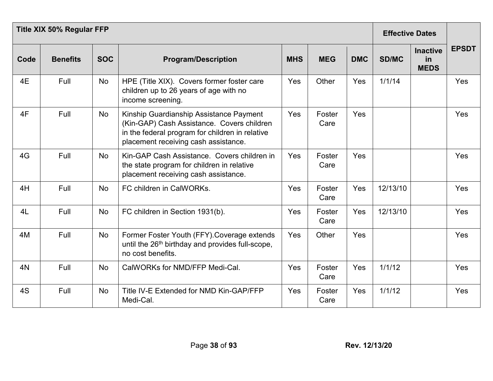|      | <b>Title XIX 50% Regular FFP</b> |            |                                                                                                                                                                                  |            |                | <b>Effective Dates</b> |              |                                      |              |
|------|----------------------------------|------------|----------------------------------------------------------------------------------------------------------------------------------------------------------------------------------|------------|----------------|------------------------|--------------|--------------------------------------|--------------|
| Code | <b>Benefits</b>                  | <b>SOC</b> | <b>Program/Description</b>                                                                                                                                                       | <b>MHS</b> | <b>MEG</b>     | <b>DMC</b>             | <b>SD/MC</b> | <b>Inactive</b><br>in<br><b>MEDS</b> | <b>EPSDT</b> |
| 4E   | Full                             | No         | HPE (Title XIX). Covers former foster care<br>children up to 26 years of age with no<br>income screening.                                                                        | Yes        | Other          | Yes                    | 1/1/14       |                                      | Yes          |
| 4F   | Full                             | No         | Kinship Guardianship Assistance Payment<br>(Kin-GAP) Cash Assistance. Covers children<br>in the federal program for children in relative<br>placement receiving cash assistance. | Yes        | Foster<br>Care | Yes                    |              |                                      | Yes          |
| 4G   | Full                             | <b>No</b>  | Kin-GAP Cash Assistance. Covers children in<br>the state program for children in relative<br>placement receiving cash assistance.                                                | Yes        | Foster<br>Care | Yes                    |              |                                      | Yes          |
| 4H   | Full                             | <b>No</b>  | FC children in CalWORKs.                                                                                                                                                         | Yes        | Foster<br>Care | Yes                    | 12/13/10     |                                      | Yes          |
| 4L   | Full                             | <b>No</b>  | FC children in Section 1931(b).                                                                                                                                                  | Yes        | Foster<br>Care | Yes                    | 12/13/10     |                                      | Yes          |
| 4M   | Full                             | No         | Former Foster Youth (FFY). Coverage extends<br>until the 26 <sup>th</sup> birthday and provides full-scope,<br>no cost benefits.                                                 | Yes        | Other          | Yes                    |              |                                      | Yes          |
| 4N   | Full                             | <b>No</b>  | CalWORKs for NMD/FFP Medi-Cal.                                                                                                                                                   | Yes        | Foster<br>Care | Yes                    | 1/1/12       |                                      | Yes          |
| 4S   | Full                             | <b>No</b>  | Title IV-E Extended for NMD Kin-GAP/FFP<br>Medi-Cal.                                                                                                                             | Yes        | Foster<br>Care | Yes                    | 1/1/12       |                                      | Yes          |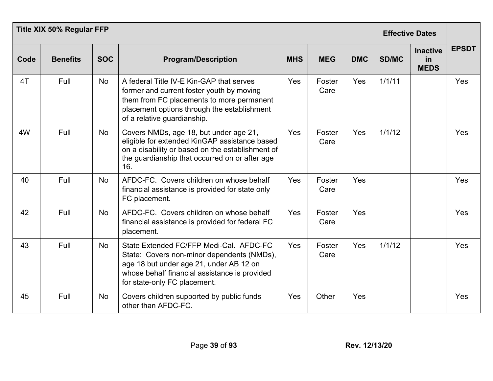|      | <b>Title XIX 50% Regular FFP</b> |            |                                                                                                                                                                                                                   |            |                |            | <b>Effective Dates</b> |                                      |              |
|------|----------------------------------|------------|-------------------------------------------------------------------------------------------------------------------------------------------------------------------------------------------------------------------|------------|----------------|------------|------------------------|--------------------------------------|--------------|
| Code | <b>Benefits</b>                  | <b>SOC</b> | <b>Program/Description</b>                                                                                                                                                                                        | <b>MHS</b> | <b>MEG</b>     | <b>DMC</b> | <b>SD/MC</b>           | <b>Inactive</b><br>in<br><b>MEDS</b> | <b>EPSDT</b> |
| 4T   | Full                             | <b>No</b>  | A federal Title IV-E Kin-GAP that serves<br>former and current foster youth by moving<br>them from FC placements to more permanent<br>placement options through the establishment<br>of a relative guardianship.  | Yes        | Foster<br>Care | Yes        | 1/1/11                 |                                      | Yes          |
| 4W   | Full                             | No         | Covers NMDs, age 18, but under age 21,<br>eligible for extended KinGAP assistance based<br>on a disability or based on the establishment of<br>the guardianship that occurred on or after age<br>16.              | Yes        | Foster<br>Care | Yes        | 1/1/12                 |                                      | Yes          |
| 40   | Full                             | No         | AFDC-FC. Covers children on whose behalf<br>financial assistance is provided for state only<br>FC placement.                                                                                                      | Yes        | Foster<br>Care | Yes        |                        |                                      | Yes          |
| 42   | Full                             | <b>No</b>  | AFDC-FC. Covers children on whose behalf<br>financial assistance is provided for federal FC<br>placement.                                                                                                         | Yes        | Foster<br>Care | Yes        |                        |                                      | Yes          |
| 43   | Full                             | <b>No</b>  | State Extended FC/FFP Medi-Cal. AFDC-FC<br>State: Covers non-minor dependents (NMDs),<br>age 18 but under age 21, under AB 12 on<br>whose behalf financial assistance is provided<br>for state-only FC placement. | Yes        | Foster<br>Care | Yes        | 1/1/12                 |                                      | Yes          |
| 45   | Full                             | <b>No</b>  | Covers children supported by public funds<br>other than AFDC-FC.                                                                                                                                                  | Yes        | Other          | Yes        |                        |                                      | Yes          |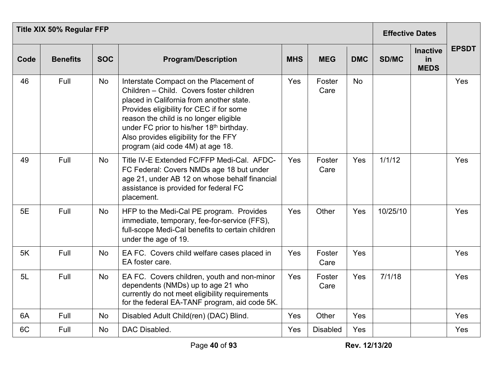|      | <b>Title XIX 50% Regular FFP</b> |            |                                                                                                                                                                                                                                                                                                                                               |            |                 |            | <b>Effective Dates</b> |                                      |              |
|------|----------------------------------|------------|-----------------------------------------------------------------------------------------------------------------------------------------------------------------------------------------------------------------------------------------------------------------------------------------------------------------------------------------------|------------|-----------------|------------|------------------------|--------------------------------------|--------------|
| Code | <b>Benefits</b>                  | <b>SOC</b> | <b>Program/Description</b>                                                                                                                                                                                                                                                                                                                    | <b>MHS</b> | <b>MEG</b>      | <b>DMC</b> | <b>SD/MC</b>           | <b>Inactive</b><br>in<br><b>MEDS</b> | <b>EPSDT</b> |
| 46   | Full                             | <b>No</b>  | Interstate Compact on the Placement of<br>Children - Child. Covers foster children<br>placed in California from another state.<br>Provides eligibility for CEC if for some<br>reason the child is no longer eligible<br>under FC prior to his/her 18th birthday.<br>Also provides eligibility for the FFY<br>program (aid code 4M) at age 18. | Yes        | Foster<br>Care  | <b>No</b>  |                        |                                      | Yes          |
| 49   | Full                             | <b>No</b>  | Title IV-E Extended FC/FFP Medi-Cal. AFDC-<br>FC Federal: Covers NMDs age 18 but under<br>age 21, under AB 12 on whose behalf financial<br>assistance is provided for federal FC<br>placement.                                                                                                                                                | Yes        | Foster<br>Care  | Yes        | 1/1/12                 |                                      | Yes          |
| 5E   | Full                             | <b>No</b>  | HFP to the Medi-Cal PE program. Provides<br>immediate, temporary, fee-for-service (FFS),<br>full-scope Medi-Cal benefits to certain children<br>under the age of 19.                                                                                                                                                                          | Yes        | Other           | Yes        | 10/25/10               |                                      | Yes          |
| 5K   | Full                             | <b>No</b>  | EA FC. Covers child welfare cases placed in<br>EA foster care.                                                                                                                                                                                                                                                                                | Yes        | Foster<br>Care  | Yes        |                        |                                      | Yes          |
| 5L   | Full                             | <b>No</b>  | EA FC. Covers children, youth and non-minor<br>dependents (NMDs) up to age 21 who<br>currently do not meet eligibility requirements<br>for the federal EA-TANF program, aid code 5K.                                                                                                                                                          | Yes        | Foster<br>Care  | Yes        | 7/1/18                 |                                      | Yes          |
| 6A   | Full                             | No         | Disabled Adult Child(ren) (DAC) Blind.                                                                                                                                                                                                                                                                                                        | Yes        | Other           | Yes        |                        |                                      | Yes          |
| 6C   | Full                             | No         | DAC Disabled.                                                                                                                                                                                                                                                                                                                                 | Yes        | <b>Disabled</b> | Yes        |                        |                                      | Yes          |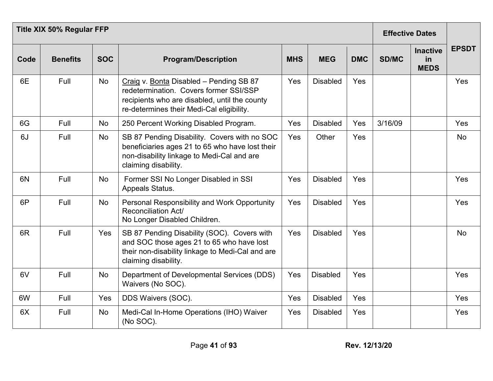|                | <b>Title XIX 50% Regular FFP</b> |            |                                                                                                                                                                                 |            |                 |            |              |                                      |              |
|----------------|----------------------------------|------------|---------------------------------------------------------------------------------------------------------------------------------------------------------------------------------|------------|-----------------|------------|--------------|--------------------------------------|--------------|
| Code           | <b>Benefits</b>                  | <b>SOC</b> | <b>Program/Description</b>                                                                                                                                                      | <b>MHS</b> | <b>MEG</b>      | <b>DMC</b> | <b>SD/MC</b> | <b>Inactive</b><br>in<br><b>MEDS</b> | <b>EPSDT</b> |
| 6E             | Full                             | No         | Craig v. Bonta Disabled - Pending SB 87<br>redetermination. Covers former SSI/SSP<br>recipients who are disabled, until the county<br>re-determines their Medi-Cal eligibility. | Yes        | <b>Disabled</b> | Yes        |              |                                      | Yes          |
| 6G             | Full                             | <b>No</b>  | 250 Percent Working Disabled Program.                                                                                                                                           | Yes        | <b>Disabled</b> | Yes        | 3/16/09      |                                      | Yes          |
| 6J             | Full                             | No         | SB 87 Pending Disability. Covers with no SOC<br>beneficiaries ages 21 to 65 who have lost their<br>non-disability linkage to Medi-Cal and are<br>claiming disability.           | Yes        | Other           | Yes        |              |                                      | <b>No</b>    |
| 6N             | Full                             | No         | Former SSI No Longer Disabled in SSI<br>Appeals Status.                                                                                                                         | Yes        | <b>Disabled</b> | Yes        |              |                                      | Yes          |
| 6P             | Full                             | <b>No</b>  | Personal Responsibility and Work Opportunity<br><b>Reconciliation Act/</b><br>No Longer Disabled Children.                                                                      | Yes        | <b>Disabled</b> | Yes        |              |                                      | Yes          |
| 6 <sub>R</sub> | Full                             | Yes        | SB 87 Pending Disability (SOC). Covers with<br>and SOC those ages 21 to 65 who have lost<br>their non-disability linkage to Medi-Cal and are<br>claiming disability.            | Yes        | <b>Disabled</b> | Yes        |              |                                      | <b>No</b>    |
| 6V             | Full                             | No         | Department of Developmental Services (DDS)<br>Waivers (No SOC).                                                                                                                 | Yes        | <b>Disabled</b> | Yes        |              |                                      | Yes          |
| 6W             | Full                             | Yes        | DDS Waivers (SOC).                                                                                                                                                              | Yes        | <b>Disabled</b> | Yes        |              |                                      | Yes          |
| 6X             | Full                             | <b>No</b>  | Medi-Cal In-Home Operations (IHO) Waiver<br>(No SOC).                                                                                                                           | Yes        | <b>Disabled</b> | Yes        |              |                                      | Yes          |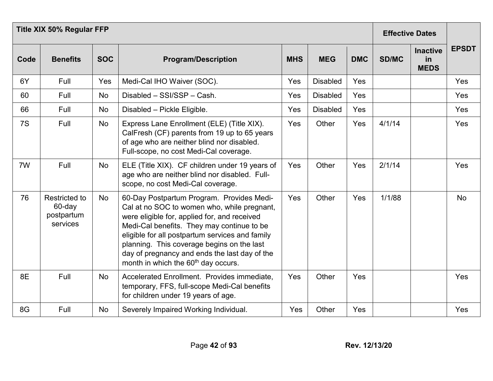|      | <b>Title XIX 50% Regular FFP</b>                  |            |                                                                                                                                                                                                                                                                                                                                                                                             |            |                 |            |        | <b>Effective Dates</b>               |              |  |
|------|---------------------------------------------------|------------|---------------------------------------------------------------------------------------------------------------------------------------------------------------------------------------------------------------------------------------------------------------------------------------------------------------------------------------------------------------------------------------------|------------|-----------------|------------|--------|--------------------------------------|--------------|--|
| Code | <b>Benefits</b>                                   | <b>SOC</b> | <b>Program/Description</b>                                                                                                                                                                                                                                                                                                                                                                  | <b>MHS</b> | <b>MEG</b>      | <b>DMC</b> | SD/MC  | <b>Inactive</b><br>in<br><b>MEDS</b> | <b>EPSDT</b> |  |
| 6Y   | Full                                              | Yes        | Medi-Cal IHO Waiver (SOC).                                                                                                                                                                                                                                                                                                                                                                  | Yes        | <b>Disabled</b> | Yes        |        |                                      | Yes          |  |
| 60   | Full                                              | <b>No</b>  | Disabled - SSI/SSP - Cash.                                                                                                                                                                                                                                                                                                                                                                  | Yes        | <b>Disabled</b> | Yes        |        |                                      | Yes          |  |
| 66   | Full                                              | No         | Disabled - Pickle Eligible.                                                                                                                                                                                                                                                                                                                                                                 | Yes        | <b>Disabled</b> | Yes        |        |                                      | Yes          |  |
| 7S   | Full                                              | No         | Express Lane Enrollment (ELE) (Title XIX).<br>CalFresh (CF) parents from 19 up to 65 years<br>of age who are neither blind nor disabled.<br>Full-scope, no cost Medi-Cal coverage.                                                                                                                                                                                                          | Yes        | Other           | Yes        | 4/1/14 |                                      | Yes          |  |
| 7W   | Full                                              | No         | ELE (Title XIX). CF children under 19 years of<br>age who are neither blind nor disabled. Full-<br>scope, no cost Medi-Cal coverage.                                                                                                                                                                                                                                                        | Yes        | Other           | Yes        | 2/1/14 |                                      | Yes          |  |
| 76   | Restricted to<br>60-day<br>postpartum<br>services | <b>No</b>  | 60-Day Postpartum Program. Provides Medi-<br>Cal at no SOC to women who, while pregnant,<br>were eligible for, applied for, and received<br>Medi-Cal benefits. They may continue to be<br>eligible for all postpartum services and family<br>planning. This coverage begins on the last<br>day of pregnancy and ends the last day of the<br>month in which the 60 <sup>th</sup> day occurs. | Yes        | Other           | Yes        | 1/1/88 |                                      | <b>No</b>    |  |
| 8E   | Full                                              | <b>No</b>  | Accelerated Enrollment. Provides immediate,<br>temporary, FFS, full-scope Medi-Cal benefits<br>for children under 19 years of age.                                                                                                                                                                                                                                                          | Yes        | Other           | Yes        |        |                                      | Yes          |  |
| 8G   | Full                                              | <b>No</b>  | Severely Impaired Working Individual.                                                                                                                                                                                                                                                                                                                                                       | Yes        | Other           | Yes        |        |                                      | Yes          |  |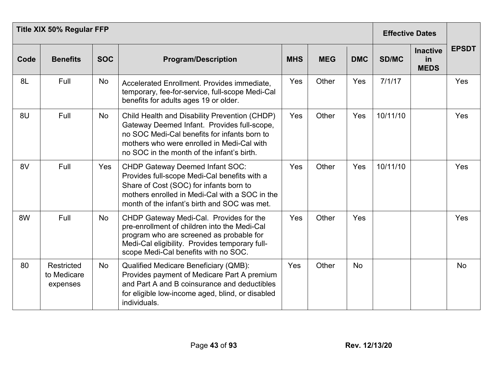|      |                                              | <b>Title XIX 50% Regular FFP</b> |                                                                                                                                                                                                                                          |            |            | <b>Effective Dates</b> |              |                                      |              |
|------|----------------------------------------------|----------------------------------|------------------------------------------------------------------------------------------------------------------------------------------------------------------------------------------------------------------------------------------|------------|------------|------------------------|--------------|--------------------------------------|--------------|
| Code | <b>Benefits</b>                              | <b>SOC</b>                       | <b>Program/Description</b>                                                                                                                                                                                                               | <b>MHS</b> | <b>MEG</b> | <b>DMC</b>             | <b>SD/MC</b> | <b>Inactive</b><br>in<br><b>MEDS</b> | <b>EPSDT</b> |
| 8L   | Full                                         | No                               | Accelerated Enrollment. Provides immediate,<br>temporary, fee-for-service, full-scope Medi-Cal<br>benefits for adults ages 19 or older.                                                                                                  | Yes        | Other      | Yes                    | 7/1/17       |                                      | Yes          |
| 8U   | Full                                         | <b>No</b>                        | Child Health and Disability Prevention (CHDP)<br>Gateway Deemed Infant. Provides full-scope,<br>no SOC Medi-Cal benefits for infants born to<br>mothers who were enrolled in Medi-Cal with<br>no SOC in the month of the infant's birth. | Yes        | Other      | Yes                    | 10/11/10     |                                      | Yes          |
| 8V   | Full                                         | Yes                              | <b>CHDP Gateway Deemed Infant SOC:</b><br>Provides full-scope Medi-Cal benefits with a<br>Share of Cost (SOC) for infants born to<br>mothers enrolled in Medi-Cal with a SOC in the<br>month of the infant's birth and SOC was met.      | Yes        | Other      | Yes                    | 10/11/10     |                                      | Yes          |
| 8W   | Full                                         | No                               | CHDP Gateway Medi-Cal. Provides for the<br>pre-enrollment of children into the Medi-Cal<br>program who are screened as probable for<br>Medi-Cal eligibility. Provides temporary full-<br>scope Medi-Cal benefits with no SOC.            | Yes        | Other      | Yes                    |              |                                      | Yes          |
| 80   | <b>Restricted</b><br>to Medicare<br>expenses | <b>No</b>                        | <b>Qualified Medicare Beneficiary (QMB):</b><br>Provides payment of Medicare Part A premium<br>and Part A and B coinsurance and deductibles<br>for eligible low-income aged, blind, or disabled<br>individuals.                          | Yes        | Other      | <b>No</b>              |              |                                      | <b>No</b>    |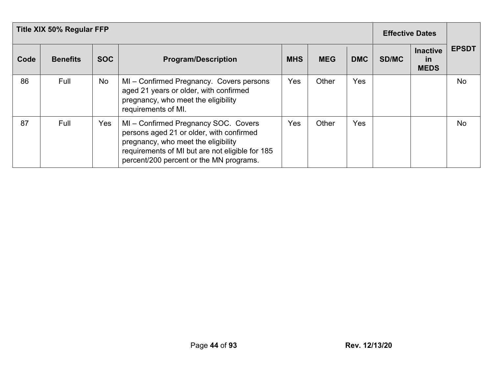|      | <b>Title XIX 50% Regular FFP</b> |            |                                                                                                                                                                                                                     |            |            |            | <b>Effective Dates</b> |                                             |              |
|------|----------------------------------|------------|---------------------------------------------------------------------------------------------------------------------------------------------------------------------------------------------------------------------|------------|------------|------------|------------------------|---------------------------------------------|--------------|
| Code | <b>Benefits</b>                  | <b>SOC</b> | <b>Program/Description</b>                                                                                                                                                                                          | <b>MHS</b> | <b>MEG</b> | <b>DMC</b> | <b>SD/MC</b>           | <b>Inactive</b><br><u>in</u><br><b>MEDS</b> | <b>EPSDT</b> |
| 86   | Full                             | No         | MI – Confirmed Pregnancy. Covers persons<br>aged 21 years or older, with confirmed<br>pregnancy, who meet the eligibility<br>requirements of MI.                                                                    | Yes        | Other      | Yes        |                        |                                             | <b>No</b>    |
| 87   | Full                             | Yes.       | MI-Confirmed Pregnancy SOC. Covers<br>persons aged 21 or older, with confirmed<br>pregnancy, who meet the eligibility<br>requirements of MI but are not eligible for 185<br>percent/200 percent or the MN programs. | Yes        | Other      | Yes        |                        |                                             | <b>No</b>    |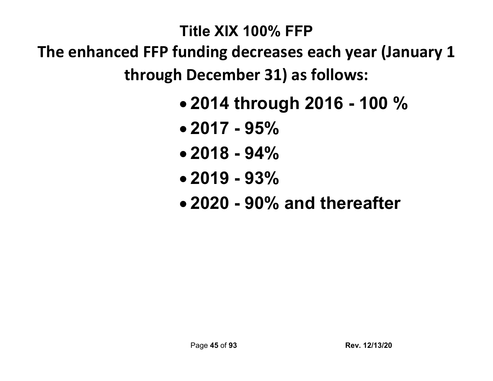### **Title XIX 100% FFP**

**The enhanced FFP funding decreases each year (January 1 through December 31) as follows:**

- **2014 through 2016 - 100 %**
- **2017 - 95%**
- **2018 - 94%**
- **2019 - 93%**
- **2020 - 90% and thereafter**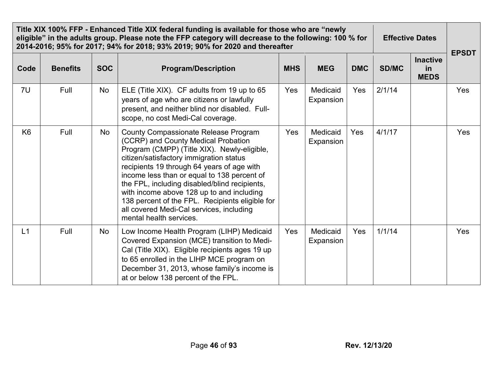|                |                 |            | Title XIX 100% FFP - Enhanced Title XIX federal funding is available for those who are "newly<br>eligible" in the adults group. Please note the FFP category will decrease to the following: 100 % for<br>2014-2016; 95% for 2017; 94% for 2018; 93% 2019; 90% for 2020 and thereafter                                                                                                                                                                                                            |            |                       |            | <b>Effective Dates</b> | <b>EPSDT</b>                         |     |
|----------------|-----------------|------------|---------------------------------------------------------------------------------------------------------------------------------------------------------------------------------------------------------------------------------------------------------------------------------------------------------------------------------------------------------------------------------------------------------------------------------------------------------------------------------------------------|------------|-----------------------|------------|------------------------|--------------------------------------|-----|
| Code           | <b>Benefits</b> | <b>SOC</b> | <b>Program/Description</b>                                                                                                                                                                                                                                                                                                                                                                                                                                                                        | <b>MHS</b> | <b>MEG</b>            | <b>DMC</b> | SD/MC                  | <b>Inactive</b><br>in<br><b>MEDS</b> |     |
| 7U             | Full            | No         | ELE (Title XIX). CF adults from 19 up to 65<br>years of age who are citizens or lawfully<br>present, and neither blind nor disabled. Full-<br>scope, no cost Medi-Cal coverage.                                                                                                                                                                                                                                                                                                                   | Yes        | Medicaid<br>Expansion | Yes        | 2/1/14                 |                                      | Yes |
| K <sub>6</sub> | Full            | No         | <b>County Compassionate Release Program</b><br>(CCRP) and County Medical Probation<br>Program (CMPP) (Title XIX). Newly-eligible,<br>citizen/satisfactory immigration status<br>recipients 19 through 64 years of age with<br>income less than or equal to 138 percent of<br>the FPL, including disabled/blind recipients,<br>with income above 128 up to and including<br>138 percent of the FPL. Recipients eligible for<br>all covered Medi-Cal services, including<br>mental health services. | Yes        | Medicaid<br>Expansion | Yes        | 4/1/17                 |                                      | Yes |
| L1             | Full            | No         | Low Income Health Program (LIHP) Medicaid<br>Covered Expansion (MCE) transition to Medi-<br>Cal (Title XIX). Eligible recipients ages 19 up<br>to 65 enrolled in the LIHP MCE program on<br>December 31, 2013, whose family's income is<br>at or below 138 percent of the FPL.                                                                                                                                                                                                                    | Yes        | Medicaid<br>Expansion | Yes        | 1/1/14                 |                                      | Yes |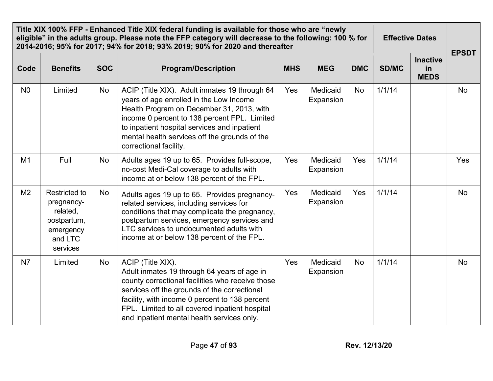|                | Title XIX 100% FFP - Enhanced Title XIX federal funding is available for those who are "newly<br>eligible" in the adults group. Please note the FFP category will decrease to the following: 100 % for<br>2014-2016; 95% for 2017; 94% for 2018; 93% 2019; 90% for 2020 and thereafter |            | <b>Effective Dates</b>                                                                                                                                                                                                                                                                                                 |            | <b>EPSDT</b>          |            |        |                                      |           |
|----------------|----------------------------------------------------------------------------------------------------------------------------------------------------------------------------------------------------------------------------------------------------------------------------------------|------------|------------------------------------------------------------------------------------------------------------------------------------------------------------------------------------------------------------------------------------------------------------------------------------------------------------------------|------------|-----------------------|------------|--------|--------------------------------------|-----------|
| Code           | <b>Benefits</b>                                                                                                                                                                                                                                                                        | <b>SOC</b> | <b>Program/Description</b>                                                                                                                                                                                                                                                                                             | <b>MHS</b> | <b>MEG</b>            | <b>DMC</b> | SD/MC  | <b>Inactive</b><br>in<br><b>MEDS</b> |           |
| N <sub>0</sub> | Limited                                                                                                                                                                                                                                                                                | No         | ACIP (Title XIX). Adult inmates 19 through 64<br>years of age enrolled in the Low Income<br>Health Program on December 31, 2013, with<br>income 0 percent to 138 percent FPL. Limited<br>to inpatient hospital services and inpatient<br>mental health services off the grounds of the<br>correctional facility.       | Yes        | Medicaid<br>Expansion | <b>No</b>  | 1/1/14 |                                      | <b>No</b> |
| M1             | Full                                                                                                                                                                                                                                                                                   | No         | Adults ages 19 up to 65. Provides full-scope,<br>no-cost Medi-Cal coverage to adults with<br>income at or below 138 percent of the FPL.                                                                                                                                                                                | Yes        | Medicaid<br>Expansion | Yes        | 1/1/14 |                                      | Yes       |
| M <sub>2</sub> | <b>Restricted to</b><br>pregnancy-<br>related,<br>postpartum,<br>emergency<br>and LTC<br>services                                                                                                                                                                                      | No         | Adults ages 19 up to 65. Provides pregnancy-<br>related services, including services for<br>conditions that may complicate the pregnancy,<br>postpartum services, emergency services and<br>LTC services to undocumented adults with<br>income at or below 138 percent of the FPL.                                     | Yes        | Medicaid<br>Expansion | Yes        | 1/1/14 |                                      | <b>No</b> |
| N7             | Limited                                                                                                                                                                                                                                                                                | No         | ACIP (Title XIX).<br>Adult inmates 19 through 64 years of age in<br>county correctional facilities who receive those<br>services off the grounds of the correctional<br>facility, with income 0 percent to 138 percent<br>FPL. Limited to all covered inpatient hospital<br>and inpatient mental health services only. | Yes        | Medicaid<br>Expansion | No         | 1/1/14 |                                      | <b>No</b> |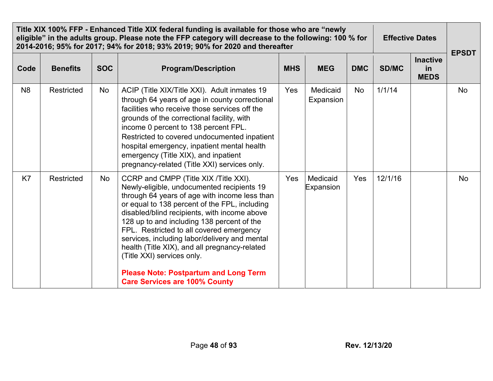|                | Title XIX 100% FFP - Enhanced Title XIX federal funding is available for those who are "newly<br>eligible" in the adults group. Please note the FFP category will decrease to the following: 100 % for<br>2014-2016; 95% for 2017; 94% for 2018; 93% 2019; 90% for 2020 and thereafter |            | <b>Effective Dates</b>                                                                                                                                                                                                                                                                                                                                                                                                                                                                                                                                  |            |                       |            |              |                                      |              |
|----------------|----------------------------------------------------------------------------------------------------------------------------------------------------------------------------------------------------------------------------------------------------------------------------------------|------------|---------------------------------------------------------------------------------------------------------------------------------------------------------------------------------------------------------------------------------------------------------------------------------------------------------------------------------------------------------------------------------------------------------------------------------------------------------------------------------------------------------------------------------------------------------|------------|-----------------------|------------|--------------|--------------------------------------|--------------|
| Code           | <b>Benefits</b>                                                                                                                                                                                                                                                                        | <b>SOC</b> | <b>Program/Description</b>                                                                                                                                                                                                                                                                                                                                                                                                                                                                                                                              | <b>MHS</b> | <b>MEG</b>            | <b>DMC</b> | <b>SD/MC</b> | <b>Inactive</b><br>in<br><b>MEDS</b> | <b>EPSDT</b> |
| N <sub>8</sub> | Restricted                                                                                                                                                                                                                                                                             | No         | ACIP (Title XIX/Title XXI). Adult inmates 19<br>through 64 years of age in county correctional<br>facilities who receive those services off the<br>grounds of the correctional facility, with<br>income 0 percent to 138 percent FPL.<br>Restricted to covered undocumented inpatient<br>hospital emergency, inpatient mental health<br>emergency (Title XIX), and inpatient<br>pregnancy-related (Title XXI) services only.                                                                                                                            | Yes        | Medicaid<br>Expansion | No         | 1/1/14       |                                      | No           |
| K7             | Restricted                                                                                                                                                                                                                                                                             | No         | CCRP and CMPP (Title XIX /Title XXI).<br>Newly-eligible, undocumented recipients 19<br>through 64 years of age with income less than<br>or equal to 138 percent of the FPL, including<br>disabled/blind recipients, with income above<br>128 up to and including 138 percent of the<br>FPL. Restricted to all covered emergency<br>services, including labor/delivery and mental<br>health (Title XIX), and all pregnancy-related<br>(Title XXI) services only.<br><b>Please Note: Postpartum and Long Term</b><br><b>Care Services are 100% County</b> | Yes        | Medicaid<br>Expansion | Yes        | 12/1/16      |                                      | <b>No</b>    |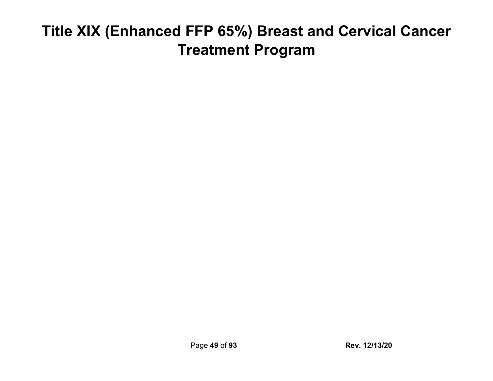# **Title XIX (Enhanced FFP 65%) Breast and Cervical Cancer Treatment Program**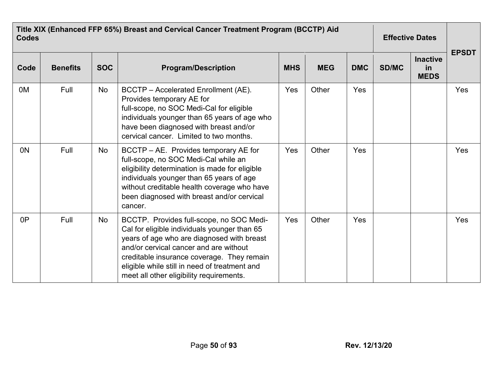| <b>Codes</b>   | Title XIX (Enhanced FFP 65%) Breast and Cervical Cancer Treatment Program (BCCTP) Aid |            |                                                                                                                                                                                                                                                                                                                             |            |            |            |       |                                             |              |
|----------------|---------------------------------------------------------------------------------------|------------|-----------------------------------------------------------------------------------------------------------------------------------------------------------------------------------------------------------------------------------------------------------------------------------------------------------------------------|------------|------------|------------|-------|---------------------------------------------|--------------|
| Code           | <b>Benefits</b>                                                                       | <b>SOC</b> | <b>Program/Description</b>                                                                                                                                                                                                                                                                                                  | <b>MHS</b> | <b>MEG</b> | <b>DMC</b> | SD/MC | <b>Inactive</b><br><u>in</u><br><b>MEDS</b> | <b>EPSDT</b> |
| 0 <sub>M</sub> | Full                                                                                  | <b>No</b>  | BCCTP - Accelerated Enrollment (AE).<br>Provides temporary AE for<br>full-scope, no SOC Medi-Cal for eligible<br>individuals younger than 65 years of age who<br>have been diagnosed with breast and/or<br>cervical cancer. Limited to two months.                                                                          | Yes        | Other      | Yes        |       |                                             | Yes          |
| 0 <sub>N</sub> | Full                                                                                  | No         | BCCTP – AE. Provides temporary AE for<br>full-scope, no SOC Medi-Cal while an<br>eligibility determination is made for eligible<br>individuals younger than 65 years of age<br>without creditable health coverage who have<br>been diagnosed with breast and/or cervical<br>cancer.                                         | Yes        | Other      | Yes        |       |                                             | Yes          |
| 0P             | Full                                                                                  | <b>No</b>  | BCCTP. Provides full-scope, no SOC Medi-<br>Cal for eligible individuals younger than 65<br>years of age who are diagnosed with breast<br>and/or cervical cancer and are without<br>creditable insurance coverage. They remain<br>eligible while still in need of treatment and<br>meet all other eligibility requirements. | Yes        | Other      | Yes        |       |                                             | Yes          |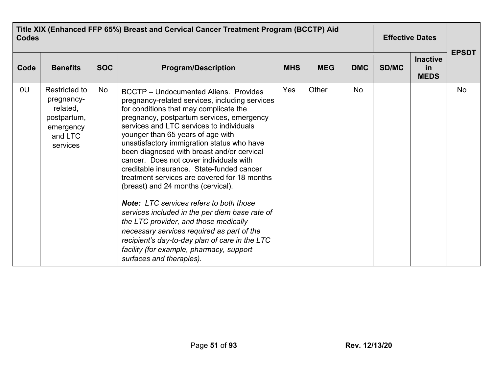| <b>Codes</b> | Title XIX (Enhanced FFP 65%) Breast and Cervical Cancer Treatment Program (BCCTP) Aid      |            | <b>Effective Dates</b>                                                                                                                                                                                                                                                                                                                                                                                                                                                                                                                                                                                                                                                                                                                                                                                                                                                |            |            |            |              |                                      |              |
|--------------|--------------------------------------------------------------------------------------------|------------|-----------------------------------------------------------------------------------------------------------------------------------------------------------------------------------------------------------------------------------------------------------------------------------------------------------------------------------------------------------------------------------------------------------------------------------------------------------------------------------------------------------------------------------------------------------------------------------------------------------------------------------------------------------------------------------------------------------------------------------------------------------------------------------------------------------------------------------------------------------------------|------------|------------|------------|--------------|--------------------------------------|--------------|
| Code         | <b>Benefits</b>                                                                            | <b>SOC</b> | <b>Program/Description</b>                                                                                                                                                                                                                                                                                                                                                                                                                                                                                                                                                                                                                                                                                                                                                                                                                                            | <b>MHS</b> | <b>MEG</b> | <b>DMC</b> | <b>SD/MC</b> | <b>Inactive</b><br>in<br><b>MEDS</b> | <b>EPSDT</b> |
| 0U           | Restricted to<br>pregnancy-<br>related,<br>postpartum,<br>emergency<br>and LTC<br>services | <b>No</b>  | <b>BCCTP</b> – Undocumented Aliens. Provides<br>pregnancy-related services, including services<br>for conditions that may complicate the<br>pregnancy, postpartum services, emergency<br>services and LTC services to individuals<br>younger than 65 years of age with<br>unsatisfactory immigration status who have<br>been diagnosed with breast and/or cervical<br>cancer. Does not cover individuals with<br>creditable insurance. State-funded cancer<br>treatment services are covered for 18 months<br>(breast) and 24 months (cervical).<br><b>Note:</b> LTC services refers to both those<br>services included in the per diem base rate of<br>the LTC provider, and those medically<br>necessary services required as part of the<br>recipient's day-to-day plan of care in the LTC<br>facility (for example, pharmacy, support<br>surfaces and therapies). | Yes        | Other      | <b>No</b>  |              |                                      | <b>No</b>    |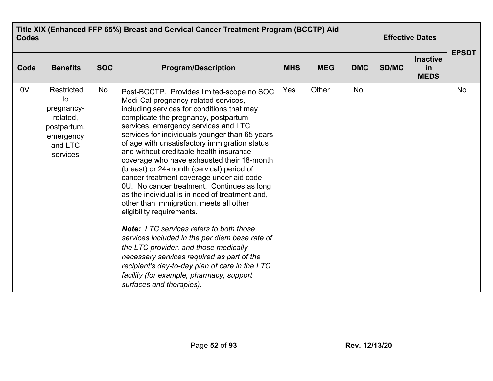| <b>Codes</b>   | Title XIX (Enhanced FFP 65%) Breast and Cervical Cancer Treatment Program (BCCTP) Aid         |            | <b>Effective Dates</b>                                                                                                                                                                                                                                                                                                                                                                                                                                                                                                                                                                                                                                                                                                                                                                                                                                                                                                                                                                            |            |            |            |              |                                      |              |
|----------------|-----------------------------------------------------------------------------------------------|------------|---------------------------------------------------------------------------------------------------------------------------------------------------------------------------------------------------------------------------------------------------------------------------------------------------------------------------------------------------------------------------------------------------------------------------------------------------------------------------------------------------------------------------------------------------------------------------------------------------------------------------------------------------------------------------------------------------------------------------------------------------------------------------------------------------------------------------------------------------------------------------------------------------------------------------------------------------------------------------------------------------|------------|------------|------------|--------------|--------------------------------------|--------------|
| Code           | <b>Benefits</b>                                                                               | <b>SOC</b> | <b>Program/Description</b>                                                                                                                                                                                                                                                                                                                                                                                                                                                                                                                                                                                                                                                                                                                                                                                                                                                                                                                                                                        | <b>MHS</b> | <b>MEG</b> | <b>DMC</b> | <b>SD/MC</b> | <b>Inactive</b><br>in<br><b>MEDS</b> | <b>EPSDT</b> |
| 0 <sub>V</sub> | Restricted<br>to<br>pregnancy-<br>related,<br>postpartum,<br>emergency<br>and LTC<br>services | No         | Post-BCCTP. Provides limited-scope no SOC<br>Medi-Cal pregnancy-related services,<br>including services for conditions that may<br>complicate the pregnancy, postpartum<br>services, emergency services and LTC<br>services for individuals younger than 65 years<br>of age with unsatisfactory immigration status<br>and without creditable health insurance<br>coverage who have exhausted their 18-month<br>(breast) or 24-month (cervical) period of<br>cancer treatment coverage under aid code<br>0U. No cancer treatment. Continues as long<br>as the individual is in need of treatment and,<br>other than immigration, meets all other<br>eligibility requirements.<br><b>Note:</b> LTC services refers to both those<br>services included in the per diem base rate of<br>the LTC provider, and those medically<br>necessary services required as part of the<br>recipient's day-to-day plan of care in the LTC<br>facility (for example, pharmacy, support<br>surfaces and therapies). | Yes        | Other      | <b>No</b>  |              |                                      | <b>No</b>    |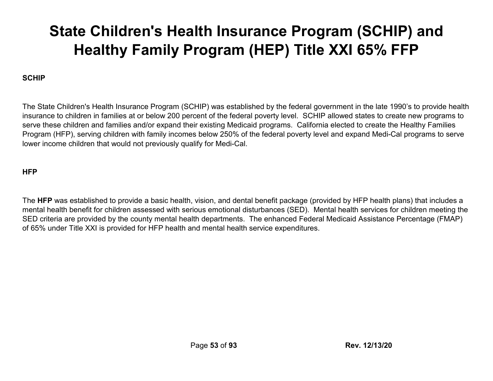# **State Children's Health Insurance Program (SCHIP) and Healthy Family Program (HEP) Title XXI 65% FFP**

#### **SCHIP**

The State Children's Health Insurance Program (SCHIP) was established by the federal government in the late 1990's to provide health insurance to children in families at or below 200 percent of the federal poverty level. SCHIP allowed states to create new programs to serve these children and families and/or expand their existing Medicaid programs. California elected to create the Healthy Families Program (HFP), serving children with family incomes below 250% of the federal poverty level and expand Medi-Cal programs to serve lower income children that would not previously qualify for Medi-Cal.

#### **HFP**

The **HFP** was established to provide a basic health, vision, and dental benefit package (provided by HFP health plans) that includes a mental health benefit for children assessed with serious emotional disturbances (SED). Mental health services for children meeting the SED criteria are provided by the county mental health departments. The enhanced Federal Medicaid Assistance Percentage (FMAP) of 65% under Title XXI is provided for HFP health and mental health service expenditures.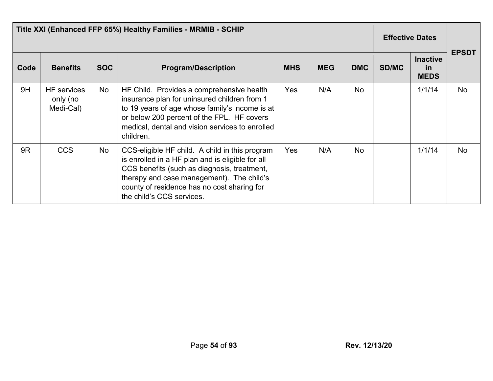| Title XXI (Enhanced FFP 65%) Healthy Families - MRMIB - SCHIP |                                             |            |                                                                                                                                                                                                                                                                            |            |            |            |              | <b>Effective Dates</b>                      |              |  |
|---------------------------------------------------------------|---------------------------------------------|------------|----------------------------------------------------------------------------------------------------------------------------------------------------------------------------------------------------------------------------------------------------------------------------|------------|------------|------------|--------------|---------------------------------------------|--------------|--|
| Code                                                          | <b>Benefits</b>                             | <b>SOC</b> | <b>Program/Description</b>                                                                                                                                                                                                                                                 | <b>MHS</b> | <b>MEG</b> | <b>DMC</b> | <b>SD/MC</b> | <b>Inactive</b><br><u>in</u><br><b>MEDS</b> | <b>EPSDT</b> |  |
| 9H                                                            | <b>HF</b> services<br>only (no<br>Medi-Cal) | No         | HF Child. Provides a comprehensive health<br>insurance plan for uninsured children from 1<br>to 19 years of age whose family's income is at<br>or below 200 percent of the FPL. HF covers<br>medical, dental and vision services to enrolled<br>children.                  | <b>Yes</b> | N/A        | <b>No</b>  |              | 1/1/14                                      | No           |  |
| 9R                                                            | <b>CCS</b>                                  | No         | CCS-eligible HF child. A child in this program<br>is enrolled in a HF plan and is eligible for all<br>CCS benefits (such as diagnosis, treatment,<br>therapy and case management). The child's<br>county of residence has no cost sharing for<br>the child's CCS services. | <b>Yes</b> | N/A        | <b>No</b>  |              | 1/1/14                                      | <b>No</b>    |  |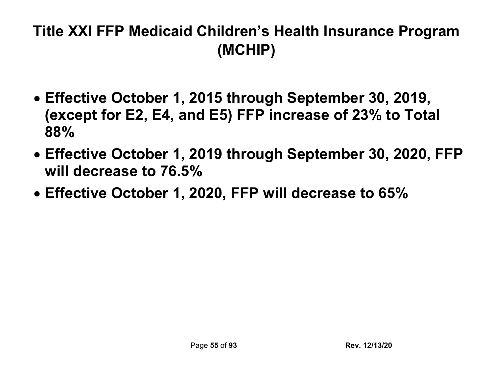## **Title XXI FFP Medicaid Children's Health Insurance Program (MCHIP)**

- **Effective October 1, 2015 through September 30, 2019, (except for E2, E4, and E5) FFP increase of 23% to Total 88%**
- **Effective October 1, 2019 through September 30, 2020, FFP will decrease to 76.5%**
- **Effective October 1, 2020, FFP will decrease to 65%**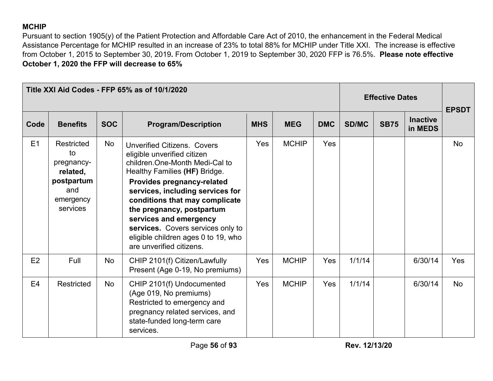### **MCHIP**

Pursuant to section 1905(y) of the Patient Protection and Affordable Care Act of 2010, the enhancement in the Federal Medical Assistance Percentage for MCHIP resulted in an increase of 23% to total 88% for MCHIP under Title XXI. The increase is effective from October 1, 2015 to September 30, 2019**.** From October 1, 2019 to September 30, 2020 FFP is 76.5%. **Please note effective October 1, 2020 the FFP will decrease to 65%**

|                |                                                                                          |            | Title XXI Aid Codes - FFP 65% as of 10/1/2020                                                                                                                                                                                                                                                                                                                                                           |            |              |            | <b>Effective Dates</b> |             |                            | <b>EPSDT</b> |
|----------------|------------------------------------------------------------------------------------------|------------|---------------------------------------------------------------------------------------------------------------------------------------------------------------------------------------------------------------------------------------------------------------------------------------------------------------------------------------------------------------------------------------------------------|------------|--------------|------------|------------------------|-------------|----------------------------|--------------|
| Code           | <b>Benefits</b>                                                                          | <b>SOC</b> | <b>Program/Description</b>                                                                                                                                                                                                                                                                                                                                                                              | <b>MHS</b> | <b>MEG</b>   | <b>DMC</b> | <b>SD/MC</b>           | <b>SB75</b> | <b>Inactive</b><br>in MEDS |              |
| E1             | Restricted<br>to<br>pregnancy-<br>related,<br>postpartum<br>and<br>emergency<br>services | <b>No</b>  | <b>Unverified Citizens. Covers</b><br>eligible unverified citizen<br>children One-Month Medi-Cal to<br>Healthy Families (HF) Bridge.<br>Provides pregnancy-related<br>services, including services for<br>conditions that may complicate<br>the pregnancy, postpartum<br>services and emergency<br>services. Covers services only to<br>eligible children ages 0 to 19, who<br>are unverified citizens. | Yes        | <b>MCHIP</b> | <b>Yes</b> |                        |             |                            | <b>No</b>    |
| E2             | Full                                                                                     | No         | CHIP 2101(f) Citizen/Lawfully<br>Present (Age 0-19, No premiums)                                                                                                                                                                                                                                                                                                                                        | Yes        | <b>MCHIP</b> | <b>Yes</b> | 1/1/14                 |             | 6/30/14                    | <b>Yes</b>   |
| E <sub>4</sub> | Restricted                                                                               | No         | CHIP 2101(f) Undocumented<br>(Age 019, No premiums)<br>Restricted to emergency and<br>pregnancy related services, and<br>state-funded long-term care<br>services.                                                                                                                                                                                                                                       | Yes        | <b>MCHIP</b> | <b>Yes</b> | 1/1/14                 |             | 6/30/14                    | <b>No</b>    |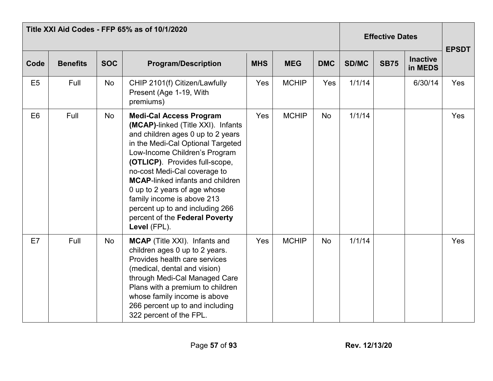|                |                 | Title XXI Aid Codes - FFP 65% as of 10/1/2020 |                                                                                                                                                                                                                                                                                                                                                                                                                                                 | <b>Effective Dates</b> |              |            | <b>EPSDT</b> |             |                            |     |
|----------------|-----------------|-----------------------------------------------|-------------------------------------------------------------------------------------------------------------------------------------------------------------------------------------------------------------------------------------------------------------------------------------------------------------------------------------------------------------------------------------------------------------------------------------------------|------------------------|--------------|------------|--------------|-------------|----------------------------|-----|
| Code           | <b>Benefits</b> | <b>SOC</b>                                    | <b>Program/Description</b>                                                                                                                                                                                                                                                                                                                                                                                                                      | <b>MHS</b>             | <b>MEG</b>   | <b>DMC</b> | SD/MC        | <b>SB75</b> | <b>Inactive</b><br>in MEDS |     |
| E <sub>5</sub> | Full            | No                                            | CHIP 2101(f) Citizen/Lawfully<br>Present (Age 1-19, With<br>premiums)                                                                                                                                                                                                                                                                                                                                                                           | Yes                    | <b>MCHIP</b> | Yes        | 1/1/14       |             | 6/30/14                    | Yes |
| E <sub>6</sub> | Full            | No                                            | <b>Medi-Cal Access Program</b><br>(MCAP)-linked (Title XXI). Infants<br>and children ages 0 up to 2 years<br>in the Medi-Cal Optional Targeted<br>Low-Income Children's Program<br>(OTLICP). Provides full-scope,<br>no-cost Medi-Cal coverage to<br><b>MCAP-linked infants and children</b><br>0 up to 2 years of age whose<br>family income is above 213<br>percent up to and including 266<br>percent of the Federal Poverty<br>Level (FPL). | Yes                    | <b>MCHIP</b> | No         | 1/1/14       |             |                            | Yes |
| E7             | Full            | No                                            | MCAP (Title XXI). Infants and<br>children ages 0 up to 2 years.<br>Provides health care services<br>(medical, dental and vision)<br>through Medi-Cal Managed Care<br>Plans with a premium to children<br>whose family income is above<br>266 percent up to and including<br>322 percent of the FPL.                                                                                                                                             | Yes                    | <b>MCHIP</b> | <b>No</b>  | 1/1/14       |             |                            | Yes |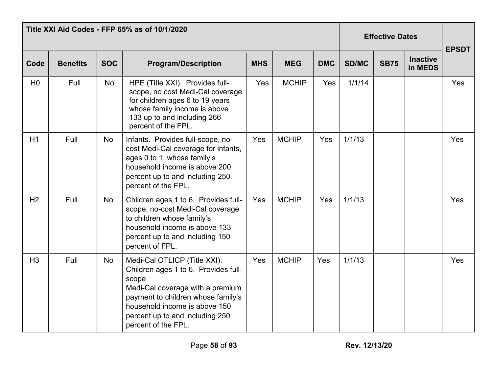|                | Title XXI Aid Codes - FFP 65% as of 10/1/2020 |            |                                                                                                                                                                                                                                                    |            | <b>Effective Dates</b> |            | <b>EPSDT</b> |             |                            |     |
|----------------|-----------------------------------------------|------------|----------------------------------------------------------------------------------------------------------------------------------------------------------------------------------------------------------------------------------------------------|------------|------------------------|------------|--------------|-------------|----------------------------|-----|
| Code           | <b>Benefits</b>                               | <b>SOC</b> | <b>Program/Description</b>                                                                                                                                                                                                                         | <b>MHS</b> | <b>MEG</b>             | <b>DMC</b> | <b>SD/MC</b> | <b>SB75</b> | <b>Inactive</b><br>in MEDS |     |
| H <sub>0</sub> | Full                                          | No         | HPE (Title XXI). Provides full-<br>scope, no cost Medi-Cal coverage<br>for children ages 6 to 19 years<br>whose family income is above<br>133 up to and including 266<br>percent of the FPL.                                                       | Yes        | <b>MCHIP</b>           | Yes        | 1/1/14       |             |                            | Yes |
| H1             | Full                                          | No         | Infants. Provides full-scope, no-<br>cost Medi-Cal coverage for infants,<br>ages 0 to 1, whose family's<br>household income is above 200<br>percent up to and including 250<br>percent of the FPL.                                                 | Yes        | <b>MCHIP</b>           | Yes        | 1/1/13       |             |                            | Yes |
| H <sub>2</sub> | Full                                          | <b>No</b>  | Children ages 1 to 6. Provides full-<br>scope, no-cost Medi-Cal coverage<br>to children whose family's<br>household income is above 133<br>percent up to and including 150<br>percent of FPL.                                                      | Yes        | <b>MCHIP</b>           | Yes        | 1/1/13       |             |                            | Yes |
| H <sub>3</sub> | Full                                          | <b>No</b>  | Medi-Cal OTLICP (Title XXI).<br>Children ages 1 to 6. Provides full-<br>scope<br>Medi-Cal coverage with a premium<br>payment to children whose family's<br>household income is above 150<br>percent up to and including 250<br>percent of the FPL. | Yes        | <b>MCHIP</b>           | <b>Yes</b> | 1/1/13       |             |                            | Yes |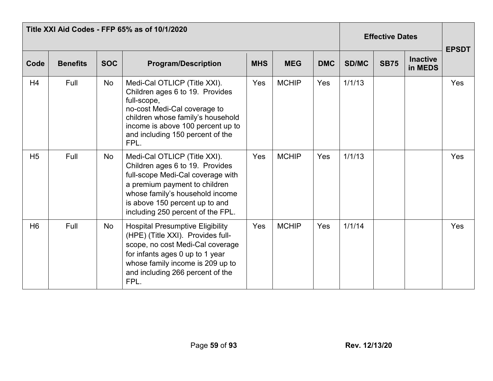|                | Title XXI Aid Codes - FFP 65% as of 10/1/2020 |            |                                                                                                                                                                                                                                                 | <b>Effective Dates</b> | <b>EPSDT</b> |            |              |             |                            |     |
|----------------|-----------------------------------------------|------------|-------------------------------------------------------------------------------------------------------------------------------------------------------------------------------------------------------------------------------------------------|------------------------|--------------|------------|--------------|-------------|----------------------------|-----|
| Code           | <b>Benefits</b>                               | <b>SOC</b> | <b>Program/Description</b>                                                                                                                                                                                                                      | <b>MHS</b>             | <b>MEG</b>   | <b>DMC</b> | <b>SD/MC</b> | <b>SB75</b> | <b>Inactive</b><br>in MEDS |     |
| H4             | Full                                          | No         | Medi-Cal OTLICP (Title XXI).<br>Children ages 6 to 19. Provides<br>full-scope,<br>no-cost Medi-Cal coverage to<br>children whose family's household<br>income is above 100 percent up to<br>and including 150 percent of the<br>FPL.            | Yes                    | <b>MCHIP</b> | <b>Yes</b> | 1/1/13       |             |                            | Yes |
| H <sub>5</sub> | Full                                          | No         | Medi-Cal OTLICP (Title XXI).<br>Children ages 6 to 19. Provides<br>full-scope Medi-Cal coverage with<br>a premium payment to children<br>whose family's household income<br>is above 150 percent up to and<br>including 250 percent of the FPL. | Yes                    | <b>MCHIP</b> | <b>Yes</b> | 1/1/13       |             |                            | Yes |
| H <sub>6</sub> | Full                                          | <b>No</b>  | <b>Hospital Presumptive Eligibility</b><br>(HPE) (Title XXI). Provides full-<br>scope, no cost Medi-Cal coverage<br>for infants ages 0 up to 1 year<br>whose family income is 209 up to<br>and including 266 percent of the<br>FPL.             | Yes                    | <b>MCHIP</b> | <b>Yes</b> | 1/1/14       |             |                            | Yes |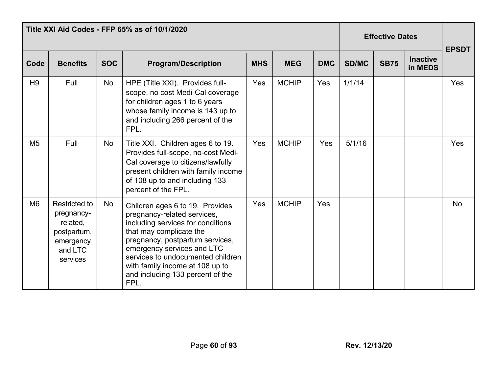|                |                                                                                                   | Title XXI Aid Codes - FFP 65% as of 10/1/2020 |                                                                                                                                                                                                                                                                                                                     | <b>Effective Dates</b> | <b>EPSDT</b> |            |              |             |                            |           |
|----------------|---------------------------------------------------------------------------------------------------|-----------------------------------------------|---------------------------------------------------------------------------------------------------------------------------------------------------------------------------------------------------------------------------------------------------------------------------------------------------------------------|------------------------|--------------|------------|--------------|-------------|----------------------------|-----------|
| Code           | <b>Benefits</b>                                                                                   | <b>SOC</b>                                    | <b>Program/Description</b>                                                                                                                                                                                                                                                                                          | <b>MHS</b>             | <b>MEG</b>   | <b>DMC</b> | <b>SD/MC</b> | <b>SB75</b> | <b>Inactive</b><br>in MEDS |           |
| H <sub>9</sub> | Full                                                                                              | No                                            | HPE (Title XXI). Provides full-<br>scope, no cost Medi-Cal coverage<br>for children ages 1 to 6 years<br>whose family income is 143 up to<br>and including 266 percent of the<br>FPL.                                                                                                                               | Yes                    | <b>MCHIP</b> | <b>Yes</b> | 1/1/14       |             |                            | Yes       |
| M <sub>5</sub> | Full                                                                                              | No                                            | Title XXI. Children ages 6 to 19.<br>Provides full-scope, no-cost Medi-<br>Cal coverage to citizens/lawfully<br>present children with family income<br>of 108 up to and including 133<br>percent of the FPL.                                                                                                        | Yes                    | <b>MCHIP</b> | Yes        | 5/1/16       |             |                            | Yes       |
| M <sub>6</sub> | <b>Restricted to</b><br>pregnancy-<br>related,<br>postpartum,<br>emergency<br>and LTC<br>services | <b>No</b>                                     | Children ages 6 to 19. Provides<br>pregnancy-related services,<br>including services for conditions<br>that may complicate the<br>pregnancy, postpartum services,<br>emergency services and LTC<br>services to undocumented children<br>with family income at 108 up to<br>and including 133 percent of the<br>FPL. | Yes                    | <b>MCHIP</b> | Yes        |              |             |                            | <b>No</b> |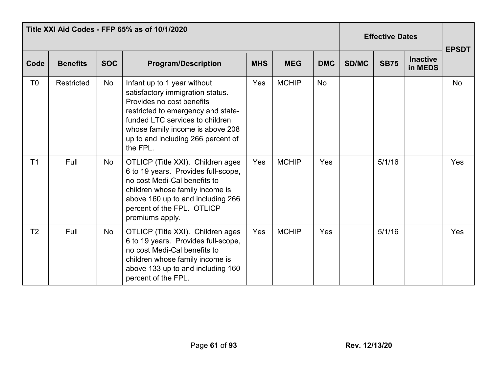|                |                   |            | Title XXI Aid Codes - FFP 65% as of 10/1/2020                                                                                                                                                                                                               |            | <b>Effective Dates</b> | <b>EPSDT</b> |              |             |                            |           |
|----------------|-------------------|------------|-------------------------------------------------------------------------------------------------------------------------------------------------------------------------------------------------------------------------------------------------------------|------------|------------------------|--------------|--------------|-------------|----------------------------|-----------|
| Code           | <b>Benefits</b>   | <b>SOC</b> | <b>Program/Description</b>                                                                                                                                                                                                                                  | <b>MHS</b> | <b>MEG</b>             | <b>DMC</b>   | <b>SD/MC</b> | <b>SB75</b> | <b>Inactive</b><br>in MEDS |           |
| T <sub>0</sub> | <b>Restricted</b> | <b>No</b>  | Infant up to 1 year without<br>satisfactory immigration status.<br>Provides no cost benefits<br>restricted to emergency and state-<br>funded LTC services to children<br>whose family income is above 208<br>up to and including 266 percent of<br>the FPL. | Yes        | <b>MCHIP</b>           | <b>No</b>    |              |             |                            | <b>No</b> |
| T <sub>1</sub> | Full              | <b>No</b>  | OTLICP (Title XXI). Children ages<br>6 to 19 years. Provides full-scope,<br>no cost Medi-Cal benefits to<br>children whose family income is<br>above 160 up to and including 266<br>percent of the FPL. OTLICP<br>premiums apply.                           | Yes        | <b>MCHIP</b>           | Yes          |              | 5/1/16      |                            | Yes       |
| T <sub>2</sub> | Full              | No         | OTLICP (Title XXI). Children ages<br>6 to 19 years. Provides full-scope,<br>no cost Medi-Cal benefits to<br>children whose family income is<br>above 133 up to and including 160<br>percent of the FPL.                                                     | Yes        | <b>MCHIP</b>           | Yes          |              | 5/1/16      |                            | Yes       |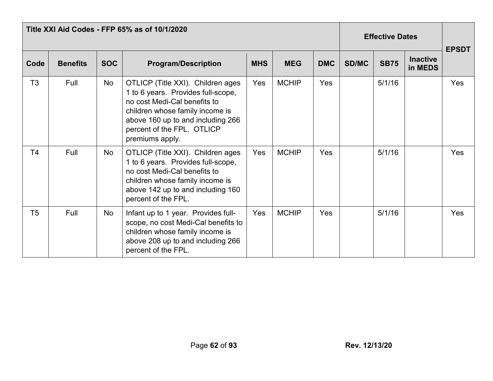|                | Title XXI Aid Codes - FFP 65% as of 10/1/2020 |            |                                                                                                                                                                                                                                  | <b>Effective Dates</b> |              |            | <b>EPSDT</b> |             |                            |            |
|----------------|-----------------------------------------------|------------|----------------------------------------------------------------------------------------------------------------------------------------------------------------------------------------------------------------------------------|------------------------|--------------|------------|--------------|-------------|----------------------------|------------|
| Code           | <b>Benefits</b>                               | <b>SOC</b> | <b>Program/Description</b>                                                                                                                                                                                                       | <b>MHS</b>             | <b>MEG</b>   | <b>DMC</b> | <b>SD/MC</b> | <b>SB75</b> | <b>Inactive</b><br>in MEDS |            |
| T3             | Full                                          | No         | OTLICP (Title XXI). Children ages<br>1 to 6 years. Provides full-scope,<br>no cost Medi-Cal benefits to<br>children whose family income is<br>above 160 up to and including 266<br>percent of the FPL. OTLICP<br>premiums apply. | Yes                    | <b>MCHIP</b> | Yes        |              | 5/1/16      |                            | Yes        |
| T4             | Full                                          | No         | OTLICP (Title XXI). Children ages<br>1 to 6 years. Provides full-scope,<br>no cost Medi-Cal benefits to<br>children whose family income is<br>above 142 up to and including 160<br>percent of the FPL.                           | Yes                    | <b>MCHIP</b> | Yes        |              | 5/1/16      |                            | <b>Yes</b> |
| T <sub>5</sub> | Full                                          | No         | Infant up to 1 year. Provides full-<br>scope, no cost Medi-Cal benefits to<br>children whose family income is<br>above 208 up to and including 266<br>percent of the FPL.                                                        | Yes                    | <b>MCHIP</b> | Yes        |              | 5/1/16      |                            | Yes        |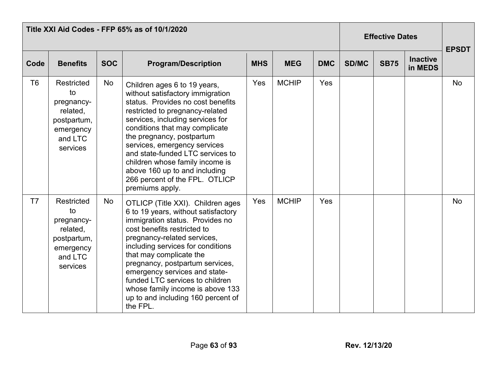|                | Title XXI Aid Codes - FFP 65% as of 10/1/2020                                                        |            |                                                                                                                                                                                                                                                                                                                                                                                                                                          |            |              |            |              | <b>Effective Dates</b> |                            |              |  |
|----------------|------------------------------------------------------------------------------------------------------|------------|------------------------------------------------------------------------------------------------------------------------------------------------------------------------------------------------------------------------------------------------------------------------------------------------------------------------------------------------------------------------------------------------------------------------------------------|------------|--------------|------------|--------------|------------------------|----------------------------|--------------|--|
| Code           | <b>Benefits</b>                                                                                      | <b>SOC</b> | <b>Program/Description</b>                                                                                                                                                                                                                                                                                                                                                                                                               | <b>MHS</b> | <b>MEG</b>   | <b>DMC</b> | <b>SD/MC</b> | <b>SB75</b>            | <b>Inactive</b><br>in MEDS | <b>EPSDT</b> |  |
| T <sub>6</sub> | Restricted<br>to<br>pregnancy-<br>related,<br>postpartum,<br>emergency<br>and LTC<br>services        | No         | Children ages 6 to 19 years,<br>without satisfactory immigration<br>status. Provides no cost benefits<br>restricted to pregnancy-related<br>services, including services for<br>conditions that may complicate<br>the pregnancy, postpartum<br>services, emergency services<br>and state-funded LTC services to<br>children whose family income is<br>above 160 up to and including<br>266 percent of the FPL. OTLICP<br>premiums apply. | Yes        | <b>MCHIP</b> | Yes        |              |                        |                            | <b>No</b>    |  |
| T <sub>7</sub> | <b>Restricted</b><br>to<br>pregnancy-<br>related,<br>postpartum,<br>emergency<br>and LTC<br>services | No         | OTLICP (Title XXI). Children ages<br>6 to 19 years, without satisfactory<br>immigration status. Provides no<br>cost benefits restricted to<br>pregnancy-related services,<br>including services for conditions<br>that may complicate the<br>pregnancy, postpartum services,<br>emergency services and state-<br>funded LTC services to children<br>whose family income is above 133<br>up to and including 160 percent of<br>the FPL.   | Yes        | <b>MCHIP</b> | Yes        |              |                        |                            | <b>No</b>    |  |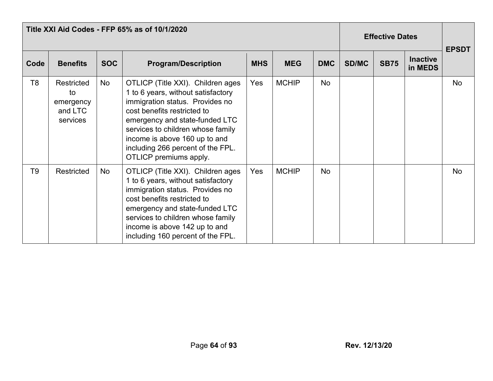|                | Title XXI Aid Codes - FFP 65% as of 10/1/2020        |            |                                                                                                                                                                                                                                                                                                                  |            |              |            |              | <b>Effective Dates</b> |                            |              |  |
|----------------|------------------------------------------------------|------------|------------------------------------------------------------------------------------------------------------------------------------------------------------------------------------------------------------------------------------------------------------------------------------------------------------------|------------|--------------|------------|--------------|------------------------|----------------------------|--------------|--|
| Code           | <b>Benefits</b>                                      | <b>SOC</b> | <b>Program/Description</b>                                                                                                                                                                                                                                                                                       | <b>MHS</b> | <b>MEG</b>   | <b>DMC</b> | <b>SD/MC</b> | <b>SB75</b>            | <b>Inactive</b><br>in MEDS | <b>EPSDT</b> |  |
| T <sub>8</sub> | Restricted<br>to<br>emergency<br>and LTC<br>services | No         | OTLICP (Title XXI). Children ages<br>1 to 6 years, without satisfactory<br>immigration status. Provides no<br>cost benefits restricted to<br>emergency and state-funded LTC<br>services to children whose family<br>income is above 160 up to and<br>including 266 percent of the FPL.<br>OTLICP premiums apply. | Yes        | <b>MCHIP</b> | <b>No</b>  |              |                        |                            | <b>No</b>    |  |
| T <sub>9</sub> | Restricted                                           | No         | OTLICP (Title XXI). Children ages<br>1 to 6 years, without satisfactory<br>immigration status. Provides no<br>cost benefits restricted to<br>emergency and state-funded LTC<br>services to children whose family<br>income is above 142 up to and<br>including 160 percent of the FPL.                           | Yes        | <b>MCHIP</b> | <b>No</b>  |              |                        |                            | <b>No</b>    |  |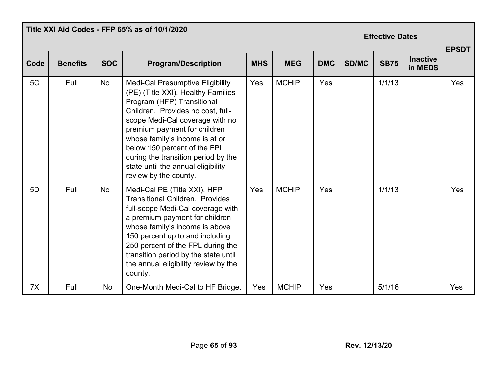|      | Title XXI Aid Codes - FFP 65% as of 10/1/2020 |            |                                                                                                                                                                                                                                                                                                                                                                                             | <b>Effective Dates</b> |              |            | <b>EPSDT</b> |             |                            |     |
|------|-----------------------------------------------|------------|---------------------------------------------------------------------------------------------------------------------------------------------------------------------------------------------------------------------------------------------------------------------------------------------------------------------------------------------------------------------------------------------|------------------------|--------------|------------|--------------|-------------|----------------------------|-----|
| Code | <b>Benefits</b>                               | <b>SOC</b> | <b>Program/Description</b>                                                                                                                                                                                                                                                                                                                                                                  | <b>MHS</b>             | <b>MEG</b>   | <b>DMC</b> | <b>SD/MC</b> | <b>SB75</b> | <b>Inactive</b><br>in MEDS |     |
| 5C   | Full                                          | <b>No</b>  | <b>Medi-Cal Presumptive Eligibility</b><br>(PE) (Title XXI), Healthy Families<br>Program (HFP) Transitional<br>Children. Provides no cost, full-<br>scope Medi-Cal coverage with no<br>premium payment for children<br>whose family's income is at or<br>below 150 percent of the FPL<br>during the transition period by the<br>state until the annual eligibility<br>review by the county. | Yes                    | <b>MCHIP</b> | Yes        |              | 1/1/13      |                            | Yes |
| 5D   | Full                                          | <b>No</b>  | Medi-Cal PE (Title XXI), HFP<br><b>Transitional Children. Provides</b><br>full-scope Medi-Cal coverage with<br>a premium payment for children<br>whose family's income is above<br>150 percent up to and including<br>250 percent of the FPL during the<br>transition period by the state until<br>the annual eligibility review by the<br>county.                                          | Yes                    | <b>MCHIP</b> | Yes        |              | 1/1/13      |                            | Yes |
| 7X   | Full                                          | <b>No</b>  | One-Month Medi-Cal to HF Bridge.                                                                                                                                                                                                                                                                                                                                                            | Yes                    | <b>MCHIP</b> | Yes        |              | 5/1/16      |                            | Yes |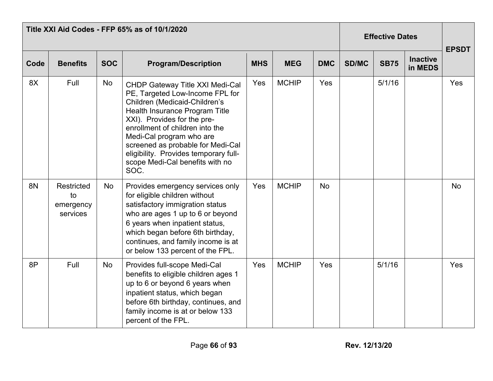|           | Title XXI Aid Codes - FFP 65% as of 10/1/2020 |            |                                                                                                                                                                                                                                                                                                                                                                     | <b>Effective Dates</b> |              | <b>EPSDT</b> |              |             |                            |            |
|-----------|-----------------------------------------------|------------|---------------------------------------------------------------------------------------------------------------------------------------------------------------------------------------------------------------------------------------------------------------------------------------------------------------------------------------------------------------------|------------------------|--------------|--------------|--------------|-------------|----------------------------|------------|
| Code      | <b>Benefits</b>                               | <b>SOC</b> | <b>Program/Description</b>                                                                                                                                                                                                                                                                                                                                          | <b>MHS</b>             | <b>MEG</b>   | <b>DMC</b>   | <b>SD/MC</b> | <b>SB75</b> | <b>Inactive</b><br>in MEDS |            |
| 8X        | Full                                          | <b>No</b>  | <b>CHDP Gateway Title XXI Medi-Cal</b><br>PE, Targeted Low-Income FPL for<br>Children (Medicaid-Children's<br>Health Insurance Program Title<br>XXI). Provides for the pre-<br>enrollment of children into the<br>Medi-Cal program who are<br>screened as probable for Medi-Cal<br>eligibility. Provides temporary full-<br>scope Medi-Cal benefits with no<br>SOC. | Yes                    | <b>MCHIP</b> | Yes          |              | 5/1/16      |                            | Yes        |
| <b>8N</b> | Restricted<br>to<br>emergency<br>services     | No         | Provides emergency services only<br>for eligible children without<br>satisfactory immigration status<br>who are ages 1 up to 6 or beyond<br>6 years when inpatient status,<br>which began before 6th birthday,<br>continues, and family income is at<br>or below 133 percent of the FPL.                                                                            | Yes                    | <b>MCHIP</b> | <b>No</b>    |              |             |                            | <b>No</b>  |
| 8P        | Full                                          | <b>No</b>  | Provides full-scope Medi-Cal<br>benefits to eligible children ages 1<br>up to 6 or beyond 6 years when<br>inpatient status, which began<br>before 6th birthday, continues, and<br>family income is at or below 133<br>percent of the FPL.                                                                                                                           | Yes                    | <b>MCHIP</b> | Yes          |              | 5/1/16      |                            | <b>Yes</b> |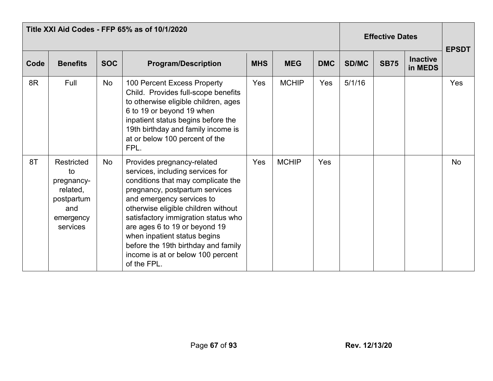| Title XXI Aid Codes - FFP 65% as of 10/1/2020 |                                                                                                 |            |                                                                                                                                                                                                                                                                                                                                                                                                               |            |              |            |              | <b>Effective Dates</b> |                            |              |  |
|-----------------------------------------------|-------------------------------------------------------------------------------------------------|------------|---------------------------------------------------------------------------------------------------------------------------------------------------------------------------------------------------------------------------------------------------------------------------------------------------------------------------------------------------------------------------------------------------------------|------------|--------------|------------|--------------|------------------------|----------------------------|--------------|--|
| Code                                          | <b>Benefits</b>                                                                                 | <b>SOC</b> | <b>Program/Description</b>                                                                                                                                                                                                                                                                                                                                                                                    | <b>MHS</b> | <b>MEG</b>   | <b>DMC</b> | <b>SD/MC</b> | <b>SB75</b>            | <b>Inactive</b><br>in MEDS | <b>EPSDT</b> |  |
| 8R                                            | Full                                                                                            | No         | 100 Percent Excess Property<br>Child. Provides full-scope benefits<br>to otherwise eligible children, ages<br>6 to 19 or beyond 19 when<br>inpatient status begins before the<br>19th birthday and family income is<br>at or below 100 percent of the<br>FPL.                                                                                                                                                 | Yes        | <b>MCHIP</b> | Yes        | 5/1/16       |                        |                            | Yes          |  |
| 8T                                            | <b>Restricted</b><br>to<br>pregnancy-<br>related.<br>postpartum<br>and<br>emergency<br>services | No         | Provides pregnancy-related<br>services, including services for<br>conditions that may complicate the<br>pregnancy, postpartum services<br>and emergency services to<br>otherwise eligible children without<br>satisfactory immigration status who<br>are ages 6 to 19 or beyond 19<br>when inpatient status begins<br>before the 19th birthday and family<br>income is at or below 100 percent<br>of the FPL. | Yes        | <b>MCHIP</b> | Yes        |              |                        |                            | <b>No</b>    |  |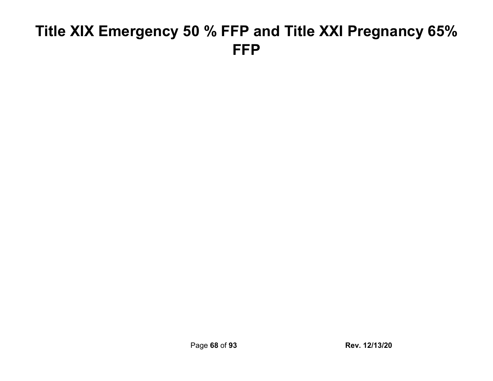### **Title XIX Emergency 50 % FFP and Title XXI Pregnancy 65% FFP**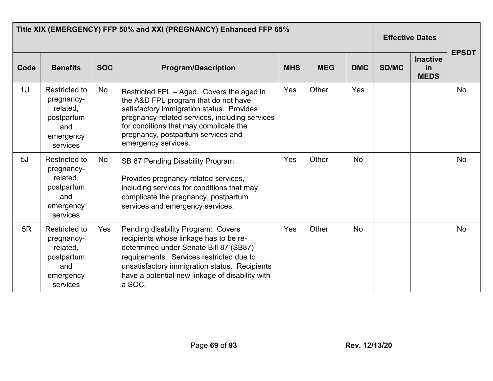|      | Title XIX (EMERGENCY) FFP 50% and XXI (PREGNANCY) Enhanced FFP 65%                           | <b>Effective Dates</b> |                                                                                                                                                                                                                                                                                         |            |            |            |              |                                      |              |
|------|----------------------------------------------------------------------------------------------|------------------------|-----------------------------------------------------------------------------------------------------------------------------------------------------------------------------------------------------------------------------------------------------------------------------------------|------------|------------|------------|--------------|--------------------------------------|--------------|
| Code | <b>Benefits</b>                                                                              | <b>SOC</b>             | <b>Program/Description</b>                                                                                                                                                                                                                                                              | <b>MHS</b> | <b>MEG</b> | <b>DMC</b> | <b>SD/MC</b> | <b>Inactive</b><br>in<br><b>MEDS</b> | <b>EPSDT</b> |
| 1U   | <b>Restricted to</b><br>pregnancy-<br>related,<br>postpartum<br>and<br>emergency<br>services | No                     | Restricted FPL - Aged. Covers the aged in<br>the A&D FPL program that do not have<br>satisfactory immigration status. Provides<br>pregnancy-related services, including services<br>for conditions that may complicate the<br>pregnancy, postpartum services and<br>emergency services. | Yes        | Other      | Yes        |              |                                      | <b>No</b>    |
| 5J   | <b>Restricted to</b><br>pregnancy-<br>related,<br>postpartum<br>and<br>emergency<br>services | <b>No</b>              | SB 87 Pending Disability Program.<br>Provides pregnancy-related services,<br>including services for conditions that may<br>complicate the pregnancy, postpartum<br>services and emergency services.                                                                                     | Yes        | Other      | <b>No</b>  |              |                                      | <b>No</b>    |
| 5R   | <b>Restricted to</b><br>pregnancy-<br>related,<br>postpartum<br>and<br>emergency<br>services | Yes                    | Pending disability Program: Covers<br>recipients whose linkage has to be re-<br>determined under Senate Bill 87 (SB87)<br>requirements. Services restricted due to<br>unsatisfactory immigration status. Recipients<br>have a potential new linkage of disability with<br>a SOC.        | Yes        | Other      | <b>No</b>  |              |                                      | <b>No</b>    |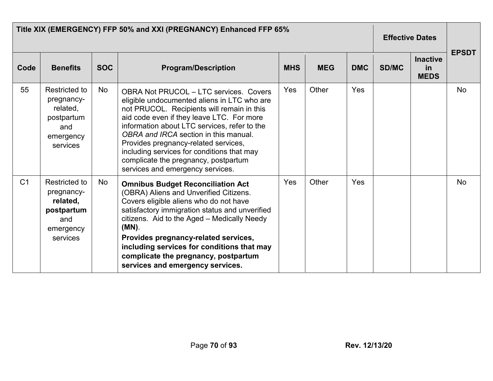|                | Title XIX (EMERGENCY) FFP 50% and XXI (PREGNANCY) Enhanced FFP 65%                           | <b>Effective Dates</b> |                                                                                                                                                                                                                                                                                                                                                                                                                                                    |            |            |            |       |                                      |              |
|----------------|----------------------------------------------------------------------------------------------|------------------------|----------------------------------------------------------------------------------------------------------------------------------------------------------------------------------------------------------------------------------------------------------------------------------------------------------------------------------------------------------------------------------------------------------------------------------------------------|------------|------------|------------|-------|--------------------------------------|--------------|
| Code           | <b>Benefits</b>                                                                              | <b>SOC</b>             | <b>Program/Description</b>                                                                                                                                                                                                                                                                                                                                                                                                                         | <b>MHS</b> | <b>MEG</b> | <b>DMC</b> | SD/MC | <b>Inactive</b><br>in<br><b>MEDS</b> | <b>EPSDT</b> |
| 55             | Restricted to<br>pregnancy-<br>related,<br>postpartum<br>and<br>emergency<br>services        | No                     | <b>OBRA Not PRUCOL - LTC services. Covers</b><br>eligible undocumented aliens in LTC who are<br>not PRUCOL. Recipients will remain in this<br>aid code even if they leave LTC. For more<br>information about LTC services, refer to the<br>OBRA and IRCA section in this manual.<br>Provides pregnancy-related services,<br>including services for conditions that may<br>complicate the pregnancy, postpartum<br>services and emergency services. | Yes        | Other      | Yes        |       |                                      | <b>No</b>    |
| C <sub>1</sub> | <b>Restricted to</b><br>pregnancy-<br>related,<br>postpartum<br>and<br>emergency<br>services | No                     | <b>Omnibus Budget Reconciliation Act</b><br>(OBRA) Aliens and Unverified Citizens.<br>Covers eligible aliens who do not have<br>satisfactory immigration status and unverified<br>citizens. Aid to the Aged - Medically Needy<br>(MN).<br>Provides pregnancy-related services,<br>including services for conditions that may<br>complicate the pregnancy, postpartum<br>services and emergency services.                                           | Yes        | Other      | Yes        |       |                                      | No           |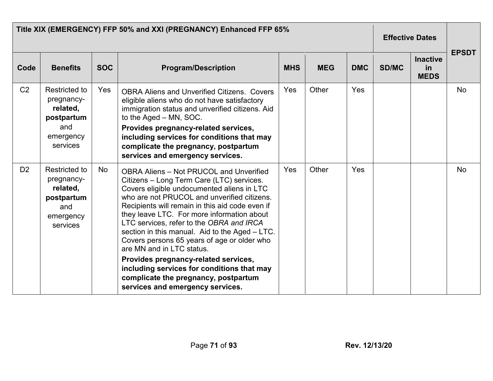|                | Title XIX (EMERGENCY) FFP 50% and XXI (PREGNANCY) Enhanced FFP 65%                           | <b>Effective Dates</b> |                                                                                                                                                                                                                                                                                                                                                                                                                                                                                                                                                                                                                                       |            |            |            |              |                                      |              |
|----------------|----------------------------------------------------------------------------------------------|------------------------|---------------------------------------------------------------------------------------------------------------------------------------------------------------------------------------------------------------------------------------------------------------------------------------------------------------------------------------------------------------------------------------------------------------------------------------------------------------------------------------------------------------------------------------------------------------------------------------------------------------------------------------|------------|------------|------------|--------------|--------------------------------------|--------------|
| Code           | <b>Benefits</b>                                                                              | <b>SOC</b>             | <b>Program/Description</b>                                                                                                                                                                                                                                                                                                                                                                                                                                                                                                                                                                                                            | <b>MHS</b> | <b>MEG</b> | <b>DMC</b> | <b>SD/MC</b> | <b>Inactive</b><br>in<br><b>MEDS</b> | <b>EPSDT</b> |
| C <sub>2</sub> | <b>Restricted to</b><br>pregnancy-<br>related,<br>postpartum<br>and<br>emergency<br>services | <b>Yes</b>             | <b>OBRA Aliens and Unverified Citizens. Covers</b><br>eligible aliens who do not have satisfactory<br>immigration status and unverified citizens. Aid<br>to the Aged – MN, SOC.<br>Provides pregnancy-related services,<br>including services for conditions that may<br>complicate the pregnancy, postpartum<br>services and emergency services.                                                                                                                                                                                                                                                                                     | Yes        | Other      | Yes        |              |                                      | <b>No</b>    |
| D <sub>2</sub> | Restricted to<br>pregnancy-<br>related,<br>postpartum<br>and<br>emergency<br>services        | No                     | <b>OBRA Aliens - Not PRUCOL and Unverified</b><br>Citizens - Long Term Care (LTC) services.<br>Covers eligible undocumented aliens in LTC<br>who are not PRUCOL and unverified citizens.<br>Recipients will remain in this aid code even if<br>they leave LTC. For more information about<br>LTC services, refer to the OBRA and IRCA<br>section in this manual. Aid to the Aged – LTC.<br>Covers persons 65 years of age or older who<br>are MN and in LTC status.<br>Provides pregnancy-related services,<br>including services for conditions that may<br>complicate the pregnancy, postpartum<br>services and emergency services. | Yes        | Other      | Yes        |              |                                      | <b>No</b>    |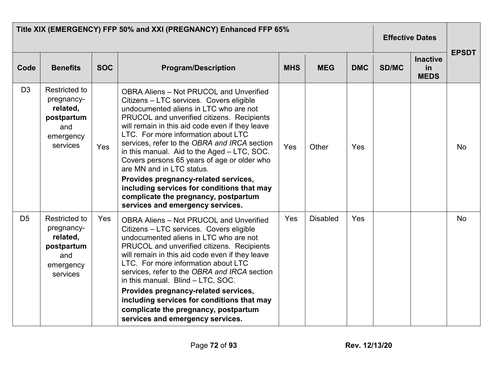|                | Title XIX (EMERGENCY) FFP 50% and XXI (PREGNANCY) Enhanced FFP 65%                           | <b>Effective Dates</b> |                                                                                                                                                                                                                                                                                                                                                                                                                                                                                                                                                                                                                           |            |                 |            |       |                                             |              |
|----------------|----------------------------------------------------------------------------------------------|------------------------|---------------------------------------------------------------------------------------------------------------------------------------------------------------------------------------------------------------------------------------------------------------------------------------------------------------------------------------------------------------------------------------------------------------------------------------------------------------------------------------------------------------------------------------------------------------------------------------------------------------------------|------------|-----------------|------------|-------|---------------------------------------------|--------------|
| Code           | <b>Benefits</b>                                                                              | <b>SOC</b>             | <b>Program/Description</b>                                                                                                                                                                                                                                                                                                                                                                                                                                                                                                                                                                                                | <b>MHS</b> | <b>MEG</b>      | <b>DMC</b> | SD/MC | <b>Inactive</b><br><b>in</b><br><b>MEDS</b> | <b>EPSDT</b> |
| D <sub>3</sub> | Restricted to<br>pregnancy-<br>related,<br>postpartum<br>and<br>emergency<br>services        | Yes                    | <b>OBRA Aliens - Not PRUCOL and Unverified</b><br>Citizens - LTC services. Covers eligible<br>undocumented aliens in LTC who are not<br>PRUCOL and unverified citizens. Recipients<br>will remain in this aid code even if they leave<br>LTC. For more information about LTC<br>services, refer to the OBRA and IRCA section<br>in this manual. Aid to the Aged - LTC, SOC.<br>Covers persons 65 years of age or older who<br>are MN and in LTC status.<br>Provides pregnancy-related services,<br>including services for conditions that may<br>complicate the pregnancy, postpartum<br>services and emergency services. | Yes        | Other           | Yes        |       |                                             | <b>No</b>    |
| D <sub>5</sub> | <b>Restricted to</b><br>pregnancy-<br>related,<br>postpartum<br>and<br>emergency<br>services | Yes                    | <b>OBRA Aliens - Not PRUCOL and Unverified</b><br>Citizens - LTC services. Covers eligible<br>undocumented aliens in LTC who are not<br>PRUCOL and unverified citizens. Recipients<br>will remain in this aid code even if they leave<br>LTC. For more information about LTC<br>services, refer to the OBRA and IRCA section<br>in this manual. Blind - LTC, SOC.<br>Provides pregnancy-related services,<br>including services for conditions that may<br>complicate the pregnancy, postpartum<br>services and emergency services.                                                                                       | Yes        | <b>Disabled</b> | Yes        |       |                                             | <b>No</b>    |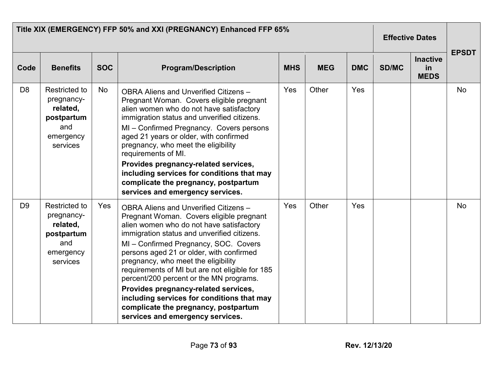| Title XIX (EMERGENCY) FFP 50% and XXI (PREGNANCY) Enhanced FFP 65% |                                                                                              |            |                                                                                                                                                                                                                                                                                                                                                                                                                                                                                                                                                                          |            |            |            | <b>Effective Dates</b> |                                      | <b>EPSDT</b> |
|--------------------------------------------------------------------|----------------------------------------------------------------------------------------------|------------|--------------------------------------------------------------------------------------------------------------------------------------------------------------------------------------------------------------------------------------------------------------------------------------------------------------------------------------------------------------------------------------------------------------------------------------------------------------------------------------------------------------------------------------------------------------------------|------------|------------|------------|------------------------|--------------------------------------|--------------|
| Code                                                               | <b>Benefits</b>                                                                              | <b>SOC</b> | <b>Program/Description</b>                                                                                                                                                                                                                                                                                                                                                                                                                                                                                                                                               | <b>MHS</b> | <b>MEG</b> | <b>DMC</b> | SD/MC                  | <b>Inactive</b><br>in<br><b>MEDS</b> |              |
| D <sub>8</sub>                                                     | Restricted to<br>pregnancy-<br>related,<br>postpartum<br>and<br>emergency<br>services        | No         | OBRA Aliens and Unverified Citizens -<br>Pregnant Woman. Covers eligible pregnant<br>alien women who do not have satisfactory<br>immigration status and unverified citizens.<br>MI - Confirmed Pregnancy. Covers persons<br>aged 21 years or older, with confirmed<br>pregnancy, who meet the eligibility<br>requirements of MI.<br>Provides pregnancy-related services,<br>including services for conditions that may<br>complicate the pregnancy, postpartum<br>services and emergency services.                                                                       | Yes        | Other      | Yes        |                        |                                      | <b>No</b>    |
| D <sub>9</sub>                                                     | <b>Restricted to</b><br>pregnancy-<br>related,<br>postpartum<br>and<br>emergency<br>services | Yes        | OBRA Aliens and Unverified Citizens -<br>Pregnant Woman. Covers eligible pregnant<br>alien women who do not have satisfactory<br>immigration status and unverified citizens.<br>MI - Confirmed Pregnancy, SOC. Covers<br>persons aged 21 or older, with confirmed<br>pregnancy, who meet the eligibility<br>requirements of MI but are not eligible for 185<br>percent/200 percent or the MN programs.<br>Provides pregnancy-related services,<br>including services for conditions that may<br>complicate the pregnancy, postpartum<br>services and emergency services. | Yes        | Other      | Yes        |                        |                                      | <b>No</b>    |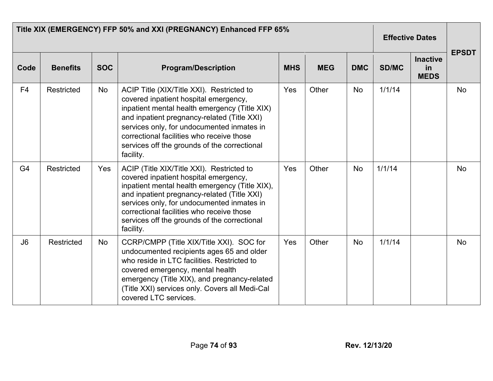| Title XIX (EMERGENCY) FFP 50% and XXI (PREGNANCY) Enhanced FFP 65% |                 |            |                                                                                                                                                                                                                                                                                                                                             |            |            |            |              | <b>Effective Dates</b>               |              |
|--------------------------------------------------------------------|-----------------|------------|---------------------------------------------------------------------------------------------------------------------------------------------------------------------------------------------------------------------------------------------------------------------------------------------------------------------------------------------|------------|------------|------------|--------------|--------------------------------------|--------------|
| Code                                                               | <b>Benefits</b> | <b>SOC</b> | <b>Program/Description</b>                                                                                                                                                                                                                                                                                                                  | <b>MHS</b> | <b>MEG</b> | <b>DMC</b> | <b>SD/MC</b> | <b>Inactive</b><br>in<br><b>MEDS</b> | <b>EPSDT</b> |
| F <sub>4</sub>                                                     | Restricted      | No         | ACIP Title (XIX/Title XXI). Restricted to<br>covered inpatient hospital emergency,<br>inpatient mental health emergency (Title XIX)<br>and inpatient pregnancy-related (Title XXI)<br>services only, for undocumented inmates in<br>correctional facilities who receive those<br>services off the grounds of the correctional<br>facility.  | Yes        | Other      | <b>No</b>  | 1/1/14       |                                      | <b>No</b>    |
| G4                                                                 | Restricted      | Yes        | ACIP (Title XIX/Title XXI). Restricted to<br>covered inpatient hospital emergency,<br>inpatient mental health emergency (Title XIX),<br>and inpatient pregnancy-related (Title XXI)<br>services only, for undocumented inmates in<br>correctional facilities who receive those<br>services off the grounds of the correctional<br>facility. | Yes        | Other      | <b>No</b>  | 1/1/14       |                                      | <b>No</b>    |
| J6                                                                 | Restricted      | No         | CCRP/CMPP (Title XIX/Title XXI). SOC for<br>undocumented recipients ages 65 and older<br>who reside in LTC facilities. Restricted to<br>covered emergency, mental health<br>emergency (Title XIX), and pregnancy-related<br>(Title XXI) services only. Covers all Medi-Cal<br>covered LTC services.                                         | Yes        | Other      | <b>No</b>  | 1/1/14       |                                      | <b>No</b>    |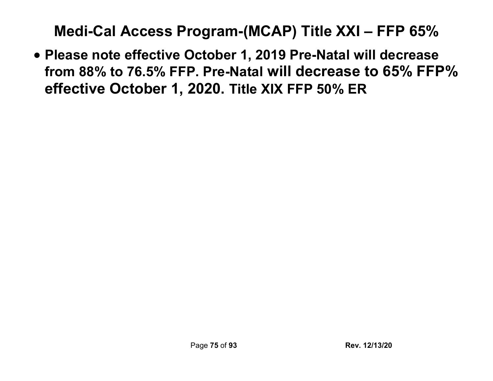**Medi-Cal Access Program-(MCAP) Title XXI – FFP 65%**

• **Please note effective October 1, 2019 Pre-Natal will decrease from 88% to 76.5% FFP. Pre-Natal will decrease to 65% FFP% effective October 1, 2020. Title XIX FFP 50% ER**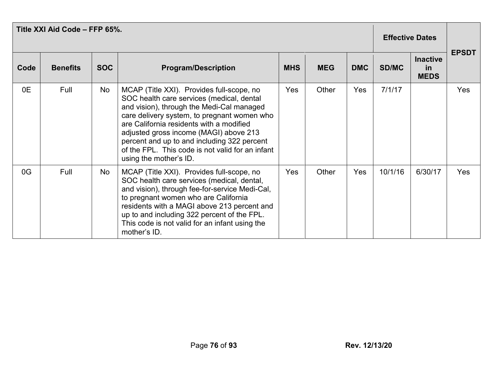| Title XXI Aid Code - FFP 65%. |                 |            |                                                                                                                                                                                                                                                                                                                                                                                                       |            |            |            |              | <b>Effective Dates</b>                      |              |
|-------------------------------|-----------------|------------|-------------------------------------------------------------------------------------------------------------------------------------------------------------------------------------------------------------------------------------------------------------------------------------------------------------------------------------------------------------------------------------------------------|------------|------------|------------|--------------|---------------------------------------------|--------------|
| Code                          | <b>Benefits</b> | <b>SOC</b> | <b>Program/Description</b>                                                                                                                                                                                                                                                                                                                                                                            | <b>MHS</b> | <b>MEG</b> | <b>DMC</b> | <b>SD/MC</b> | <b>Inactive</b><br><u>in</u><br><b>MEDS</b> | <b>EPSDT</b> |
| 0E                            | Full            | No         | MCAP (Title XXI). Provides full-scope, no<br>SOC health care services (medical, dental<br>and vision), through the Medi-Cal managed<br>care delivery system, to pregnant women who<br>are California residents with a modified<br>adjusted gross income (MAGI) above 213<br>percent and up to and including 322 percent<br>of the FPL. This code is not valid for an infant<br>using the mother's ID. | Yes        | Other      | Yes        | 7/1/17       |                                             | <b>Yes</b>   |
| 0G                            | Full            | No         | MCAP (Title XXI). Provides full-scope, no<br>SOC health care services (medical, dental,<br>and vision), through fee-for-service Medi-Cal,<br>to pregnant women who are California<br>residents with a MAGI above 213 percent and<br>up to and including 322 percent of the FPL.<br>This code is not valid for an infant using the<br>mother's ID.                                                     | Yes        | Other      | Yes        | 10/1/16      | 6/30/17                                     | Yes          |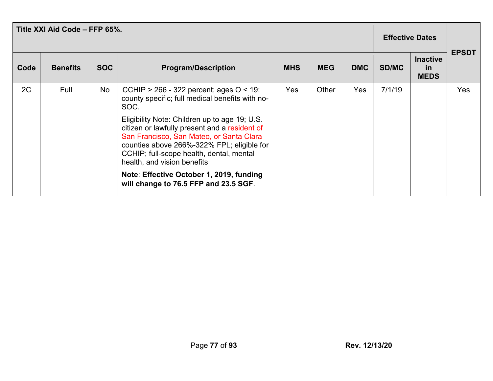| Title XXI Aid Code - FFP 65%. |                 |            |                                                                                                                                                                                                                                                                                                                                                                                                                                                                   |            |            |            |              | <b>Effective Dates</b>                      |              |  |
|-------------------------------|-----------------|------------|-------------------------------------------------------------------------------------------------------------------------------------------------------------------------------------------------------------------------------------------------------------------------------------------------------------------------------------------------------------------------------------------------------------------------------------------------------------------|------------|------------|------------|--------------|---------------------------------------------|--------------|--|
| Code                          | <b>Benefits</b> | <b>SOC</b> | <b>Program/Description</b>                                                                                                                                                                                                                                                                                                                                                                                                                                        | <b>MHS</b> | <b>MEG</b> | <b>DMC</b> | <b>SD/MC</b> | <b>Inactive</b><br><u>in</u><br><b>MEDS</b> | <b>EPSDT</b> |  |
| 2C                            | Full            | No         | CCHIP > 266 - 322 percent; ages $O < 19$ ;<br>county specific; full medical benefits with no-<br>SOC.<br>Eligibility Note: Children up to age 19; U.S.<br>citizen or lawfully present and a resident of<br>San Francisco, San Mateo, or Santa Clara<br>counties above 266%-322% FPL; eligible for<br>CCHIP; full-scope health, dental, mental<br>health, and vision benefits<br>Note: Effective October 1, 2019, funding<br>will change to 76.5 FFP and 23.5 SGF. | <b>Yes</b> | Other      | Yes        | 7/1/19       |                                             | Yes          |  |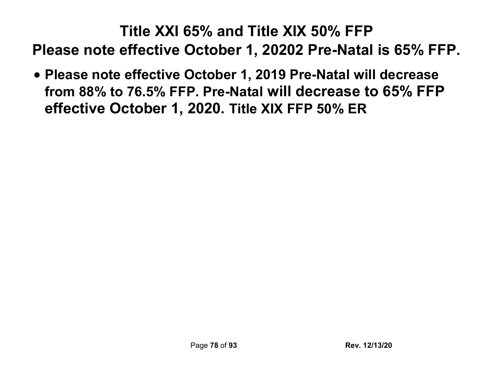# **Title XXI 65% and Title XIX 50% FFP Please note effective October 1, 20202 Pre-Natal is 65% FFP.**

• **Please note effective October 1, 2019 Pre-Natal will decrease from 88% to 76.5% FFP. Pre-Natal will decrease to 65% FFP effective October 1, 2020. Title XIX FFP 50% ER**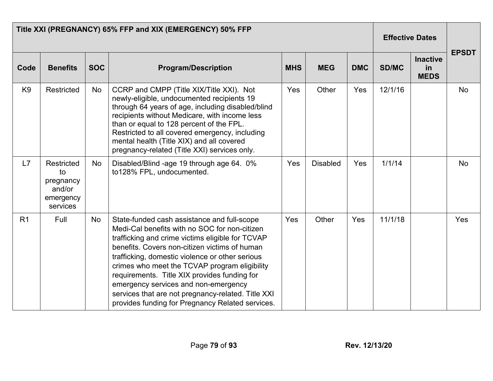| Title XXI (PREGNANCY) 65% FFP and XIX (EMERGENCY) 50% FFP |                                                                  |            |                                                                                                                                                                                                                                                                                                                                                                                                                                                                                                         |            |                 |            |              | <b>Effective Dates</b>               |              |
|-----------------------------------------------------------|------------------------------------------------------------------|------------|---------------------------------------------------------------------------------------------------------------------------------------------------------------------------------------------------------------------------------------------------------------------------------------------------------------------------------------------------------------------------------------------------------------------------------------------------------------------------------------------------------|------------|-----------------|------------|--------------|--------------------------------------|--------------|
| Code                                                      | <b>Benefits</b>                                                  | <b>SOC</b> | <b>Program/Description</b>                                                                                                                                                                                                                                                                                                                                                                                                                                                                              | <b>MHS</b> | <b>MEG</b>      | <b>DMC</b> | <b>SD/MC</b> | <b>Inactive</b><br>in<br><b>MEDS</b> | <b>EPSDT</b> |
| K <sub>9</sub>                                            | Restricted                                                       | <b>No</b>  | CCRP and CMPP (Title XIX/Title XXI). Not<br>newly-eligible, undocumented recipients 19<br>through 64 years of age, including disabled/blind<br>recipients without Medicare, with income less<br>than or equal to 128 percent of the FPL.<br>Restricted to all covered emergency, including<br>mental health (Title XIX) and all covered<br>pregnancy-related (Title XXI) services only.                                                                                                                 | Yes        | Other           | Yes        | 12/1/16      |                                      | <b>No</b>    |
| L7                                                        | Restricted<br>to<br>pregnancy<br>and/or<br>emergency<br>services | <b>No</b>  | Disabled/Blind -age 19 through age 64. 0%<br>to128% FPL, undocumented.                                                                                                                                                                                                                                                                                                                                                                                                                                  | Yes        | <b>Disabled</b> | Yes        | 1/1/14       |                                      | <b>No</b>    |
| R <sub>1</sub>                                            | Full                                                             | No         | State-funded cash assistance and full-scope<br>Medi-Cal benefits with no SOC for non-citizen<br>trafficking and crime victims eligible for TCVAP<br>benefits. Covers non-citizen victims of human<br>trafficking, domestic violence or other serious<br>crimes who meet the TCVAP program eligibility<br>requirements. Title XIX provides funding for<br>emergency services and non-emergency<br>services that are not pregnancy-related. Title XXI<br>provides funding for Pregnancy Related services. | Yes        | Other           | Yes        | 11/1/18      |                                      | Yes          |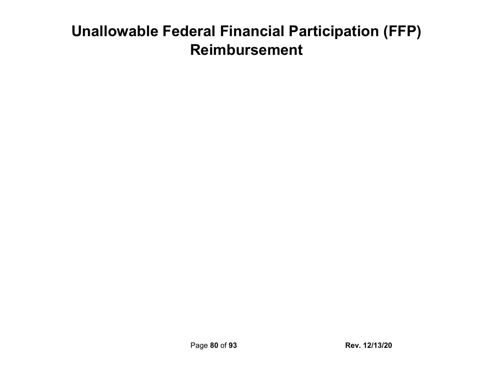# **Unallowable Federal Financial Participation (FFP) Reimbursement**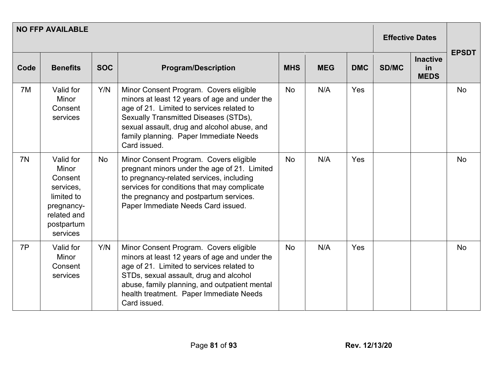| <b>NO FFP AVAILABLE</b> |                                                                                                                 |            |                                                                                                                                                                                                                                                                                            |            |            |            |              | <b>Effective Dates</b>               |              |
|-------------------------|-----------------------------------------------------------------------------------------------------------------|------------|--------------------------------------------------------------------------------------------------------------------------------------------------------------------------------------------------------------------------------------------------------------------------------------------|------------|------------|------------|--------------|--------------------------------------|--------------|
| Code                    | <b>Benefits</b>                                                                                                 | <b>SOC</b> | <b>Program/Description</b>                                                                                                                                                                                                                                                                 | <b>MHS</b> | <b>MEG</b> | <b>DMC</b> | <b>SD/MC</b> | <b>Inactive</b><br>in<br><b>MEDS</b> | <b>EPSDT</b> |
| 7M                      | Valid for<br><b>Minor</b><br>Consent<br>services                                                                | Y/N        | Minor Consent Program. Covers eligible<br>minors at least 12 years of age and under the<br>age of 21. Limited to services related to<br>Sexually Transmitted Diseases (STDs),<br>sexual assault, drug and alcohol abuse, and<br>family planning. Paper Immediate Needs<br>Card issued.     | <b>No</b>  | N/A        | Yes        |              |                                      | <b>No</b>    |
| 7N                      | Valid for<br>Minor<br>Consent<br>services,<br>limited to<br>pregnancy-<br>related and<br>postpartum<br>services | <b>No</b>  | Minor Consent Program. Covers eligible<br>pregnant minors under the age of 21. Limited<br>to pregnancy-related services, including<br>services for conditions that may complicate<br>the pregnancy and postpartum services.<br>Paper Immediate Needs Card issued.                          | <b>No</b>  | N/A        | Yes        |              |                                      | <b>No</b>    |
| 7P                      | Valid for<br>Minor<br>Consent<br>services                                                                       | Y/N        | Minor Consent Program. Covers eligible<br>minors at least 12 years of age and under the<br>age of 21. Limited to services related to<br>STDs, sexual assault, drug and alcohol<br>abuse, family planning, and outpatient mental<br>health treatment. Paper Immediate Needs<br>Card issued. | <b>No</b>  | N/A        | Yes        |              |                                      | <b>No</b>    |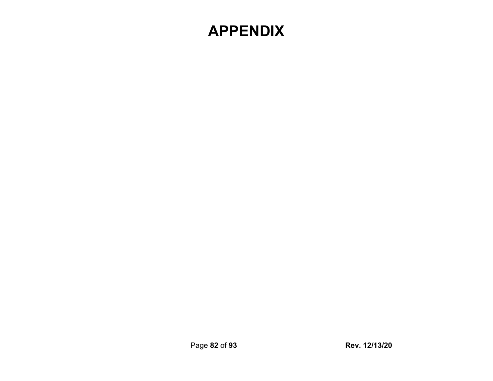### **APPENDIX**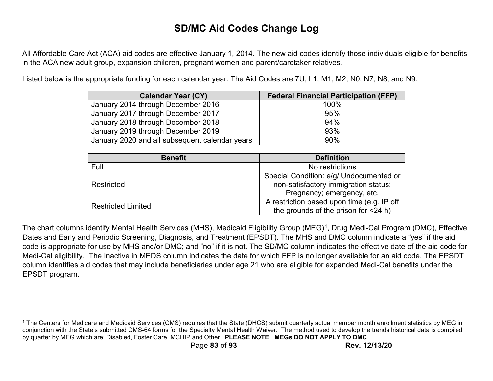#### **SD/MC Aid Codes Change Log**

All Affordable Care Act (ACA) aid codes are effective January 1, 2014. The new aid codes identify those individuals eligible for benefits in the ACA new adult group, expansion children, pregnant women and parent/caretaker relatives.

Listed below is the appropriate funding for each calendar year. The Aid Codes are 7U, L1, M1, M2, N0, N7, N8, and N9:

| <b>Calendar Year (CY)</b>                      | <b>Federal Financial Participation (FFP)</b> |
|------------------------------------------------|----------------------------------------------|
| January 2014 through December 2016             | 100%                                         |
| January 2017 through December 2017             | 95%                                          |
| January 2018 through December 2018             | 94%                                          |
| January 2019 through December 2019             | 93%                                          |
| January 2020 and all subsequent calendar years | 90%                                          |

| <b>Benefit</b>            | <b>Definition</b>                                                               |
|---------------------------|---------------------------------------------------------------------------------|
| Full                      | No restrictions                                                                 |
| Restricted                | Special Condition: e/g/ Undocumented or<br>non-satisfactory immigration status; |
|                           | Pregnancy; emergency, etc.                                                      |
| <b>Restricted Limited</b> | A restriction based upon time (e.g. IP off                                      |
|                           | the grounds of the prison for <24 h)                                            |

The chart columns identify Mental Health Services (MHS), Medicaid Eligibility Group (MEG)1, Drug Medi-Cal Program (DMC), Effective Dates and Early and Periodic Screening, Diagnosis, and Treatment (EPSDT). The MHS and DMC column indicate a "yes" if the aid code is appropriate for use by MHS and/or DMC; and "no" if it is not. The SD/MC column indicates the effective date of the aid code for Medi-Cal eligibility. The Inactive in MEDS column indicates the date for which FFP is no longer available for an aid code. The EPSDT column identifies aid codes that may include beneficiaries under age 21 who are eligible for expanded Medi-Cal benefits under the EPSDT program.

 $\overline{\phantom{a}}$ 

<sup>1</sup> The Centers for Medicare and Medicaid Services (CMS) requires that the State (DHCS) submit quarterly actual member month enrollment statistics by MEG in conjunction with the State's submitted CMS-64 forms for the Specialty Mental Health Waiver. The method used to develop the trends historical data is compiled by quarter by MEG which are: Disabled, Foster Care, MCHIP and Other. **PLEASE NOTE: MEGs DO NOT APPLY TO DMC**.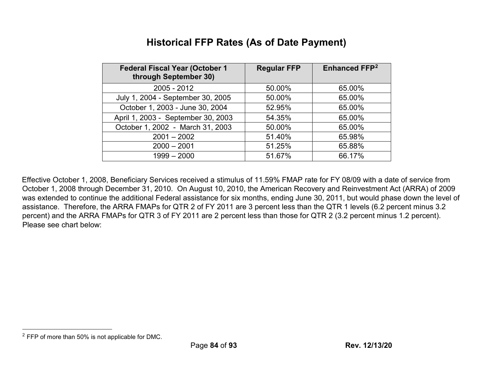#### **Historical FFP Rates (As of Date Payment)**

| <b>Federal Fiscal Year (October 1</b><br>through September 30) | <b>Regular FFP</b> | <b>Enhanced FFP2</b> |
|----------------------------------------------------------------|--------------------|----------------------|
| 2005 - 2012                                                    | 50.00%             | 65.00%               |
| July 1, 2004 - September 30, 2005                              | 50.00%             | 65.00%               |
| October 1, 2003 - June 30, 2004                                | 52.95%             | 65.00%               |
| April 1, 2003 - September 30, 2003                             | 54.35%             | 65.00%               |
| October 1, 2002 - March 31, 2003                               | 50.00%             | 65.00%               |
| $2001 - 2002$                                                  | 51.40%             | 65.98%               |
| $2000 - 2001$                                                  | 51.25%             | 65.88%               |
| $1999 - 2000$                                                  | 51.67%             | 66.17%               |

Effective October 1, 2008, Beneficiary Services received a stimulus of 11.59% FMAP rate for FY 08/09 with a date of service from October 1, 2008 through December 31, 2010. On August 10, 2010, the American Recovery and Reinvestment Act (ARRA) of 2009 was extended to continue the additional Federal assistance for six months, ending June 30, 2011, but would phase down the level of assistance. Therefore, the ARRA FMAPs for QTR 2 of FY 2011 are 3 percent less than the QTR 1 levels (6.2 percent minus 3.2 percent) and the ARRA FMAPs for QTR 3 of FY 2011 are 2 percent less than those for QTR 2 (3.2 percent minus 1.2 percent). Please see chart below:

 $\overline{a}$ 

<sup>2</sup> FFP of more than 50% is not applicable for DMC.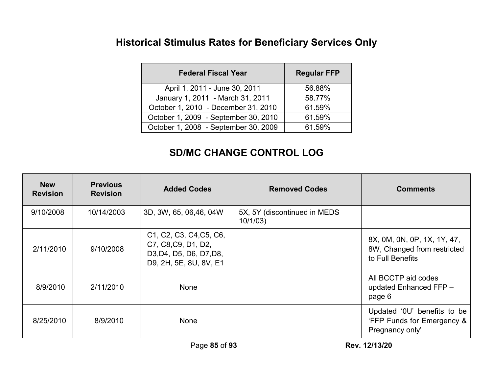### **Historical Stimulus Rates for Beneficiary Services Only**

| <b>Federal Fiscal Year</b>           | <b>Regular FFP</b> |
|--------------------------------------|--------------------|
| April 1, 2011 - June 30, 2011        | 56.88%             |
| January 1, 2011 - March 31, 2011     | 58.77%             |
| October 1, 2010 - December 31, 2010  | 61.59%             |
| October 1, 2009 - September 30, 2010 | 61.59%             |
| October 1, 2008 - September 30, 2009 | 61.59%             |

#### **SD/MC CHANGE CONTROL LOG**

| <b>New</b><br><b>Revision</b> | <b>Previous</b><br><b>Revision</b> | <b>Added Codes</b>                                                                                                                                                                | <b>Removed Codes</b>                     | <b>Comments</b>                                                                |
|-------------------------------|------------------------------------|-----------------------------------------------------------------------------------------------------------------------------------------------------------------------------------|------------------------------------------|--------------------------------------------------------------------------------|
| 9/10/2008                     | 10/14/2003                         | 3D, 3W, 65, 06,46, 04W                                                                                                                                                            | 5X, 5Y (discontinued in MEDS)<br>10/1/03 |                                                                                |
| 2/11/2010                     | 9/10/2008                          | C <sub>1</sub> , C <sub>2</sub> , C <sub>3</sub> , C <sub>4</sub> , C <sub>5</sub> , C <sub>6</sub> ,<br>C7, C8, C9, D1, D2,<br>D3, D4, D5, D6, D7, D8,<br>D9, 2H, 5E, 8U, 8V, E1 |                                          | 8X, 0M, 0N, 0P, 1X, 1Y, 47,<br>8W, Changed from restricted<br>to Full Benefits |
| 8/9/2010                      | 2/11/2010                          | None                                                                                                                                                                              |                                          | All BCCTP aid codes<br>updated Enhanced FFP -<br>page 6                        |
| 8/25/2010                     | 8/9/2010                           | None                                                                                                                                                                              |                                          | Updated '0U' benefits to be<br>'FFP Funds for Emergency &<br>Pregnancy only'   |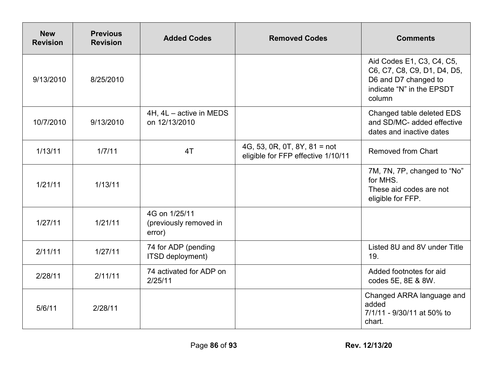| <b>New</b><br><b>Revision</b> | <b>Previous</b><br><b>Revision</b> | <b>Added Codes</b>                                | <b>Removed Codes</b>                                               | <b>Comments</b>                                                                                                         |
|-------------------------------|------------------------------------|---------------------------------------------------|--------------------------------------------------------------------|-------------------------------------------------------------------------------------------------------------------------|
| 9/13/2010                     | 8/25/2010                          |                                                   |                                                                    | Aid Codes E1, C3, C4, C5,<br>C6, C7, C8, C9, D1, D4, D5,<br>D6 and D7 changed to<br>indicate "N" in the EPSDT<br>column |
| 10/7/2010                     | 9/13/2010                          | 4H, 4L - active in MEDS<br>on 12/13/2010          |                                                                    | Changed table deleted EDS<br>and SD/MC- added effective<br>dates and inactive dates                                     |
| 1/13/11                       | 1/7/11                             | 4T                                                | 4G, 53, 0R, 0T, 8Y, 81 = not<br>eligible for FFP effective 1/10/11 | <b>Removed from Chart</b>                                                                                               |
| 1/21/11                       | 1/13/11                            |                                                   |                                                                    | 7M, 7N, 7P, changed to "No"<br>for MHS.<br>These aid codes are not<br>eligible for FFP.                                 |
| 1/27/11                       | 1/21/11                            | 4G on 1/25/11<br>(previously removed in<br>error) |                                                                    |                                                                                                                         |
| 2/11/11                       | 1/27/11                            | 74 for ADP (pending<br>ITSD deployment)           |                                                                    | Listed 8U and 8V under Title<br>19.                                                                                     |
| 2/28/11                       | 2/11/11                            | 74 activated for ADP on<br>2/25/11                |                                                                    | Added footnotes for aid<br>codes 5E, 8E & 8W.                                                                           |
| 5/6/11                        | 2/28/11                            |                                                   |                                                                    | Changed ARRA language and<br>added<br>7/1/11 - 9/30/11 at 50% to<br>chart.                                              |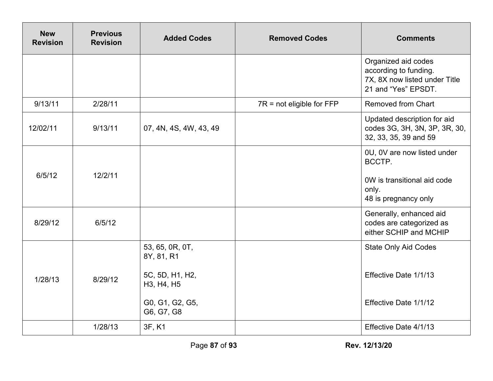| <b>New</b><br><b>Revision</b> | <b>Previous</b><br><b>Revision</b> | <b>Added Codes</b>                                                                              | <b>Removed Codes</b>        | <b>Comments</b>                                                                                       |
|-------------------------------|------------------------------------|-------------------------------------------------------------------------------------------------|-----------------------------|-------------------------------------------------------------------------------------------------------|
|                               |                                    |                                                                                                 |                             | Organized aid codes<br>according to funding.<br>7X, 8X now listed under Title<br>21 and "Yes" EPSDT.  |
| 9/13/11                       | 2/28/11                            |                                                                                                 | $7R$ = not eligible for FFP | <b>Removed from Chart</b>                                                                             |
| 12/02/11                      | 9/13/11                            | 07, 4N, 4S, 4W, 43, 49                                                                          |                             | Updated description for aid<br>codes 3G, 3H, 3N, 3P, 3R, 30,<br>32, 33, 35, 39 and 59                 |
| 6/5/12                        | 12/2/11                            |                                                                                                 |                             | 0U, 0V are now listed under<br>BCCTP.<br>0W is transitional aid code<br>only.<br>48 is pregnancy only |
| 8/29/12                       | 6/5/12                             |                                                                                                 |                             | Generally, enhanced aid<br>codes are categorized as<br>either SCHIP and MCHIP                         |
| 1/28/13                       | 8/29/12                            | 53, 65, 0R, 0T,<br>8Y, 81, R1<br>5C, 5D, H1, H2,<br>H3, H4, H5<br>G0, G1, G2, G5,<br>G6, G7, G8 |                             | <b>State Only Aid Codes</b><br>Effective Date 1/1/13<br>Effective Date 1/1/12                         |
|                               | 1/28/13                            | 3F, K1                                                                                          |                             | Effective Date 4/1/13                                                                                 |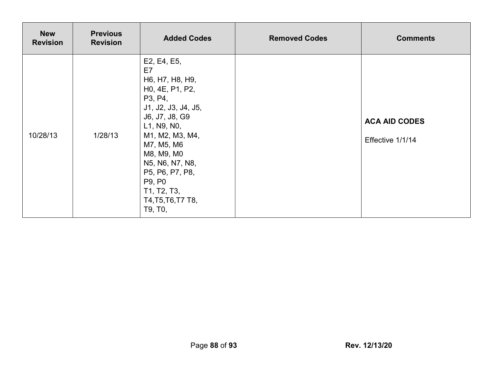| <b>New</b><br><b>Revision</b> | <b>Previous</b><br><b>Revision</b> | <b>Added Codes</b>                                                                                                                                                                                                                                                                                               | <b>Removed Codes</b> | <b>Comments</b>                          |
|-------------------------------|------------------------------------|------------------------------------------------------------------------------------------------------------------------------------------------------------------------------------------------------------------------------------------------------------------------------------------------------------------|----------------------|------------------------------------------|
| 10/28/13                      | 1/28/13                            | E2, E4, E5,<br>E7<br>H6, H7, H8, H9,<br>H <sub>0</sub> , 4E, P <sub>1</sub> , P <sub>2</sub> ,<br>P3, P4,<br>J1, J2, J3, J4, J5,<br>J6, J7, J8, G9<br>L1, N9, N0,<br>M1, M2, M3, M4,<br>M7, M5, M6<br>M8, M9, M0<br>N5, N6, N7, N8,<br>P5, P6, P7, P8,<br>P9, P0<br>T1, T2, T3,<br>T4, T5, T6, T7 T8,<br>T9, T0, |                      | <b>ACA AID CODES</b><br>Effective 1/1/14 |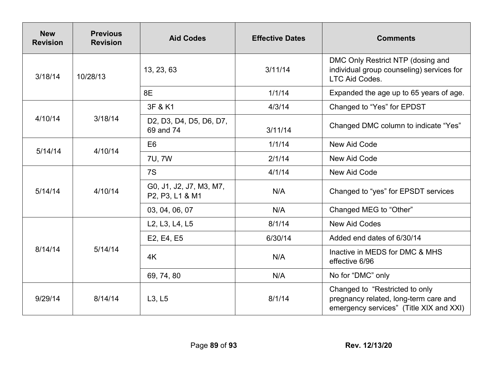| <b>New</b><br><b>Revision</b> | <b>Previous</b><br><b>Revision</b> | <b>Aid Codes</b>                                                                                                   | <b>Effective Dates</b> | <b>Comments</b>                                                                                                    |
|-------------------------------|------------------------------------|--------------------------------------------------------------------------------------------------------------------|------------------------|--------------------------------------------------------------------------------------------------------------------|
| 3/18/14                       | 10/28/13                           | 13, 23, 63                                                                                                         | 3/11/14                | DMC Only Restrict NTP (dosing and<br>individual group counseling) services for<br><b>LTC Aid Codes.</b>            |
|                               |                                    | 8E                                                                                                                 | 1/1/14                 | Expanded the age up to 65 years of age.                                                                            |
| 4/10/14                       | 3/18/14                            | 3F & K1                                                                                                            | 4/3/14                 | Changed to "Yes" for EPDST                                                                                         |
|                               |                                    | D <sub>2</sub> , D <sub>3</sub> , D <sub>4</sub> , D <sub>5</sub> , D <sub>6</sub> , D <sub>7</sub> ,<br>69 and 74 | 3/11/14                | Changed DMC column to indicate "Yes"                                                                               |
| 5/14/14                       | 4/10/14                            | E <sub>6</sub>                                                                                                     | 1/1/14                 | New Aid Code                                                                                                       |
|                               |                                    | 7U, 7W                                                                                                             | 2/1/14                 | New Aid Code                                                                                                       |
| 5/14/14                       | 4/10/14                            | 7S                                                                                                                 | 4/1/14                 | New Aid Code                                                                                                       |
|                               |                                    | G0, J1, J2, J7, M3, M7,<br>P2, P3, L1 & M1                                                                         | N/A                    | Changed to "yes" for EPSDT services                                                                                |
|                               |                                    | 03, 04, 06, 07                                                                                                     | N/A                    | Changed MEG to "Other"                                                                                             |
| 8/14/14                       | 5/14/14                            | L2, L3, L4, L5                                                                                                     | 8/1/14                 | <b>New Aid Codes</b>                                                                                               |
|                               |                                    | E2, E4, E5                                                                                                         | 6/30/14                | Added end dates of 6/30/14                                                                                         |
|                               |                                    | 4K                                                                                                                 | N/A                    | Inactive in MEDS for DMC & MHS<br>effective 6/96                                                                   |
|                               |                                    | 69, 74, 80                                                                                                         | N/A                    | No for "DMC" only                                                                                                  |
| 9/29/14                       | 8/14/14                            | L3, L5                                                                                                             | 8/1/14                 | Changed to "Restricted to only<br>pregnancy related, long-term care and<br>emergency services" (Title XIX and XXI) |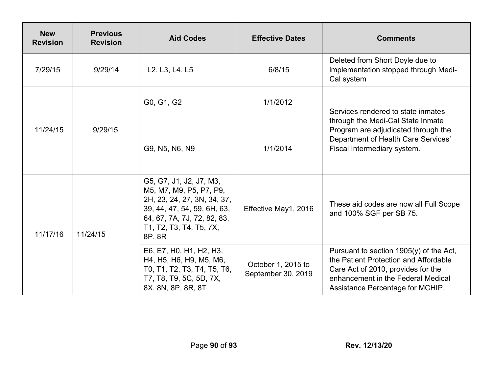| <b>New</b><br><b>Revision</b> | <b>Previous</b><br><b>Revision</b> | <b>Aid Codes</b>                                                                                                                                                                     | <b>Effective Dates</b>                   | <b>Comments</b>                                                                                                                                                                                    |
|-------------------------------|------------------------------------|--------------------------------------------------------------------------------------------------------------------------------------------------------------------------------------|------------------------------------------|----------------------------------------------------------------------------------------------------------------------------------------------------------------------------------------------------|
| 7/29/15                       | 9/29/14                            | L <sub>2</sub> , L <sub>3</sub> , L <sub>4</sub> , L <sub>5</sub>                                                                                                                    | 6/8/15                                   | Deleted from Short Doyle due to<br>implementation stopped through Medi-<br>Cal system                                                                                                              |
| 11/24/15                      | 9/29/15                            | G0, G1, G2                                                                                                                                                                           | 1/1/2012                                 | Services rendered to state inmates<br>through the Medi-Cal State Inmate<br>Program are adjudicated through the<br>Department of Health Care Services'<br>Fiscal Intermediary system.               |
|                               |                                    | G9, N5, N6, N9                                                                                                                                                                       | 1/1/2014                                 |                                                                                                                                                                                                    |
| 11/17/16                      | 11/24/15                           | G5, G7, J1, J2, J7, M3,<br>M5, M7, M9, P5, P7, P9,<br>2H, 23, 24, 27, 3N, 34, 37,<br>39, 44, 47, 54, 59, 6H, 63,<br>64, 67, 7A, 7J, 72, 82, 83,<br>T1, T2, T3, T4, T5, 7X,<br>8P, 8R | Effective May1, 2016                     | These aid codes are now all Full Scope<br>and 100% SGF per SB 75.                                                                                                                                  |
|                               |                                    | E6, E7, H0, H1, H2, H3,<br>H4, H5, H6, H9, M5, M6,<br>T0, T1, T2, T3, T4, T5, T6,<br>T7, T8, T9, 5C, 5D, 7X,<br>8X, 8N, 8P, 8R, 8T                                                   | October 1, 2015 to<br>September 30, 2019 | Pursuant to section $1905(y)$ of the Act,<br>the Patient Protection and Affordable<br>Care Act of 2010, provides for the<br>enhancement in the Federal Medical<br>Assistance Percentage for MCHIP. |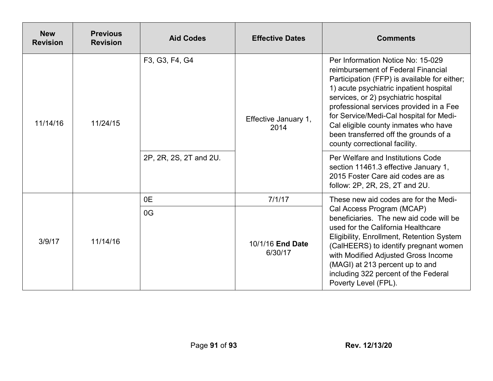| <b>New</b><br><b>Revision</b> | <b>Previous</b><br><b>Revision</b> | <b>Aid Codes</b>                         | <b>Effective Dates</b>       | <b>Comments</b>                                                                                                                                                                                                                                                                                                                                                                                                                                         |
|-------------------------------|------------------------------------|------------------------------------------|------------------------------|---------------------------------------------------------------------------------------------------------------------------------------------------------------------------------------------------------------------------------------------------------------------------------------------------------------------------------------------------------------------------------------------------------------------------------------------------------|
| 11/14/16                      | 11/24/15                           | F3, G3, F4, G4<br>2P, 2R, 2S, 2T and 2U. | Effective January 1,<br>2014 | Per Information Notice No: 15-029<br>reimbursement of Federal Financial<br>Participation (FFP) is available for either;<br>1) acute psychiatric inpatient hospital<br>services, or 2) psychiatric hospital<br>professional services provided in a Fee<br>for Service/Medi-Cal hospital for Medi-<br>Cal eligible county inmates who have<br>been transferred off the grounds of a<br>county correctional facility.<br>Per Welfare and Institutions Code |
|                               |                                    |                                          |                              | section 11461.3 effective January 1,<br>2015 Foster Care aid codes are as<br>follow: 2P, 2R, 2S, 2T and 2U.                                                                                                                                                                                                                                                                                                                                             |
| 3/9/17                        | 11/14/16                           | 0E                                       | 7/1/17                       | These new aid codes are for the Medi-                                                                                                                                                                                                                                                                                                                                                                                                                   |
|                               |                                    | 0G                                       | 10/1/16 End Date<br>6/30/17  | Cal Access Program (MCAP)<br>beneficiaries. The new aid code will be<br>used for the California Healthcare<br>Eligibility, Enrollment, Retention System<br>(CalHEERS) to identify pregnant women<br>with Modified Adjusted Gross Income<br>(MAGI) at 213 percent up to and<br>including 322 percent of the Federal<br>Poverty Level (FPL).                                                                                                              |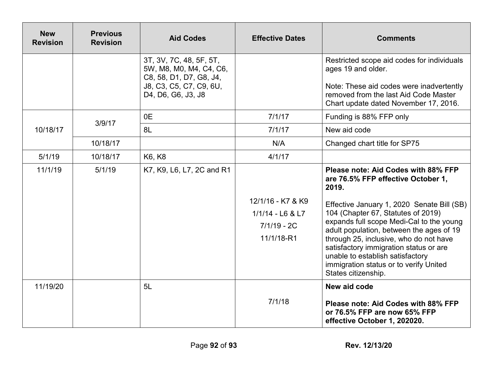| <b>New</b><br><b>Revision</b> | <b>Previous</b><br><b>Revision</b> | <b>Aid Codes</b>                                                                                                               | <b>Effective Dates</b>                            | <b>Comments</b>                                                                                                                                                                                                                                                                                                                                                   |
|-------------------------------|------------------------------------|--------------------------------------------------------------------------------------------------------------------------------|---------------------------------------------------|-------------------------------------------------------------------------------------------------------------------------------------------------------------------------------------------------------------------------------------------------------------------------------------------------------------------------------------------------------------------|
|                               |                                    | 3T, 3V, 7C, 48, 5F, 5T,<br>5W, M8, M0, M4, C4, C6,<br>C8, 58, D1, D7, G8, J4,<br>J8, C3, C5, C7, C9, 6U,<br>D4, D6, G6, J3, J8 |                                                   | Restricted scope aid codes for individuals<br>ages 19 and older.<br>Note: These aid codes were inadvertently<br>removed from the last Aid Code Master<br>Chart update dated November 17, 2016.                                                                                                                                                                    |
|                               |                                    | 0E                                                                                                                             | 7/1/17                                            | Funding is 88% FFP only                                                                                                                                                                                                                                                                                                                                           |
| 10/18/17                      | 3/9/17                             | 8L                                                                                                                             | 7/1/17                                            | New aid code                                                                                                                                                                                                                                                                                                                                                      |
|                               | 10/18/17                           |                                                                                                                                | N/A                                               | Changed chart title for SP75                                                                                                                                                                                                                                                                                                                                      |
| 5/1/19                        | 10/18/17                           | K6, K8                                                                                                                         | 4/1/17                                            |                                                                                                                                                                                                                                                                                                                                                                   |
| 11/1/19                       | 5/1/19                             | K7, K9, L6, L7, 2C and R1                                                                                                      | 12/1/16 - K7 & K9                                 | Please note: Aid Codes with 88% FFP<br>are 76.5% FFP effective October 1,<br>2019.                                                                                                                                                                                                                                                                                |
|                               |                                    |                                                                                                                                | $1/1/14 - L6$ & L7<br>$7/1/19 - 2C$<br>11/1/18-R1 | Effective January 1, 2020 Senate Bill (SB)<br>104 (Chapter 67, Statutes of 2019)<br>expands full scope Medi-Cal to the young<br>adult population, between the ages of 19<br>through 25, inclusive, who do not have<br>satisfactory immigration status or are<br>unable to establish satisfactory<br>immigration status or to verify United<br>States citizenship. |
| 11/19/20                      |                                    | 5L                                                                                                                             | 7/1/18                                            | New aid code<br>Please note: Aid Codes with 88% FFP<br>or 76.5% FFP are now 65% FFP<br>effective October 1, 202020.                                                                                                                                                                                                                                               |